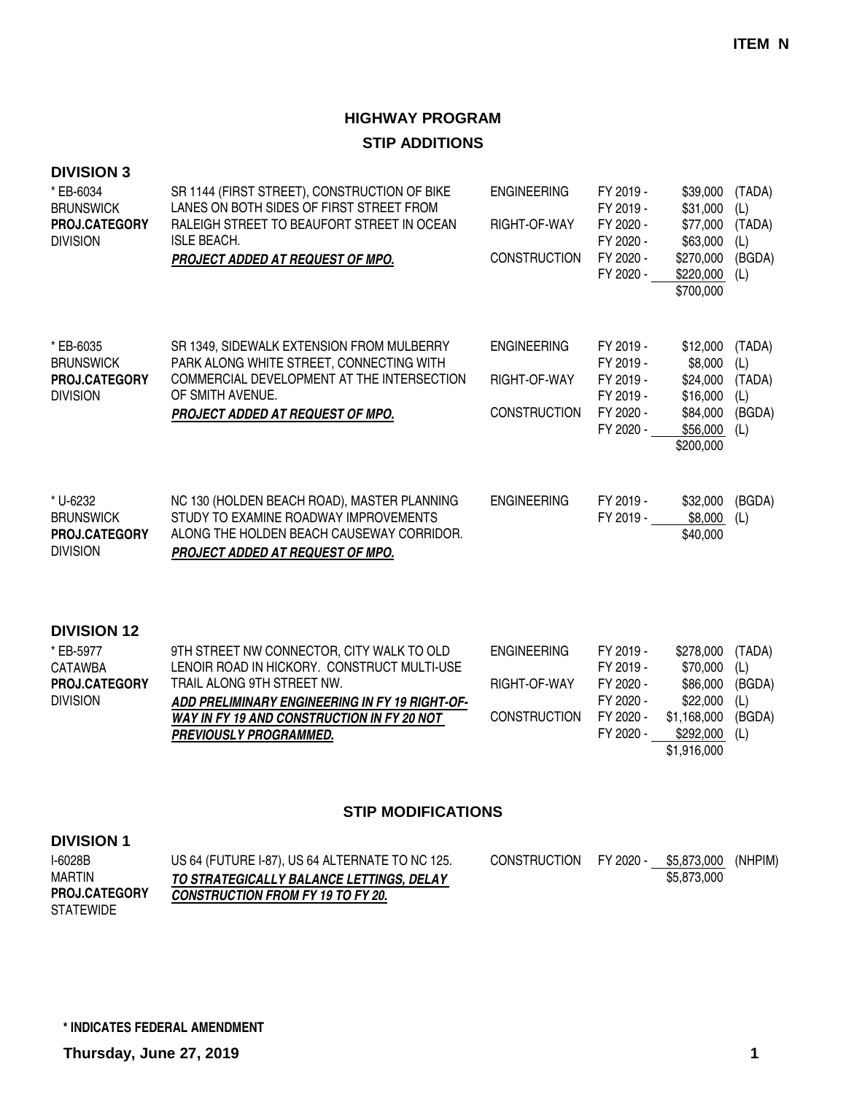### **HIGHWAY PROGRAM STIP ADDITIONS**

| <b>DIVISION 3</b><br>* EB-6034<br><b>BRUNSWICK</b><br>PROJ.CATEGORY<br><b>DIVISION</b> | SR 1144 (FIRST STREET), CONSTRUCTION OF BIKE<br>LANES ON BOTH SIDES OF FIRST STREET FROM<br>RALEIGH STREET TO BEAUFORT STREET IN OCEAN<br><b>ISLE BEACH.</b><br>PROJECT ADDED AT REQUEST OF MPO.                                                        | <b>ENGINEERING</b><br>RIGHT-OF-WAY<br><b>CONSTRUCTION</b> | FY 2019 -<br>FY 2019 -<br>FY 2020 -<br>FY 2020 -<br>FY 2020 -<br>FY 2020 - | \$39,000<br>\$31,000<br>\$77,000<br>\$63,000<br>\$270,000<br>\$220,000<br>\$700,000      | (TADA)<br>(L)<br>(TADA)<br>(L)<br>(BGDA)<br>(L) |
|----------------------------------------------------------------------------------------|---------------------------------------------------------------------------------------------------------------------------------------------------------------------------------------------------------------------------------------------------------|-----------------------------------------------------------|----------------------------------------------------------------------------|------------------------------------------------------------------------------------------|-------------------------------------------------|
| * EB-6035<br><b>BRUNSWICK</b><br><b>PROJ.CATEGORY</b><br><b>DIVISION</b>               | SR 1349, SIDEWALK EXTENSION FROM MULBERRY<br>PARK ALONG WHITE STREET, CONNECTING WITH<br>COMMERCIAL DEVELOPMENT AT THE INTERSECTION<br>OF SMITH AVENUE.<br>PROJECT ADDED AT REQUEST OF MPO.                                                             | <b>ENGINEERING</b><br>RIGHT-OF-WAY<br><b>CONSTRUCTION</b> | FY 2019 -<br>FY 2019 -<br>FY 2019 -<br>FY 2019 -<br>FY 2020 -<br>FY 2020 - | \$12,000<br>\$8,000<br>\$24,000<br>\$16,000<br>\$84,000<br>\$56,000<br>\$200,000         | (TADA)<br>(L)<br>(TADA)<br>(L)<br>(BGDA)<br>(L) |
| * U-6232<br><b>BRUNSWICK</b><br>PROJ.CATEGORY<br><b>DIVISION</b>                       | NC 130 (HOLDEN BEACH ROAD), MASTER PLANNING<br>STUDY TO EXAMINE ROADWAY IMPROVEMENTS<br>ALONG THE HOLDEN BEACH CAUSEWAY CORRIDOR.<br>PROJECT ADDED AT REQUEST OF MPO.                                                                                   | <b>ENGINEERING</b>                                        | FY 2019 -<br>FY 2019 -                                                     | \$32,000<br>\$8,000<br>\$40,000                                                          | (BGDA)<br>(L)                                   |
| <b>DIVISION 12</b><br>* EB-5977<br><b>CATAWBA</b><br>PROJ.CATEGORY<br><b>DIVISION</b>  | 9TH STREET NW CONNECTOR, CITY WALK TO OLD<br>LENOIR ROAD IN HICKORY. CONSTRUCT MULTI-USE<br>TRAIL ALONG 9TH STREET NW.<br>ADD PRELIMINARY ENGINEERING IN FY 19 RIGHT-OF-<br>WAY IN FY 19 AND CONSTRUCTION IN FY 20 NOT<br><b>PREVIOUSLY PROGRAMMED.</b> | <b>ENGINEERING</b><br>RIGHT-OF-WAY<br><b>CONSTRUCTION</b> | FY 2019 -<br>FY 2019 -<br>FY 2020 -<br>FY 2020 -<br>FY 2020 -<br>FY 2020 - | \$278,000<br>\$70,000<br>\$86,000<br>\$22,000<br>\$1,168,000<br>\$292,000<br>\$1,916,000 | (TADA)<br>(L)<br>(BGDA)<br>(L)<br>(BGDA)<br>(L) |

### **STIP MODIFICATIONS**

| I-6028B              | US 64 (FUTURE I-87), US 64 ALTERNATE TO NC 125. | CONSTRUCTION | FY 2020 - | \$5,873,000 | (NHPIM) |
|----------------------|-------------------------------------------------|--------------|-----------|-------------|---------|
| MARTIN               | TO STRATEGICALLY BALANCE LETTINGS. DELAY        |              |           | \$5,873,000 |         |
| <b>PROJ.CATEGORY</b> | <b>CONSTRUCTION FROM FY 19 TO FY 20.</b>        |              |           |             |         |
| <b>STATEWIDE</b>     |                                                 |              |           |             |         |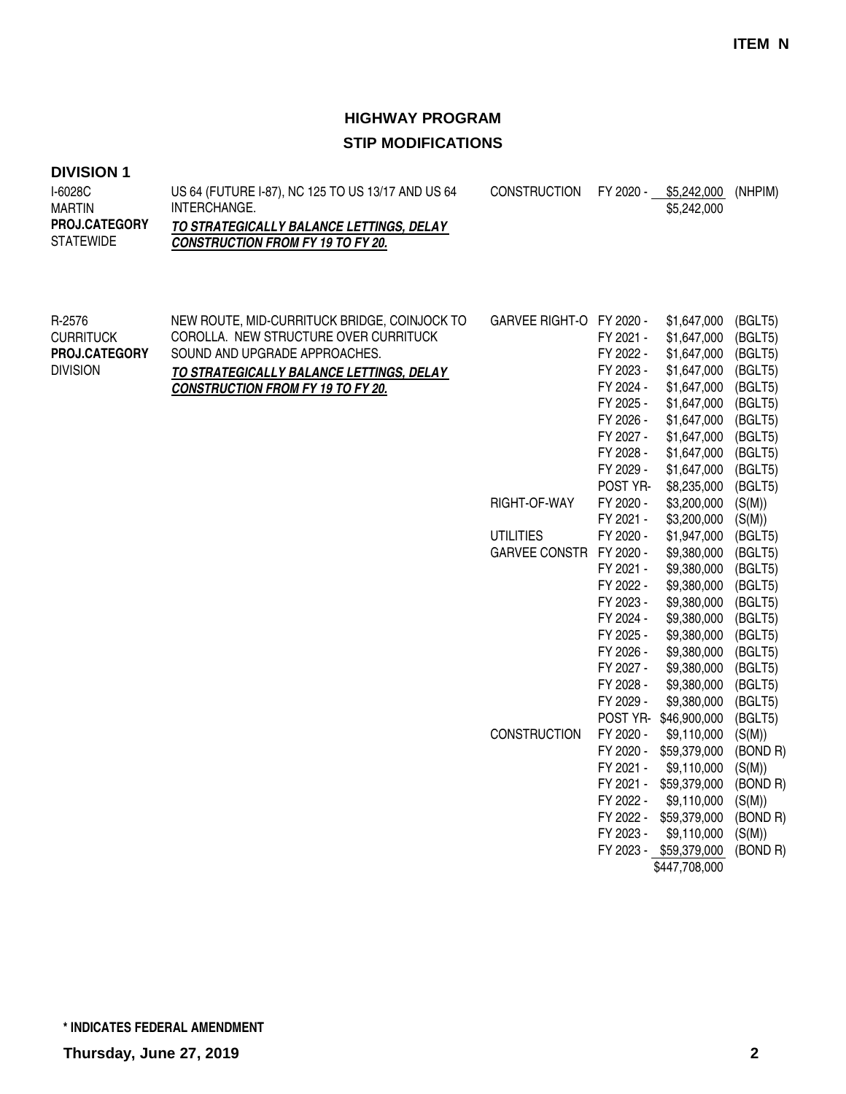| <b>DIVISION 1</b> |  |
|-------------------|--|
|-------------------|--|

| I-6028C<br>MARTIN    | US 64 (FUTURE 1-87), NC 125 TO US 13/17 AND US 64<br>INTERCHANGE. | CONSTRUCTION FY 2020 - | \$5.242.000<br>\$5,242,000 | (NHPIM) |
|----------------------|-------------------------------------------------------------------|------------------------|----------------------------|---------|
| <b>PROJ.CATEGORY</b> | TO STRATEGICALLY BALANCE LETTINGS. DELAY                          |                        |                            |         |
| STATEWIDE            | <b>CONSTRUCTION FROM FY 19 TO FY 20.</b>                          |                        |                            |         |
|                      |                                                                   |                        |                            |         |

| R-2576<br><b>CURRITUCK</b><br>PROJ.CATEGORY<br><b>DIVISION</b> | NEW ROUTE, MID-CURRITUCK BRIDGE, COINJOCK TO<br>COROLLA. NEW STRUCTURE OVER CURRITUCK<br>SOUND AND UPGRADE APPROACHES.<br>TO STRATEGICALLY BALANCE LETTINGS, DELAY<br><b>CONSTRUCTION FROM FY 19 TO FY 20.</b> | GARVEE RIGHT-O FY 2020 - | FY 2021 -<br>FY 2022 -<br>FY 2023 -<br>FY 2024 -<br>FY 2025 -<br>FY 2026 -<br>FY 2027 -<br>FY 2028 -<br>FY 2029 - | \$1,647,000<br>\$1,647,000<br>\$1,647,000<br>\$1,647,000<br>\$1,647,000<br>\$1,647,000<br>\$1,647,000<br>\$1,647,000<br>\$1,647,000<br>\$1,647,000 | (BGLT5)<br>(BGLT5)<br>(BGLT5)<br>(BGLT5)<br>(BGLT5)<br>(BGLT5)<br>(BGLT5)<br>(BGLT5)<br>(BGLT5)<br>(BGLT5) |
|----------------------------------------------------------------|----------------------------------------------------------------------------------------------------------------------------------------------------------------------------------------------------------------|--------------------------|-------------------------------------------------------------------------------------------------------------------|----------------------------------------------------------------------------------------------------------------------------------------------------|------------------------------------------------------------------------------------------------------------|
|                                                                |                                                                                                                                                                                                                |                          | POST YR-                                                                                                          | \$8,235,000                                                                                                                                        | (BGLT5)                                                                                                    |
|                                                                |                                                                                                                                                                                                                | RIGHT-OF-WAY             | FY 2020 -                                                                                                         | \$3,200,000                                                                                                                                        | (S(M))                                                                                                     |
|                                                                |                                                                                                                                                                                                                |                          | FY 2021 -                                                                                                         | \$3,200,000                                                                                                                                        | (S(M))                                                                                                     |
|                                                                |                                                                                                                                                                                                                | <b>UTILITIES</b>         | FY 2020 -                                                                                                         | \$1,947,000                                                                                                                                        | (BGLT5)                                                                                                    |
|                                                                |                                                                                                                                                                                                                | GARVEE CONSTR FY 2020 -  |                                                                                                                   | \$9,380,000                                                                                                                                        | (BGLT5)                                                                                                    |
|                                                                |                                                                                                                                                                                                                |                          | FY 2021 -                                                                                                         | \$9,380,000                                                                                                                                        | (BGLT5)                                                                                                    |
|                                                                |                                                                                                                                                                                                                |                          | FY 2022 -                                                                                                         | \$9,380,000                                                                                                                                        | (BGLT5)                                                                                                    |
|                                                                |                                                                                                                                                                                                                |                          | FY 2023 -                                                                                                         | \$9,380,000                                                                                                                                        | (BGLT5)                                                                                                    |
|                                                                |                                                                                                                                                                                                                |                          | FY 2024 -                                                                                                         | \$9,380,000                                                                                                                                        | (BGLT5)                                                                                                    |
|                                                                |                                                                                                                                                                                                                |                          | FY 2025 -                                                                                                         | \$9,380,000                                                                                                                                        | (BGLT5)                                                                                                    |
|                                                                |                                                                                                                                                                                                                |                          | FY 2026 -                                                                                                         | \$9,380,000                                                                                                                                        | (BGLT5)                                                                                                    |
|                                                                |                                                                                                                                                                                                                |                          | FY 2027 -                                                                                                         | \$9,380,000                                                                                                                                        | (BGLT5)                                                                                                    |
|                                                                |                                                                                                                                                                                                                |                          | FY 2028 -                                                                                                         | \$9,380,000                                                                                                                                        | (BGLT5)                                                                                                    |
|                                                                |                                                                                                                                                                                                                |                          | FY 2029 -                                                                                                         | \$9,380,000                                                                                                                                        | (BGLT5)                                                                                                    |
|                                                                |                                                                                                                                                                                                                |                          | POST YR-                                                                                                          | \$46,900,000                                                                                                                                       | (BGLT5)                                                                                                    |
|                                                                |                                                                                                                                                                                                                | <b>CONSTRUCTION</b>      | FY 2020 -                                                                                                         | \$9,110,000                                                                                                                                        | (S(M))                                                                                                     |
|                                                                |                                                                                                                                                                                                                |                          | FY 2020 -                                                                                                         | \$59,379,000                                                                                                                                       | (BOND R)                                                                                                   |
|                                                                |                                                                                                                                                                                                                |                          | FY 2021 -                                                                                                         | \$9,110,000                                                                                                                                        | (S(M))                                                                                                     |
|                                                                |                                                                                                                                                                                                                |                          | FY 2021 -                                                                                                         | \$59,379,000                                                                                                                                       | (BOND R)                                                                                                   |
|                                                                |                                                                                                                                                                                                                |                          | FY 2022 -                                                                                                         | \$9,110,000                                                                                                                                        | (S(M))                                                                                                     |
|                                                                |                                                                                                                                                                                                                |                          | FY 2022 -                                                                                                         | \$59,379,000                                                                                                                                       | (BOND R)                                                                                                   |
|                                                                |                                                                                                                                                                                                                |                          | FY 2023 -                                                                                                         | \$9,110,000                                                                                                                                        | (S(M))                                                                                                     |
|                                                                |                                                                                                                                                                                                                |                          |                                                                                                                   | FY 2023 - \$59,379,000                                                                                                                             | (BOND R)                                                                                                   |
|                                                                |                                                                                                                                                                                                                |                          |                                                                                                                   | \$447,708,000                                                                                                                                      |                                                                                                            |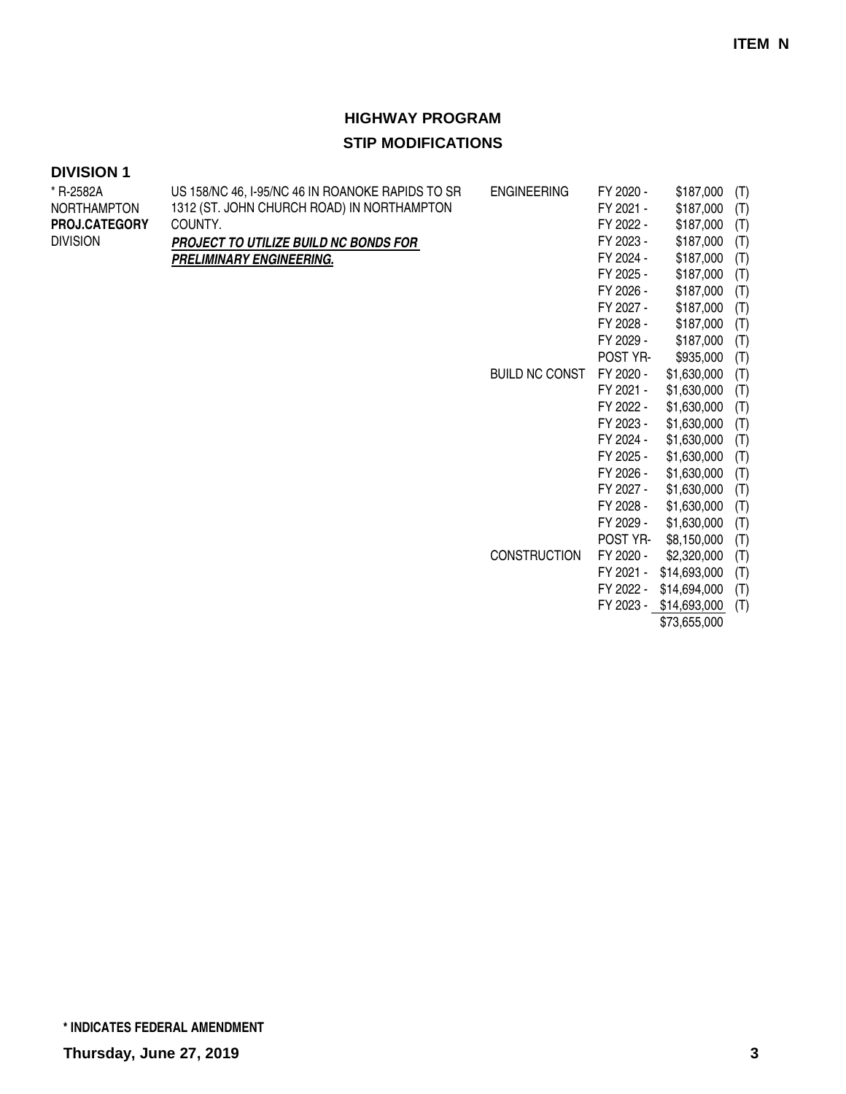| <b>DIVISION 1</b> |  |
|-------------------|--|
|-------------------|--|

| * R-2582A          | US 158/NC 46, I-95/NC 46 IN ROANOKE RAPIDS TO SR | <b>ENGINEERING</b>    | FY 2020 - | \$187,000    | (T) |
|--------------------|--------------------------------------------------|-----------------------|-----------|--------------|-----|
| <b>NORTHAMPTON</b> | 1312 (ST. JOHN CHURCH ROAD) IN NORTHAMPTON       |                       | FY 2021 - | \$187,000    | (T) |
| PROJ.CATEGORY      | COUNTY.                                          |                       | FY 2022 - | \$187,000    | (T) |
| <b>DIVISION</b>    | PROJECT TO UTILIZE BUILD NC BONDS FOR            |                       | FY 2023 - | \$187,000    | (T) |
|                    | PRELIMINARY ENGINEERING.                         |                       | FY 2024 - | \$187,000    | (T) |
|                    |                                                  |                       | FY 2025 - | \$187,000    | (T) |
|                    |                                                  |                       | FY 2026 - | \$187,000    | (T) |
|                    |                                                  |                       | FY 2027 - | \$187,000    | (T) |
|                    |                                                  |                       | FY 2028 - | \$187,000    | (T) |
|                    |                                                  |                       | FY 2029 - | \$187,000    | (T) |
|                    |                                                  |                       | POST YR-  | \$935,000    | (T) |
|                    |                                                  | <b>BUILD NC CONST</b> | FY 2020 - | \$1,630,000  | (T) |
|                    |                                                  |                       | FY 2021 - | \$1,630,000  | (T) |
|                    |                                                  |                       | FY 2022 - | \$1,630,000  | (T) |
|                    |                                                  |                       | FY 2023 - | \$1,630,000  | (T) |
|                    |                                                  |                       | FY 2024 - | \$1,630,000  | (T) |
|                    |                                                  |                       | FY 2025 - | \$1,630,000  | (T) |
|                    |                                                  |                       | FY 2026 - | \$1,630,000  | (T) |
|                    |                                                  |                       | FY 2027 - | \$1,630,000  | (T) |
|                    |                                                  |                       | FY 2028 - | \$1,630,000  | (T) |
|                    |                                                  |                       | FY 2029 - | \$1,630,000  | (T) |
|                    |                                                  |                       | POST YR-  | \$8,150,000  | (T) |
|                    |                                                  | <b>CONSTRUCTION</b>   | FY 2020 - | \$2,320,000  | (T) |
|                    |                                                  |                       | FY 2021 - | \$14,693,000 | (T) |
|                    |                                                  |                       | FY 2022 - | \$14,694,000 | (T) |
|                    |                                                  |                       | FY 2023 - | \$14,693,000 | (T) |
|                    |                                                  |                       |           | \$73,655,000 |     |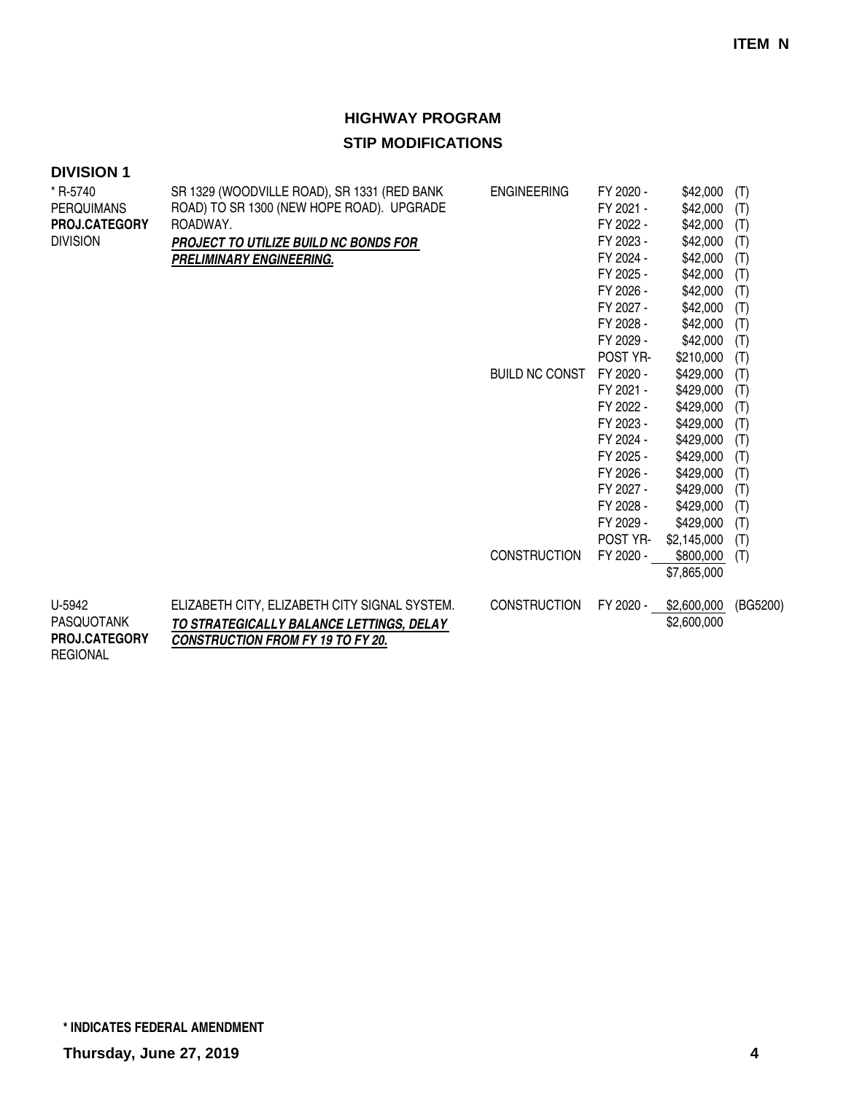| <b>DIVISION 1</b>    |                                               |                       |                       |                          |            |
|----------------------|-----------------------------------------------|-----------------------|-----------------------|--------------------------|------------|
| * R-5740             | SR 1329 (WOODVILLE ROAD), SR 1331 (RED BANK   | <b>ENGINEERING</b>    | FY 2020 -             | \$42,000                 | (T)        |
| <b>PERQUIMANS</b>    | ROAD) TO SR 1300 (NEW HOPE ROAD). UPGRADE     |                       | FY 2021 -             | \$42,000                 | (T)        |
| PROJ.CATEGORY        | ROADWAY.                                      |                       | FY 2022 -             | \$42,000                 | (T)        |
| <b>DIVISION</b>      | <b>PROJECT TO UTILIZE BUILD NC BONDS FOR</b>  |                       | FY 2023 -             | \$42,000                 | (T)        |
|                      | <b>PRELIMINARY ENGINEERING.</b>               |                       | FY 2024 -             | \$42,000                 | (T)        |
|                      |                                               |                       | FY 2025 -             | \$42,000                 | (T)        |
|                      |                                               |                       | FY 2026 -             | \$42,000                 | (T)        |
|                      |                                               |                       | FY 2027 -             | \$42,000                 | (T)        |
|                      |                                               |                       | FY 2028 -             | \$42,000                 | (T)        |
|                      |                                               |                       | FY 2029 -             | \$42,000                 | (T)        |
|                      |                                               |                       | POST YR-              | \$210,000                | (T)        |
|                      |                                               | <b>BUILD NC CONST</b> | FY 2020 -             | \$429,000                | (T)        |
|                      |                                               |                       | FY 2021 -             | \$429,000                | (T)        |
|                      |                                               |                       | FY 2022 -             | \$429,000                | (T)        |
|                      |                                               |                       | FY 2023 -             | \$429,000                | (T)        |
|                      |                                               |                       | FY 2024 -             | \$429,000                | (T)        |
|                      |                                               |                       | FY 2025 -             | \$429,000                | (T)        |
|                      |                                               |                       | FY 2026 -             | \$429,000                | (T)        |
|                      |                                               |                       | FY 2027 -             | \$429,000                | (T)        |
|                      |                                               |                       | FY 2028 -             | \$429,000                | (T)        |
|                      |                                               |                       | FY 2029 -<br>POST YR- | \$429,000                | (T)        |
|                      |                                               | <b>CONSTRUCTION</b>   | FY 2020 -             | \$2,145,000<br>\$800,000 | (T)<br>(T) |
|                      |                                               |                       |                       | \$7,865,000              |            |
|                      |                                               |                       |                       |                          |            |
| U-5942               | ELIZABETH CITY, ELIZABETH CITY SIGNAL SYSTEM. | <b>CONSTRUCTION</b>   | FY 2020 -             | \$2,600,000              | (BG5200)   |
| PASQUOTANK           | TO STRATEGICALLY BALANCE LETTINGS, DELAY      |                       |                       | \$2,600,000              |            |
| <b>PROJ.CATEGORY</b> | <b>CONSTRUCTION FROM FY 19 TO FY 20.</b>      |                       |                       |                          |            |
| <b>REGIONAL</b>      |                                               |                       |                       |                          |            |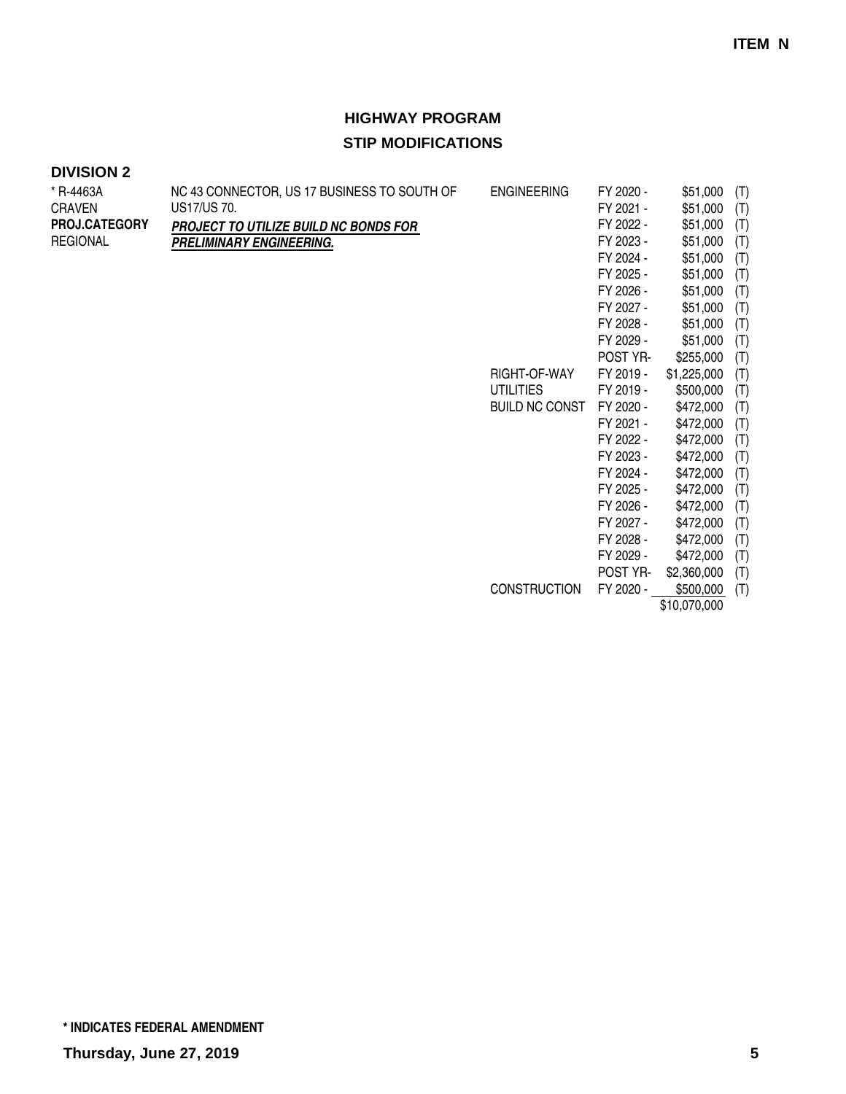| * R-4463A            | NC 43 CONNECTOR, US 17 BUSINESS TO SOUTH OF | <b>ENGINEERING</b>    | FY 2020 - | \$51,000     | (T) |
|----------------------|---------------------------------------------|-----------------------|-----------|--------------|-----|
| <b>CRAVEN</b>        | US17/US 70.                                 |                       | FY 2021 - | \$51,000     | (T) |
| <b>PROJ.CATEGORY</b> | PROJECT TO UTILIZE BUILD NC BONDS FOR       |                       | FY 2022 - | \$51,000     | (T) |
| <b>REGIONAL</b>      | PRELIMINARY ENGINEERING.                    |                       | FY 2023 - | \$51,000     | (T) |
|                      |                                             |                       | FY 2024 - | \$51,000     | (T) |
|                      |                                             |                       | FY 2025 - | \$51,000     | (T) |
|                      |                                             |                       | FY 2026 - | \$51,000     | (T) |
|                      |                                             |                       | FY 2027 - | \$51,000     | (T) |
|                      |                                             |                       | FY 2028 - | \$51,000     | (T) |
|                      |                                             |                       | FY 2029 - | \$51,000     | (T) |
|                      |                                             |                       | POST YR-  | \$255,000    | (T) |
|                      |                                             | RIGHT-OF-WAY          | FY 2019 - | \$1,225,000  | (T) |
|                      |                                             | UTILITIES             | FY 2019 - | \$500,000    | (T) |
|                      |                                             | <b>BUILD NC CONST</b> | FY 2020 - | \$472,000    | (T) |
|                      |                                             |                       | FY 2021 - | \$472,000    | (T) |
|                      |                                             |                       | FY 2022 - | \$472,000    | (T) |
|                      |                                             |                       | FY 2023 - | \$472,000    | (T) |
|                      |                                             |                       | FY 2024 - | \$472,000    | (T) |
|                      |                                             |                       | FY 2025 - | \$472,000    | (T) |
|                      |                                             |                       | FY 2026 - | \$472,000    | (T) |
|                      |                                             |                       | FY 2027 - | \$472,000    | (T) |
|                      |                                             |                       | FY 2028 - | \$472,000    | (T) |
|                      |                                             |                       | FY 2029 - | \$472,000    | (T) |
|                      |                                             |                       | POST YR-  | \$2,360,000  | (T) |
|                      |                                             | <b>CONSTRUCTION</b>   | FY 2020 - | \$500,000    | (T) |
|                      |                                             |                       |           | \$10,070,000 |     |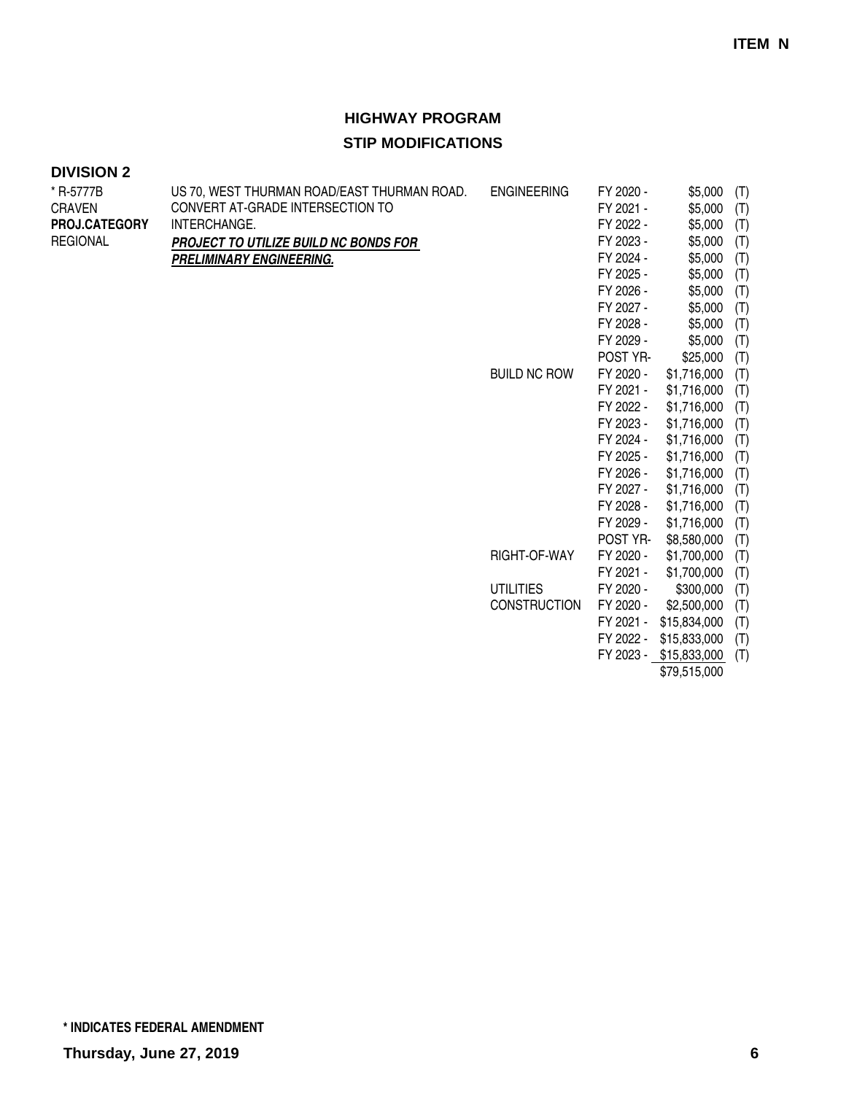| * R-5777B       | US 70, WEST THURMAN ROAD/EAST THURMAN ROAD. | <b>ENGINEERING</b>  | FY 2020 - | \$5,000                | (T) |
|-----------------|---------------------------------------------|---------------------|-----------|------------------------|-----|
| <b>CRAVEN</b>   | CONVERT AT-GRADE INTERSECTION TO            |                     | FY 2021 - | \$5,000                | (T) |
| PROJ.CATEGORY   | INTERCHANGE.                                |                     | FY 2022 - | \$5,000                | (T) |
| <b>REGIONAL</b> | PROJECT TO UTILIZE BUILD NC BONDS FOR       |                     | FY 2023 - | \$5,000                | (T) |
|                 | <b>PRELIMINARY ENGINEERING.</b>             |                     | FY 2024 - | \$5,000                | (T) |
|                 |                                             |                     | FY 2025 - | \$5,000                | (T) |
|                 |                                             |                     | FY 2026 - | \$5,000                | (T) |
|                 |                                             |                     | FY 2027 - | \$5,000                | (T) |
|                 |                                             |                     | FY 2028 - | \$5,000                | (T) |
|                 |                                             |                     | FY 2029 - | \$5,000                | (T) |
|                 |                                             |                     | POST YR-  | \$25,000               | (T) |
|                 |                                             | <b>BUILD NC ROW</b> | FY 2020 - | \$1,716,000            | (T) |
|                 |                                             |                     | FY 2021 - | \$1,716,000            | (T) |
|                 |                                             |                     | FY 2022 - | \$1,716,000            | (T) |
|                 |                                             |                     | FY 2023 - | \$1,716,000            | (T) |
|                 |                                             |                     | FY 2024 - | \$1,716,000            | (T) |
|                 |                                             |                     | FY 2025 - | \$1,716,000            | (T) |
|                 |                                             |                     | FY 2026 - | \$1,716,000            | (T) |
|                 |                                             |                     | FY 2027 - | \$1,716,000            | (T) |
|                 |                                             |                     | FY 2028 - | \$1,716,000            | (T) |
|                 |                                             |                     | FY 2029 - | \$1,716,000            | (T) |
|                 |                                             |                     | POST YR-  | \$8,580,000            | (T) |
|                 |                                             | RIGHT-OF-WAY        | FY 2020 - | \$1,700,000            | (T) |
|                 |                                             |                     | FY 2021 - | \$1,700,000            | (T) |
|                 |                                             | <b>UTILITIES</b>    | FY 2020 - | \$300,000              | (T) |
|                 |                                             | <b>CONSTRUCTION</b> | FY 2020 - | \$2,500,000            | (T) |
|                 |                                             |                     | FY 2021 - | \$15,834,000           | (T) |
|                 |                                             |                     | FY 2022 - | \$15,833,000           | (T) |
|                 |                                             |                     |           | FY 2023 - \$15,833,000 | (T) |
|                 |                                             |                     |           | \$79,515,000           |     |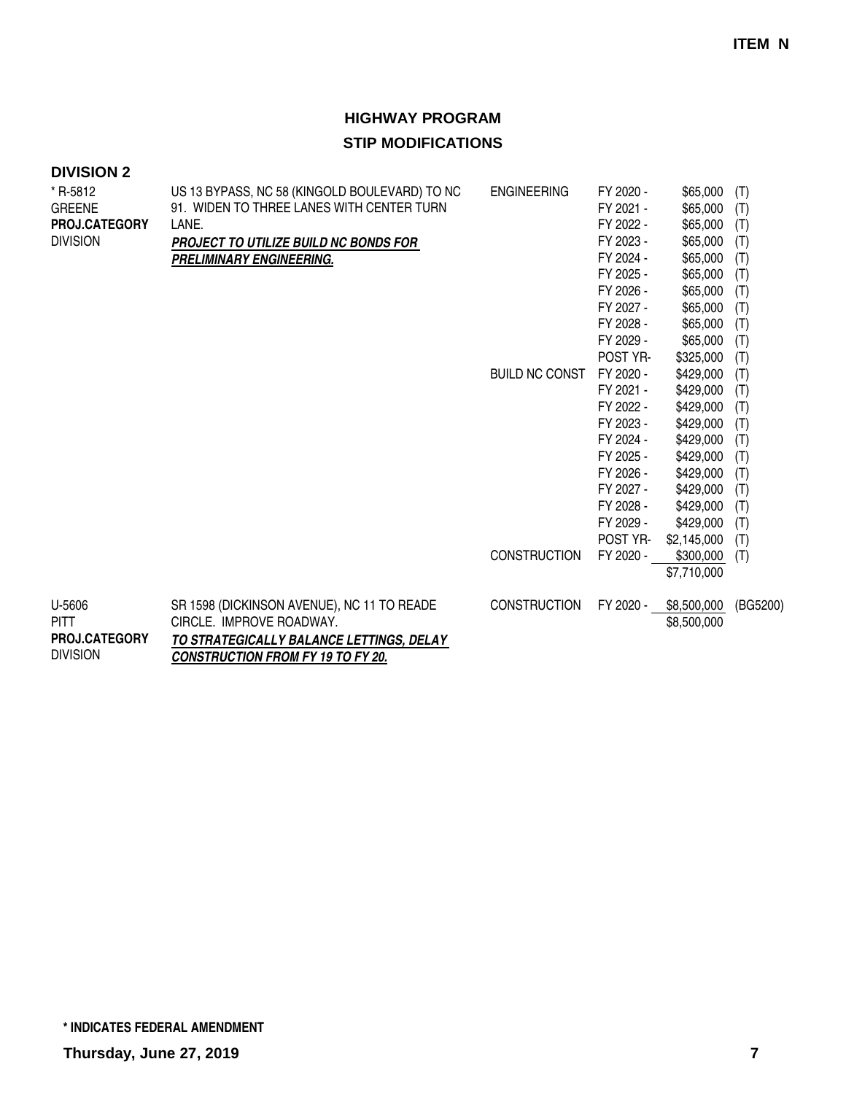| <b>DIVISION 2</b>                |                                                                                            |                       |                        |                      |            |
|----------------------------------|--------------------------------------------------------------------------------------------|-----------------------|------------------------|----------------------|------------|
| * R-5812<br><b>GREENE</b>        | US 13 BYPASS, NC 58 (KINGOLD BOULEVARD) TO NC<br>91. WIDEN TO THREE LANES WITH CENTER TURN | <b>ENGINEERING</b>    | FY 2020 -<br>FY 2021 - | \$65,000<br>\$65,000 | (T)<br>(T) |
| <b>PROJ.CATEGORY</b>             | LANE.                                                                                      |                       | FY 2022 -              | \$65,000             | (T)        |
| <b>DIVISION</b>                  | <b>PROJECT TO UTILIZE BUILD NC BONDS FOR</b>                                               |                       | FY 2023 -              | \$65,000             | (T)        |
|                                  | PRELIMINARY ENGINEERING.                                                                   |                       | FY 2024 -              | \$65,000             | (T)        |
|                                  |                                                                                            |                       | FY 2025 -              | \$65,000             | (T)        |
|                                  |                                                                                            |                       | FY 2026 -              | \$65,000             | (T)        |
|                                  |                                                                                            |                       | FY 2027 -              | \$65,000             | (T)        |
|                                  |                                                                                            |                       | FY 2028 -              | \$65,000             | (T)        |
|                                  |                                                                                            |                       | FY 2029 -              | \$65,000             | (T)        |
|                                  |                                                                                            |                       | POST YR-               | \$325,000            | (T)        |
|                                  |                                                                                            | <b>BUILD NC CONST</b> | FY 2020 -              | \$429,000            | (T)        |
|                                  |                                                                                            |                       | FY 2021 -              | \$429,000            | (T)        |
|                                  |                                                                                            |                       | FY 2022 -              | \$429,000            | (T)        |
|                                  |                                                                                            |                       | FY 2023 -              | \$429,000            | (T)        |
|                                  |                                                                                            |                       | FY 2024 -              | \$429,000            | (T)        |
|                                  |                                                                                            |                       | FY 2025 -              | \$429,000            | (T)        |
|                                  |                                                                                            |                       | FY 2026 -              | \$429,000            | (T)        |
|                                  |                                                                                            |                       | FY 2027 -              | \$429,000            | (T)        |
|                                  |                                                                                            |                       | FY 2028 -              | \$429,000            | (T)        |
|                                  |                                                                                            |                       | FY 2029 -              | \$429,000            | (T)        |
|                                  |                                                                                            |                       | POST YR-               | \$2,145,000          | (T)        |
|                                  |                                                                                            | <b>CONSTRUCTION</b>   | FY 2020 -              | \$300,000            | (T)        |
|                                  |                                                                                            |                       |                        | \$7,710,000          |            |
| U-5606                           | SR 1598 (DICKINSON AVENUE), NC 11 TO READE                                                 | <b>CONSTRUCTION</b>   | FY 2020 -              | \$8,500,000          | (BG5200)   |
| <b>PITT</b>                      | CIRCLE. IMPROVE ROADWAY.                                                                   |                       |                        | \$8,500,000          |            |
| PROJ.CATEGORY<br><b>DIVISION</b> | TO STRATEGICALLY BALANCE LETTINGS, DELAY<br><b>CONSTRUCTION FROM FY 19 TO FY 20.</b>       |                       |                        |                      |            |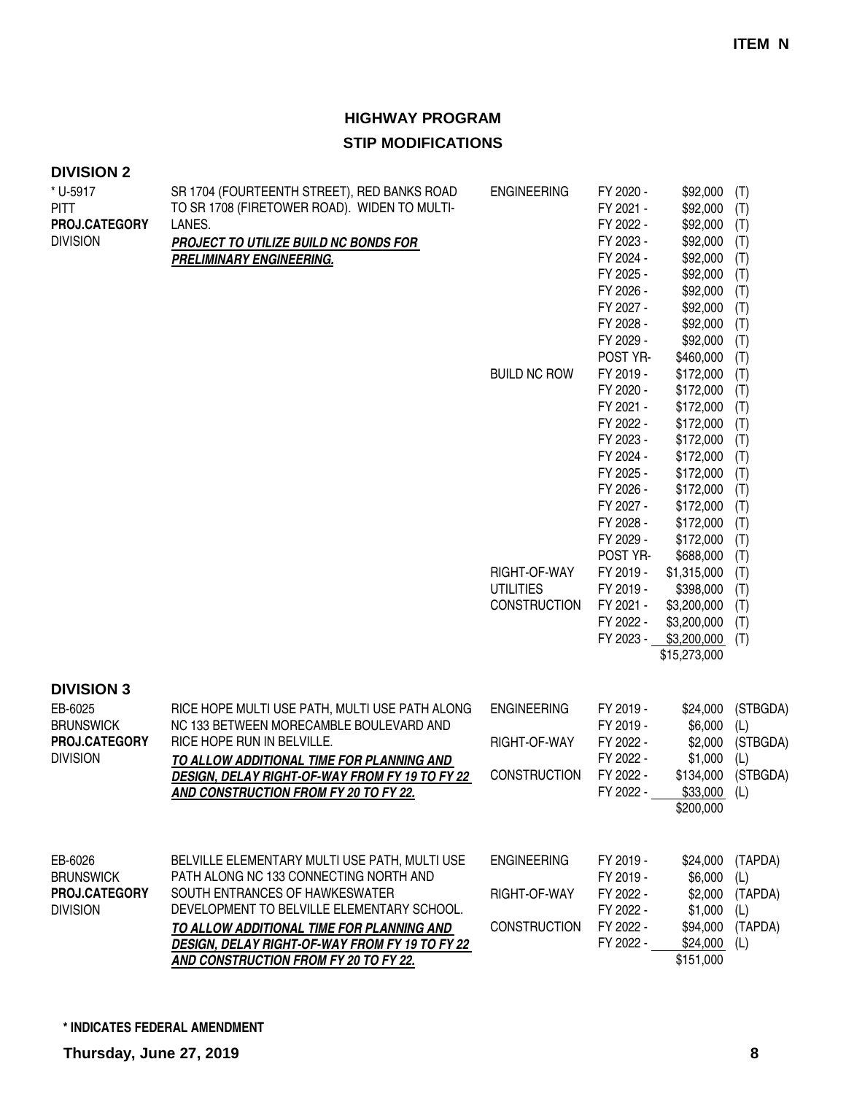| <b>DIVISION 2</b><br>* U-5917<br><b>PITT</b><br>PROJ.CATEGORY<br><b>DIVISION</b>     | SR 1704 (FOURTEENTH STREET), RED BANKS ROAD<br>TO SR 1708 (FIRETOWER ROAD). WIDEN TO MULTI-<br>LANES.<br>PROJECT TO UTILIZE BUILD NC BONDS FOR<br><b>PRELIMINARY ENGINEERING.</b>                                                                                                                                             | <b>ENGINEERING</b><br><b>BUILD NC ROW</b>                 | FY 2020 -<br>FY 2021 -<br>FY 2022 -<br>FY 2023 -<br>FY 2024 -<br>FY 2025 -<br>FY 2026 -<br>FY 2027 -<br>FY 2028 -<br>FY 2029 -<br>POST YR-<br>FY 2019 -<br>FY 2020 - | \$92,000<br>\$92,000<br>\$92,000<br>\$92,000<br>\$92,000<br>\$92,000<br>\$92,000<br>\$92,000<br>\$92,000<br>\$92,000<br>\$460,000<br>\$172,000<br>\$172,000 | (T)<br>(T)<br>(T)<br>(T)<br>(T)<br>(T)<br>(T)<br>(T)<br>(T)<br>(T)<br>(T)<br>(T)<br>(T) |
|--------------------------------------------------------------------------------------|-------------------------------------------------------------------------------------------------------------------------------------------------------------------------------------------------------------------------------------------------------------------------------------------------------------------------------|-----------------------------------------------------------|----------------------------------------------------------------------------------------------------------------------------------------------------------------------|-------------------------------------------------------------------------------------------------------------------------------------------------------------|-----------------------------------------------------------------------------------------|
|                                                                                      |                                                                                                                                                                                                                                                                                                                               |                                                           | FY 2021 -<br>FY 2022 -<br>FY 2023 -<br>FY 2024 -<br>FY 2025 -<br>FY 2026 -<br>FY 2027 -<br>FY 2028 -<br>FY 2029 -<br>POST YR-                                        | \$172,000<br>\$172,000<br>\$172,000<br>\$172,000<br>\$172,000<br>\$172,000<br>\$172,000<br>\$172,000<br>\$172,000<br>\$688,000                              | (T)<br>(T)<br>(T)<br>(T)<br>(T)<br>(T)<br>(T)<br>(T)<br>(T)<br>(T)                      |
|                                                                                      |                                                                                                                                                                                                                                                                                                                               | RIGHT-OF-WAY<br><b>UTILITIES</b><br><b>CONSTRUCTION</b>   | FY 2019 -<br>FY 2019 -<br>FY 2021 -<br>FY 2022 -<br>FY 2023 -                                                                                                        | \$1,315,000<br>\$398,000<br>\$3,200,000<br>\$3,200,000<br>\$3,200,000<br>\$15,273,000                                                                       | (T)<br>(T)<br>(T)<br>(T)<br>(T)                                                         |
| <b>DIVISION 3</b><br>EB-6025<br><b>BRUNSWICK</b><br>PROJ.CATEGORY<br><b>DIVISION</b> | RICE HOPE MULTI USE PATH, MULTI USE PATH ALONG<br>NC 133 BETWEEN MORECAMBLE BOULEVARD AND<br>RICE HOPE RUN IN BELVILLE.<br>TO ALLOW ADDITIONAL TIME FOR PLANNING AND<br>DESIGN, DELAY RIGHT-OF-WAY FROM FY 19 TO FY 22<br>AND CONSTRUCTION FROM FY 20 TO FY 22.                                                               | <b>ENGINEERING</b><br>RIGHT-OF-WAY<br><b>CONSTRUCTION</b> | FY 2019 -<br>FY 2019 -<br>FY 2022 -<br>FY 2022 -<br>FY 2022 -<br>FY 2022 -                                                                                           | \$24,000<br>\$6,000<br>\$2,000<br>\$1,000<br>\$134,000<br>$$33,000$ (L)<br>\$200,000                                                                        | (STBGDA)<br>(L)<br>(STBGDA)<br>(L)<br>(STBGDA)                                          |
| EB-6026<br><b>BRUNSWICK</b><br>PROJ.CATEGORY<br><b>DIVISION</b>                      | BELVILLE ELEMENTARY MULTI USE PATH, MULTI USE<br>PATH ALONG NC 133 CONNECTING NORTH AND<br>SOUTH ENTRANCES OF HAWKESWATER<br>DEVELOPMENT TO BELVILLE ELEMENTARY SCHOOL.<br>TO ALLOW ADDITIONAL TIME FOR PLANNING AND<br><b>DESIGN, DELAY RIGHT-OF-WAY FROM FY 19 TO FY 22</b><br><b>AND CONSTRUCTION FROM FY 20 TO FY 22.</b> | <b>ENGINEERING</b><br>RIGHT-OF-WAY<br><b>CONSTRUCTION</b> | FY 2019 -<br>FY 2019 -<br>FY 2022 -<br>FY 2022 -<br>FY 2022 -<br>FY 2022 -                                                                                           | \$6,000<br>\$1,000<br>\$94,000<br>\$24,000<br>\$151,000                                                                                                     | \$24,000 (TAPDA)<br>(L)<br>\$2,000 (TAPDA)<br>(L)<br>(TAPDA)<br>(L)                     |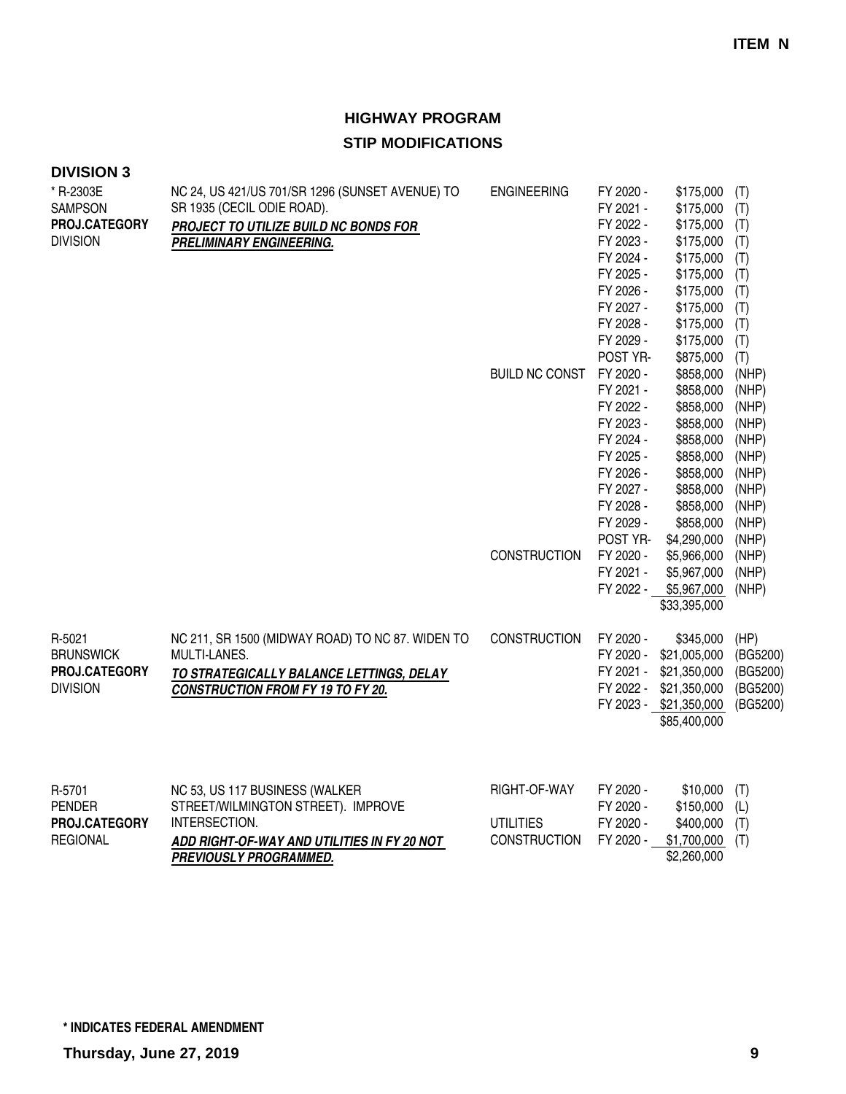| <b>DIVISION 3</b>           |                                                                               |                       |                        |                                                 |            |
|-----------------------------|-------------------------------------------------------------------------------|-----------------------|------------------------|-------------------------------------------------|------------|
| * R-2303E<br><b>SAMPSON</b> | NC 24, US 421/US 701/SR 1296 (SUNSET AVENUE) TO<br>SR 1935 (CECIL ODIE ROAD). | <b>ENGINEERING</b>    | FY 2020 -<br>FY 2021 - | \$175,000<br>\$175,000                          | (T)<br>(T) |
| PROJ.CATEGORY               |                                                                               |                       | FY 2022 -              | \$175,000                                       | (T)        |
| <b>DIVISION</b>             | PROJECT TO UTILIZE BUILD NC BONDS FOR                                         |                       | FY 2023 -              | \$175,000                                       |            |
|                             | <b>PRELIMINARY ENGINEERING.</b>                                               |                       | FY 2024 -              |                                                 | (T)        |
|                             |                                                                               |                       | FY 2025 -              | \$175,000<br>\$175,000                          | (T)        |
|                             |                                                                               |                       |                        |                                                 | (T)        |
|                             |                                                                               |                       | FY 2026 -              | \$175,000                                       | (T)        |
|                             |                                                                               |                       | FY 2027 -              | \$175,000                                       | (T)        |
|                             |                                                                               |                       | FY 2028 -              | \$175,000                                       | (T)        |
|                             |                                                                               |                       | FY 2029 -              | \$175,000                                       | (T)        |
|                             |                                                                               |                       | POST YR-               | \$875,000                                       | (T)        |
|                             |                                                                               | <b>BUILD NC CONST</b> | FY 2020 -              | \$858,000                                       | (NHP)      |
|                             |                                                                               |                       | FY 2021 -              | \$858,000                                       | (NHP)      |
|                             |                                                                               |                       | FY 2022 -              | \$858,000                                       | (NHP)      |
|                             |                                                                               |                       | FY 2023 -              | \$858,000                                       | (NHP)      |
|                             |                                                                               |                       | FY 2024 -              | \$858,000                                       | (NHP)      |
|                             |                                                                               |                       | FY 2025 -              | \$858,000                                       | (NHP)      |
|                             |                                                                               |                       | FY 2026 -              | \$858,000                                       | (NHP)      |
|                             |                                                                               |                       | FY 2027 -              | \$858,000                                       | (NHP)      |
|                             |                                                                               |                       | FY 2028 -              | \$858,000                                       | (NHP)      |
|                             |                                                                               |                       | FY 2029 -              | \$858,000                                       | (NHP)      |
|                             |                                                                               |                       | POST YR-               | \$4,290,000                                     | (NHP)      |
|                             |                                                                               | <b>CONSTRUCTION</b>   | FY 2020 -              | \$5,966,000                                     | (NHP)      |
|                             |                                                                               |                       | FY 2021 -              | \$5,967,000                                     | (NHP)      |
|                             |                                                                               |                       | FY 2022 -              | \$5,967,000                                     | (NHP)      |
|                             |                                                                               |                       |                        | \$33,395,000                                    |            |
| R-5021                      | NC 211, SR 1500 (MIDWAY ROAD) TO NC 87. WIDEN TO                              | <b>CONSTRUCTION</b>   | FY 2020 -              | \$345,000                                       | (HP)       |
| <b>BRUNSWICK</b>            | MULTI-LANES.                                                                  |                       | FY 2020 -              | \$21,005,000                                    | (BG5200)   |
| PROJ.CATEGORY               | TO STRATEGICALLY BALANCE LETTINGS, DELAY                                      |                       | FY 2021 -              | \$21,350,000                                    | (BG5200)   |
| <b>DIVISION</b>             | <b>CONSTRUCTION FROM FY 19 TO FY 20.</b>                                      |                       |                        | FY 2022 - \$21,350,000                          | (BG5200)   |
|                             |                                                                               |                       |                        | FY 2023 - \$21,350,000                          | (BG5200)   |
|                             |                                                                               |                       |                        | \$85,400,000                                    |            |
|                             |                                                                               |                       |                        |                                                 |            |
| R-5701<br><b>PENDER</b>     | NC 53, US 117 BUSINESS (WALKER<br>STREET/WILMINGTON STREET). IMPROVE          | RIGHT-OF-WAY          | FY 2020 -<br>FY 2020 - | \$10,000<br>$$150,000$ (L)                      | (T)        |
| DDA LA ATEAADV              | <b>INITEDCECTION</b>                                                          | IITIIITIPC            | <b>LA VUUV</b>         | $\triangle A \cap \triangle A \cap \triangle A$ |            |

| <b>PROJ.CATEGORY</b> | INTERSECTION.                               | JTILITIES           | FY 2020 - | $$400,000$ (T)            |  |
|----------------------|---------------------------------------------|---------------------|-----------|---------------------------|--|
| REGIONAL             | ADD RIGHT-OF-WAY AND UTILITIES IN FY 20 NOT | <b>CONSTRUCTION</b> |           | FY 2020 - \$1,700,000 (T) |  |
|                      | <b>PREVIOUSLY PROGRAMMED.</b>               |                     |           | \$2,260,000               |  |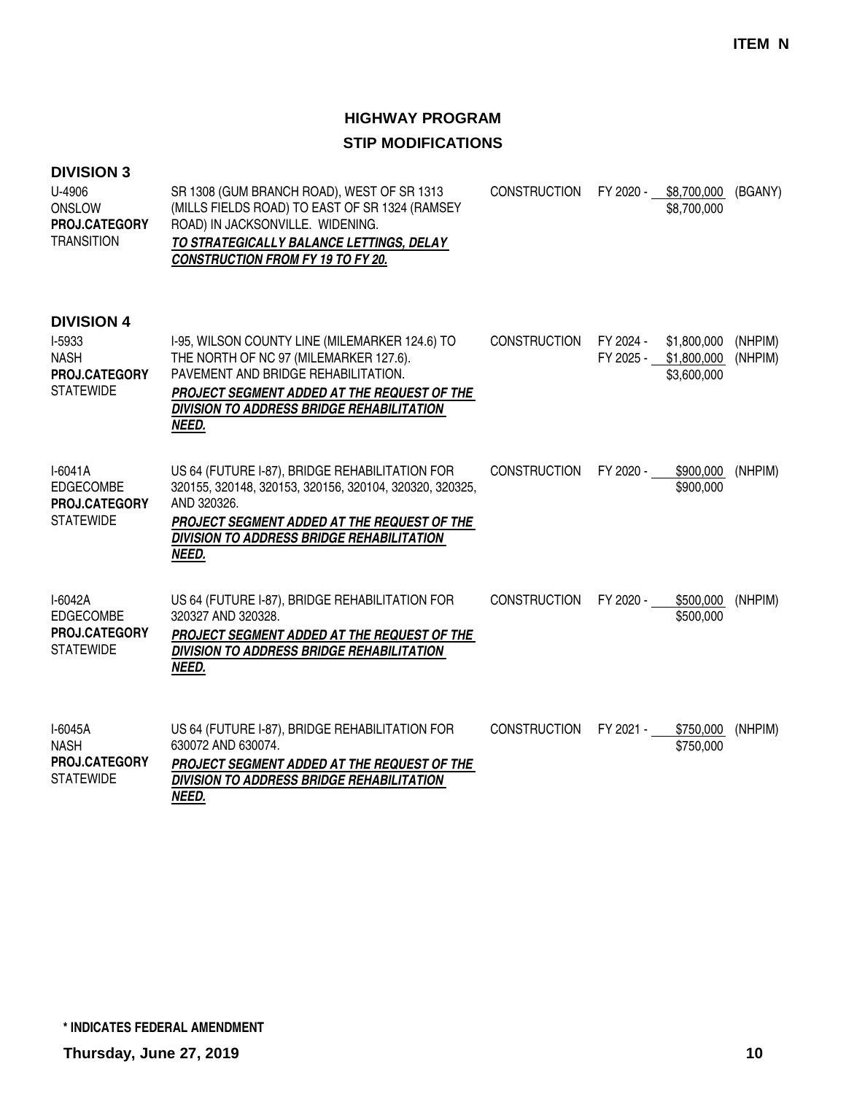| <b>DIVISION 3</b><br>U-4906<br><b>ONSLOW</b><br>PROJ.CATEGORY<br><b>TRANSITION</b> | SR 1308 (GUM BRANCH ROAD), WEST OF SR 1313<br>(MILLS FIELDS ROAD) TO EAST OF SR 1324 (RAMSEY<br>ROAD) IN JACKSONVILLE. WIDENING.<br>TO STRATEGICALLY BALANCE LETTINGS, DELAY<br><b>CONSTRUCTION FROM FY 19 TO FY 20.</b>                    | <b>CONSTRUCTION</b> | FY 2020 -              | \$8,700,000<br>\$8,700,000                | (BGANY)            |
|------------------------------------------------------------------------------------|---------------------------------------------------------------------------------------------------------------------------------------------------------------------------------------------------------------------------------------------|---------------------|------------------------|-------------------------------------------|--------------------|
| <b>DIVISION 4</b><br>I-5933<br><b>NASH</b><br>PROJ.CATEGORY<br><b>STATEWIDE</b>    | I-95, WILSON COUNTY LINE (MILEMARKER 124.6) TO<br>THE NORTH OF NC 97 (MILEMARKER 127.6).<br>PAVEMENT AND BRIDGE REHABILITATION.<br>PROJECT SEGMENT ADDED AT THE REQUEST OF THE<br><b>DIVISION TO ADDRESS BRIDGE REHABILITATION</b><br>NEED. | <b>CONSTRUCTION</b> | FY 2024 -<br>FY 2025 - | \$1,800,000<br>\$1,800,000<br>\$3,600,000 | (NHPIM)<br>(NHPIM) |
| $I-6041A$<br><b>EDGECOMBE</b><br><b>PROJ.CATEGORY</b><br><b>STATEWIDE</b>          | US 64 (FUTURE I-87), BRIDGE REHABILITATION FOR<br>320155, 320148, 320153, 320156, 320104, 320320, 320325,<br>AND 320326.<br><b>PROJECT SEGMENT ADDED AT THE REQUEST OF THE</b><br><b>DIVISION TO ADDRESS BRIDGE REHABILITATION</b><br>NEED. | <b>CONSTRUCTION</b> | FY 2020 -              | \$900,000<br>\$900,000                    | (NHPIM)            |
| I-6042A<br><b>EDGECOMBE</b><br>PROJ.CATEGORY<br><b>STATEWIDE</b>                   | US 64 (FUTURE I-87), BRIDGE REHABILITATION FOR<br>320327 AND 320328.<br>PROJECT SEGMENT ADDED AT THE REQUEST OF THE<br><b>DIVISION TO ADDRESS BRIDGE REHABILITATION</b><br>NEED.                                                            | <b>CONSTRUCTION</b> | FY 2020 -              | \$500,000<br>\$500,000                    | (NHPIM)            |
| I-6045A<br><b>NASH</b><br>PROJ.CATEGORY<br><b>STATEWIDE</b>                        | US 64 (FUTURE I-87), BRIDGE REHABILITATION FOR<br>630072 AND 630074.<br>PROJECT SEGMENT ADDED AT THE REQUEST OF THE<br><b>DIVISION TO ADDRESS BRIDGE REHABILITATION</b><br>NEED.                                                            | <b>CONSTRUCTION</b> | FY 2021 -              | \$750,000<br>\$750,000                    | (NHPIM)            |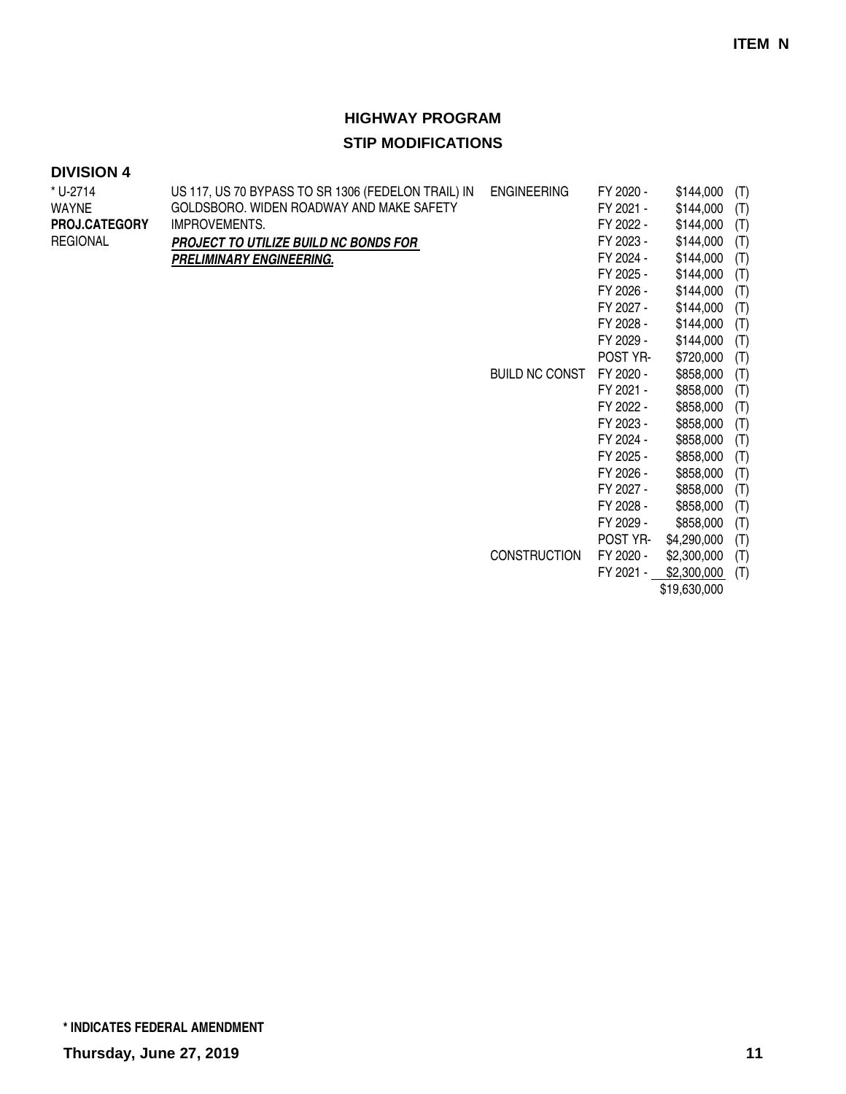### **DIVISION 4**

| * U-2714        | US 117, US 70 BYPASS TO SR 1306 (FEDELON TRAIL) IN | <b>ENGINEERING</b>    | FY 2020 - | \$144,000   | (T) |
|-----------------|----------------------------------------------------|-----------------------|-----------|-------------|-----|
| <b>WAYNE</b>    | GOLDSBORO. WIDEN ROADWAY AND MAKE SAFETY           |                       | FY 2021 - | \$144,000   | (T) |
| PROJ.CATEGORY   | IMPROVEMENTS.                                      |                       | FY 2022 - | \$144,000   | (T) |
| <b>REGIONAL</b> | <b>PROJECT TO UTILIZE BUILD NC BONDS FOR</b>       |                       | FY 2023 - | \$144,000   | (T) |
|                 | <b>PRELIMINARY ENGINEERING.</b>                    |                       | FY 2024 - | \$144,000   | (T) |
|                 |                                                    |                       | FY 2025 - | \$144,000   | (T) |
|                 |                                                    |                       | FY 2026 - | \$144,000   | (T) |
|                 |                                                    |                       | FY 2027 - | \$144,000   | (T) |
|                 |                                                    |                       | FY 2028 - | \$144,000   | (T) |
|                 |                                                    |                       | FY 2029 - | \$144,000   | (T) |
|                 |                                                    |                       | POST YR-  | \$720,000   | (T) |
|                 |                                                    | <b>BUILD NC CONST</b> | FY 2020 - | \$858,000   | (T) |
|                 |                                                    |                       | FY 2021 - | \$858,000   | (T) |
|                 |                                                    |                       | FY 2022 - | \$858,000   | (T) |
|                 |                                                    |                       | FY 2023 - | \$858,000   | (T) |
|                 |                                                    |                       | FY 2024 - | \$858,000   | (T) |
|                 |                                                    |                       | FY 2025 - | \$858,000   | (T) |
|                 |                                                    |                       | FY 2026 - | \$858,000   | (T) |
|                 |                                                    |                       | FY 2027 - | \$858,000   | (T) |
|                 |                                                    |                       | FY 2028 - | \$858,000   | (T) |
|                 |                                                    |                       | FY 2029 - | \$858,000   | (T) |
|                 |                                                    |                       | POST YR-  | \$4,290,000 | (T) |
|                 |                                                    | <b>CONSTRUCTION</b>   | FY 2020 - | \$2,300,000 | (T) |
|                 |                                                    |                       | FY 2021 - | \$2,300,000 | (T) |
|                 |                                                    |                       |           |             |     |

\$19,630,000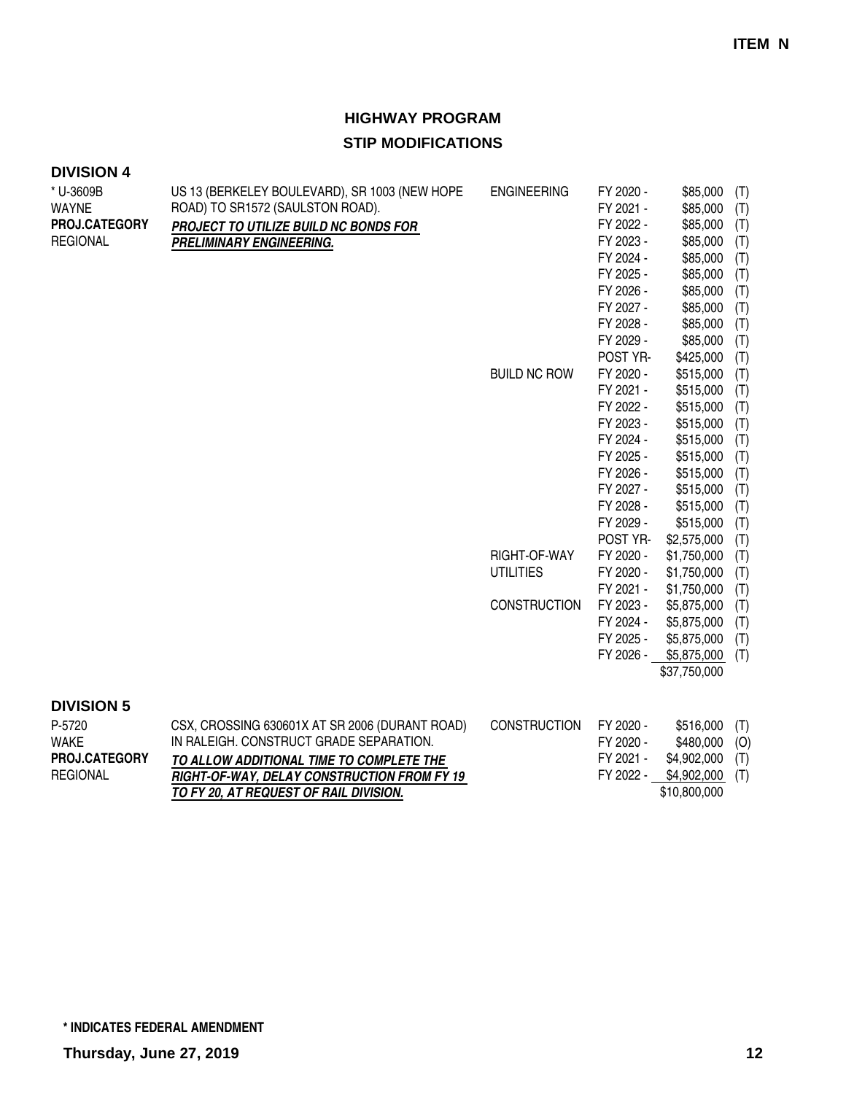| <b>DIVISION 4</b>         |                                                                                   |                     |                        |                             |            |
|---------------------------|-----------------------------------------------------------------------------------|---------------------|------------------------|-----------------------------|------------|
| * U-3609B<br><b>WAYNE</b> | US 13 (BERKELEY BOULEVARD), SR 1003 (NEW HOPE<br>ROAD) TO SR1572 (SAULSTON ROAD). | <b>ENGINEERING</b>  | FY 2020 -<br>FY 2021 - | \$85,000<br>\$85,000        | (T)<br>(T) |
| PROJ.CATEGORY             | PROJECT TO UTILIZE BUILD NC BONDS FOR                                             |                     | FY 2022 -              | \$85,000                    | (T)        |
| <b>REGIONAL</b>           | <b>PRELIMINARY ENGINEERING.</b>                                                   |                     | FY 2023 -              | \$85,000                    | (T)        |
|                           |                                                                                   |                     | FY 2024 -              | \$85,000                    | (T)        |
|                           |                                                                                   |                     | FY 2025 -              | \$85,000                    | (T)        |
|                           |                                                                                   |                     | FY 2026 -              | \$85,000                    | (T)        |
|                           |                                                                                   |                     | FY 2027 -              | \$85,000                    | (T)        |
|                           |                                                                                   |                     | FY 2028 -              | \$85,000                    | (T)        |
|                           |                                                                                   |                     | FY 2029 -              | \$85,000                    | (T)        |
|                           |                                                                                   |                     | POST YR-               | \$425,000                   | (T)        |
|                           |                                                                                   | <b>BUILD NC ROW</b> | FY 2020 -              | \$515,000                   | (T)        |
|                           |                                                                                   |                     | FY 2021 -              | \$515,000                   | (T)        |
|                           |                                                                                   |                     | FY 2022 -              | \$515,000                   | (T)        |
|                           |                                                                                   |                     | FY 2023 -              | \$515,000                   | (T)        |
|                           |                                                                                   |                     | FY 2024 -              | \$515,000                   | (T)        |
|                           |                                                                                   |                     | FY 2025 -              | \$515,000                   | (T)        |
|                           |                                                                                   |                     | FY 2026 -              | \$515,000                   | (T)        |
|                           |                                                                                   |                     | FY 2027 -              | \$515,000                   | (T)        |
|                           |                                                                                   |                     | FY 2028 -              | \$515,000                   | (T)        |
|                           |                                                                                   |                     | FY 2029 -              | \$515,000                   | (T)        |
|                           |                                                                                   |                     | POST YR-               | \$2,575,000                 | (T)        |
|                           |                                                                                   | RIGHT-OF-WAY        | FY 2020 -              | \$1,750,000                 | (T)        |
|                           |                                                                                   | <b>UTILITIES</b>    | FY 2020 -              | \$1,750,000                 | (T)        |
|                           |                                                                                   |                     | FY 2021 -              | \$1,750,000                 | (T)        |
|                           |                                                                                   | <b>CONSTRUCTION</b> | FY 2023 -              | \$5,875,000                 | (T)        |
|                           |                                                                                   |                     | FY 2024 -              | \$5,875,000                 | (T)        |
|                           |                                                                                   |                     | FY 2025 -<br>FY 2026 - | \$5,875,000                 | (T)        |
|                           |                                                                                   |                     |                        | \$5,875,000<br>\$37,750,000 | (T)        |
|                           |                                                                                   |                     |                        |                             |            |
| <b>DIVISION 5</b>         |                                                                                   |                     |                        |                             |            |
| P-5720                    | CSX, CROSSING 630601X AT SR 2006 (DURANT ROAD)                                    | <b>CONSTRUCTION</b> | FY 2020 -              | \$516,000                   | (T)        |
| <b>WAKE</b>               | IN RALEIGH. CONSTRUCT GRADE SEPARATION.                                           |                     | FY 2020 -              | \$480,000                   | (O)        |
| PROJ.CATEGORY             | TO ALLOW ADDITIONAL TIME TO COMPLETE THE                                          |                     | FY 2021 -              | \$4,902,000                 | (T)        |
| <b>REGIONAL</b>           | RIGHT-OF-WAY, DELAY CONSTRUCTION FROM FY 19                                       |                     | FY 2022 -              | \$4,902,000                 | (T)        |
|                           | TO FY 20, AT REQUEST OF RAIL DIVISION.                                            |                     |                        | \$10,800,000                |            |
|                           |                                                                                   |                     |                        |                             |            |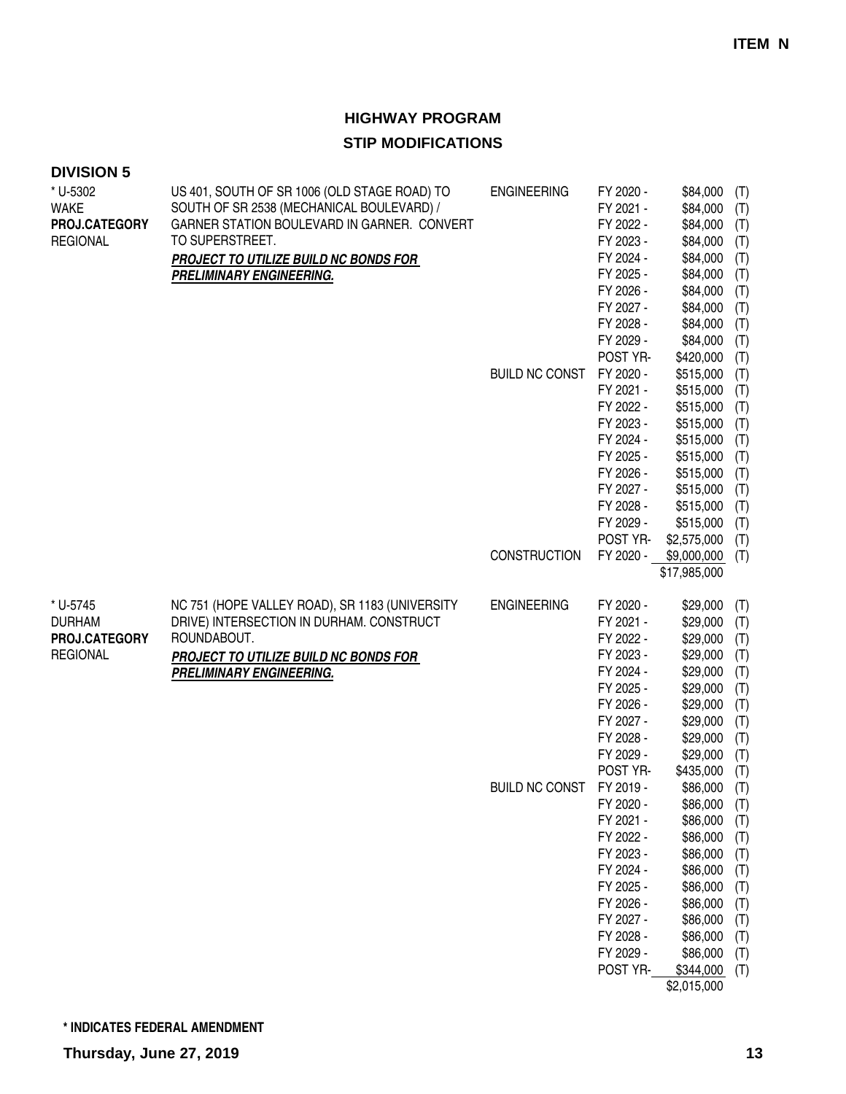| * U-5302<br><b>WAKE</b><br>PROJ.CATEGORY<br><b>REGIONAL</b>   | US 401, SOUTH OF SR 1006 (OLD STAGE ROAD) TO<br>SOUTH OF SR 2538 (MECHANICAL BOULEVARD) /<br>GARNER STATION BOULEVARD IN GARNER. CONVERT<br>TO SUPERSTREET.<br>PROJECT TO UTILIZE BUILD NC BONDS FOR<br><b>PRELIMINARY ENGINEERING.</b> | <b>ENGINEERING</b>    | FY 2020 -<br>FY 2021 -<br>FY 2022 -<br>FY 2023 -<br>FY 2024 -<br>FY 2025 -<br>FY 2026 -<br>FY 2027 -<br>FY 2028 -<br>FY 2029 -<br>POST YR-              | \$84,000<br>\$84,000<br>\$84,000<br>\$84,000<br>\$84,000<br>\$84,000<br>\$84,000<br>\$84,000<br>\$84,000<br>\$84,000                                         | (T)<br>(T)<br>(T)<br>(T)<br>(T)<br>(T)<br>(T)<br>(T)<br>(T)<br>(T)               |
|---------------------------------------------------------------|-----------------------------------------------------------------------------------------------------------------------------------------------------------------------------------------------------------------------------------------|-----------------------|---------------------------------------------------------------------------------------------------------------------------------------------------------|--------------------------------------------------------------------------------------------------------------------------------------------------------------|----------------------------------------------------------------------------------|
|                                                               |                                                                                                                                                                                                                                         | <b>BUILD NC CONST</b> | FY 2020 -<br>FY 2021 -<br>FY 2022 -<br>FY 2023 -<br>FY 2024 -<br>FY 2025 -<br>FY 2026 -<br>FY 2027 -<br>FY 2028 -<br>FY 2029 -<br>POST YR-              | \$420,000<br>\$515,000<br>\$515,000<br>\$515,000<br>\$515,000<br>\$515,000<br>\$515,000<br>\$515,000<br>\$515,000<br>\$515,000<br>\$515,000<br>\$2,575,000   | (T)<br>(T)<br>(T)<br>(T)<br>(T)<br>(T)<br>(T)<br>(T)<br>(T)<br>(T)<br>(T)<br>(T) |
|                                                               |                                                                                                                                                                                                                                         | <b>CONSTRUCTION</b>   | FY 2020 -                                                                                                                                               | \$9,000,000<br>\$17,985,000                                                                                                                                  | (T)                                                                              |
| * U-5745<br><b>DURHAM</b><br>PROJ.CATEGORY<br><b>REGIONAL</b> | NC 751 (HOPE VALLEY ROAD), SR 1183 (UNIVERSITY<br>DRIVE) INTERSECTION IN DURHAM. CONSTRUCT<br>ROUNDABOUT.<br>PROJECT TO UTILIZE BUILD NC BONDS FOR<br><b>PRELIMINARY ENGINEERING.</b>                                                   | <b>ENGINEERING</b>    | FY 2020 -<br>FY 2021 -<br>FY 2022 -<br>FY 2023 -<br>FY 2024 -<br>FY 2025 -<br>FY 2026 -<br>FY 2027 -<br>FY 2028 -<br>FY 2029 -<br>POST YR-              | \$29,000<br>\$29,000<br>\$29,000<br>\$29,000<br>\$29,000<br>\$29,000<br>\$29,000<br>\$29,000<br>\$29,000<br>\$29,000<br>\$435,000                            | (T)<br>(T)<br>(T)<br>(T)<br>(T)<br>(T)<br>(T)<br>(T)<br>(T)<br>(T)<br>(T)        |
|                                                               |                                                                                                                                                                                                                                         | <b>BUILD NC CONST</b> | FY 2019 -<br>FY 2020 -<br>FY 2021 -<br>FY 2022 -<br>FY 2023 -<br>FY 2024 -<br>FY 2025 -<br>FY 2026 -<br>FY 2027 -<br>FY 2028 -<br>FY 2029 -<br>POST YR- | \$86,000<br>\$86,000<br>\$86,000<br>\$86,000<br>\$86,000<br>\$86,000<br>\$86,000<br>\$86,000<br>\$86,000<br>\$86,000<br>\$86,000<br>\$344,000<br>\$2,015,000 | (T)<br>(T)<br>(T)<br>(T)<br>(T)<br>(T)<br>(T)<br>(T)<br>(T)<br>(T)<br>(T)<br>(T) |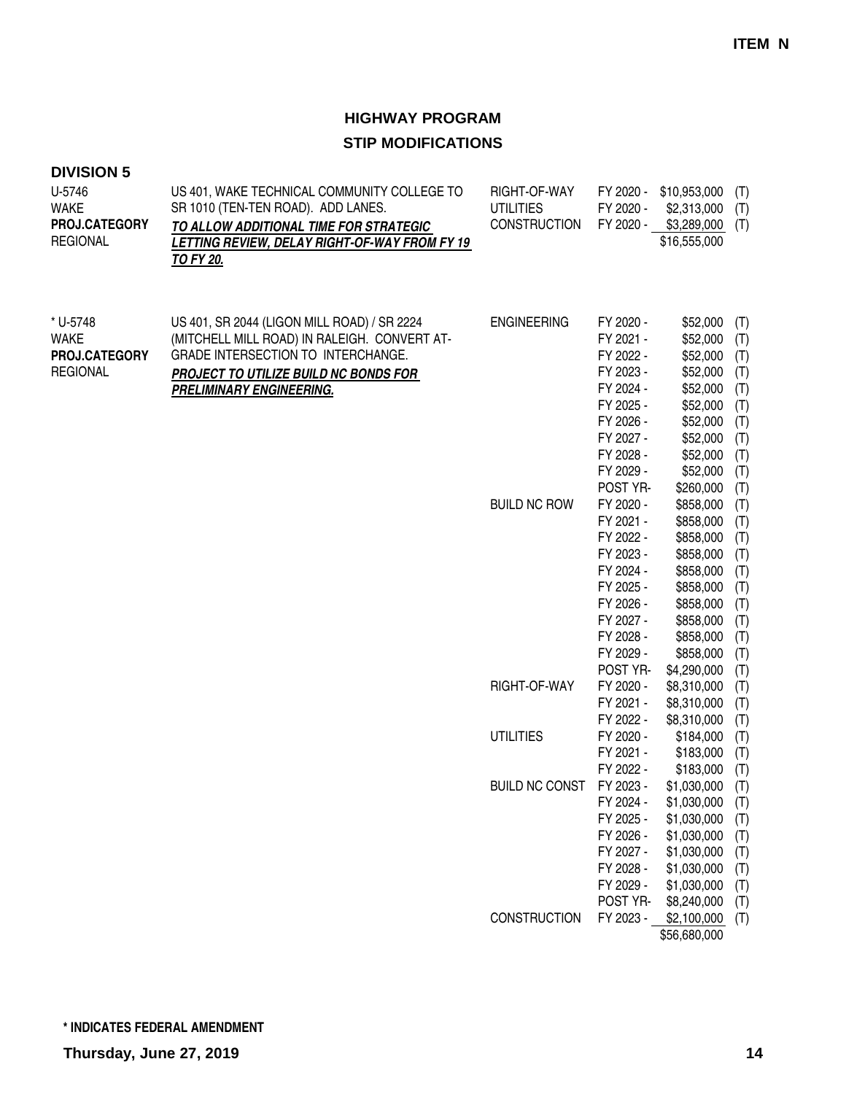| U-5746<br><b>WAKE</b><br>PROJ.CATEGORY<br><b>REGIONAL</b>   | US 401, WAKE TECHNICAL COMMUNITY COLLEGE TO<br>SR 1010 (TEN-TEN ROAD). ADD LANES.<br>TO ALLOW ADDITIONAL TIME FOR STRATEGIC<br>LETTING REVIEW, DELAY RIGHT-OF-WAY FROM FY 19<br>TO FY 20.                     | RIGHT-OF-WAY<br><b>UTILITIES</b><br><b>CONSTRUCTION</b> | FY 2020 -<br>FY 2020 -<br>FY 2020 -                                                                                                        | \$10,953,000<br>\$2,313,000<br>\$3,289,000<br>\$16,555,000                                                                                    | (T)<br>(T)<br>(T)                                                         |
|-------------------------------------------------------------|---------------------------------------------------------------------------------------------------------------------------------------------------------------------------------------------------------------|---------------------------------------------------------|--------------------------------------------------------------------------------------------------------------------------------------------|-----------------------------------------------------------------------------------------------------------------------------------------------|---------------------------------------------------------------------------|
| * U-5748<br><b>WAKE</b><br>PROJ.CATEGORY<br><b>REGIONAL</b> | US 401, SR 2044 (LIGON MILL ROAD) / SR 2224<br>(MITCHELL MILL ROAD) IN RALEIGH. CONVERT AT-<br>GRADE INTERSECTION TO INTERCHANGE.<br>PROJECT TO UTILIZE BUILD NC BONDS FOR<br><b>PRELIMINARY ENGINEERING.</b> | <b>ENGINEERING</b>                                      | FY 2020 -<br>FY 2021 -<br>FY 2022 -<br>FY 2023 -<br>FY 2024 -<br>FY 2025 -<br>FY 2026 -<br>FY 2027 -<br>FY 2028 -<br>FY 2029 -<br>POST YR- | \$52,000<br>\$52,000<br>\$52,000<br>\$52,000<br>\$52,000<br>\$52,000<br>\$52,000<br>\$52,000<br>\$52,000<br>\$52,000<br>\$260,000             | (T)<br>(T)<br>(T)<br>(T)<br>(T)<br>(T)<br>(T)<br>(T)<br>(T)<br>(T)<br>(T) |
|                                                             |                                                                                                                                                                                                               | <b>BUILD NC ROW</b>                                     | FY 2020 -<br>FY 2021 -<br>FY 2022 -<br>FY 2023 -<br>FY 2024 -<br>FY 2025 -<br>FY 2026 -<br>FY 2027 -<br>FY 2028 -<br>FY 2029 -<br>POST YR- | \$858,000<br>\$858,000<br>\$858,000<br>\$858,000<br>\$858,000<br>\$858,000<br>\$858,000<br>\$858,000<br>\$858,000<br>\$858,000<br>\$4,290,000 | (T)<br>(T)<br>(T)<br>(T)<br>(T)<br>(T)<br>(T)<br>(T)<br>(T)<br>(T)<br>(T) |
|                                                             |                                                                                                                                                                                                               | RIGHT-OF-WAY                                            | FY 2020 -<br>FY 2021 -<br>FY 2022 -                                                                                                        | \$8,310,000<br>\$8,310,000<br>\$8,310,000                                                                                                     | (T)<br>(T)<br>(T)                                                         |
|                                                             |                                                                                                                                                                                                               | <b>UTILITIES</b>                                        | FY 2020 -<br>FY 2021 -<br>FY 2022 -                                                                                                        | \$184,000<br>\$183,000<br>\$183,000                                                                                                           | (T)<br>(T)<br>(T)                                                         |
|                                                             |                                                                                                                                                                                                               | <b>BUILD NC CONST</b>                                   | FY 2023 -<br>FY 2024 -<br>FY 2025 -<br>FY 2026 -<br>FY 2027 -<br>FY 2028 -<br>FY 2029 -<br>POST YR-                                        | \$1,030,000<br>\$1,030,000<br>\$1,030,000<br>\$1,030,000<br>\$1,030,000<br>\$1,030,000<br>\$1,030,000<br>\$8,240,000                          | (T)<br>(T)<br>(T)<br>(T)<br>(T)<br>(T)<br>(T)<br>(T)                      |
|                                                             |                                                                                                                                                                                                               | <b>CONSTRUCTION</b>                                     | FY 2023 -                                                                                                                                  | \$2,100,000<br>\$56,680,000                                                                                                                   | (T)                                                                       |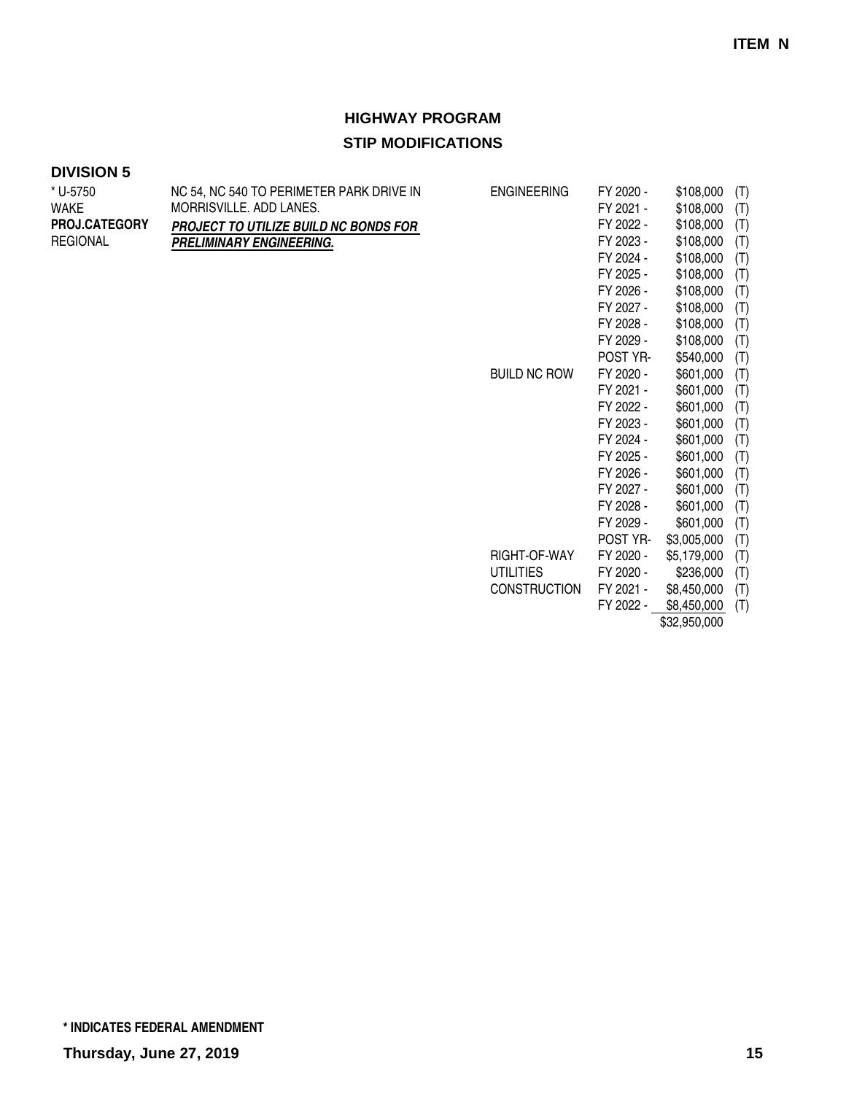#### **DIVISION 5**

| * U-5750             | NC 54, NC 540 TO PERIMETER PARK DRIVE IN | <b>ENGINEERING</b>  | FY 2020 - | \$108,000   | (T) |
|----------------------|------------------------------------------|---------------------|-----------|-------------|-----|
| WAKE                 | MORRISVILLE, ADD LANES.                  |                     | FY 2021 - | \$108,000   | (T) |
| <b>PROJ.CATEGORY</b> | PROJECT TO UTILIZE BUILD NC BONDS FOR    |                     | FY 2022 - | \$108,000   | (T) |
| <b>REGIONAL</b>      | <b>PRELIMINARY ENGINEERING.</b>          |                     | FY 2023 - | \$108,000   | (T) |
|                      |                                          |                     | FY 2024 - | \$108,000   | (T) |
|                      |                                          |                     | FY 2025 - | \$108,000   | (T) |
|                      |                                          |                     | FY 2026 - | \$108,000   | (T) |
|                      |                                          |                     | FY 2027 - | \$108,000   | (T) |
|                      |                                          |                     | FY 2028 - | \$108,000   | (T) |
|                      |                                          |                     | FY 2029 - | \$108,000   | (T) |
|                      |                                          |                     | POST YR-  | \$540,000   | (T) |
|                      |                                          | <b>BUILD NC ROW</b> | FY 2020 - | \$601,000   | (T) |
|                      |                                          |                     | FY 2021 - | \$601,000   | (T) |
|                      |                                          |                     | FY 2022 - | \$601,000   | (T) |
|                      |                                          |                     | FY 2023 - | \$601,000   | (T) |
|                      |                                          |                     | FY 2024 - | \$601,000   | (T) |
|                      |                                          |                     | FY 2025 - | \$601,000   | (T) |
|                      |                                          |                     | FY 2026 - | \$601,000   | (T) |
|                      |                                          |                     | FY 2027 - | \$601,000   | (T) |
|                      |                                          |                     | FY 2028 - | \$601,000   | (T) |
|                      |                                          |                     | FY 2029 - | \$601,000   | (T) |
|                      |                                          |                     | POST YR-  | \$3,005,000 | (T) |
|                      |                                          | RIGHT-OF-WAY        | FY 2020 - | \$5,179,000 | (T) |
|                      |                                          | 1.1711.17100        | H10000    | $\triangle$ |     |

UTILITIES FY 2020 - \$236,000 (T) CONSTRUCTION FY 2021 - \$8,450,000 (T) FY 2022 -  $$8,450,000$  (T)

\$32,950,000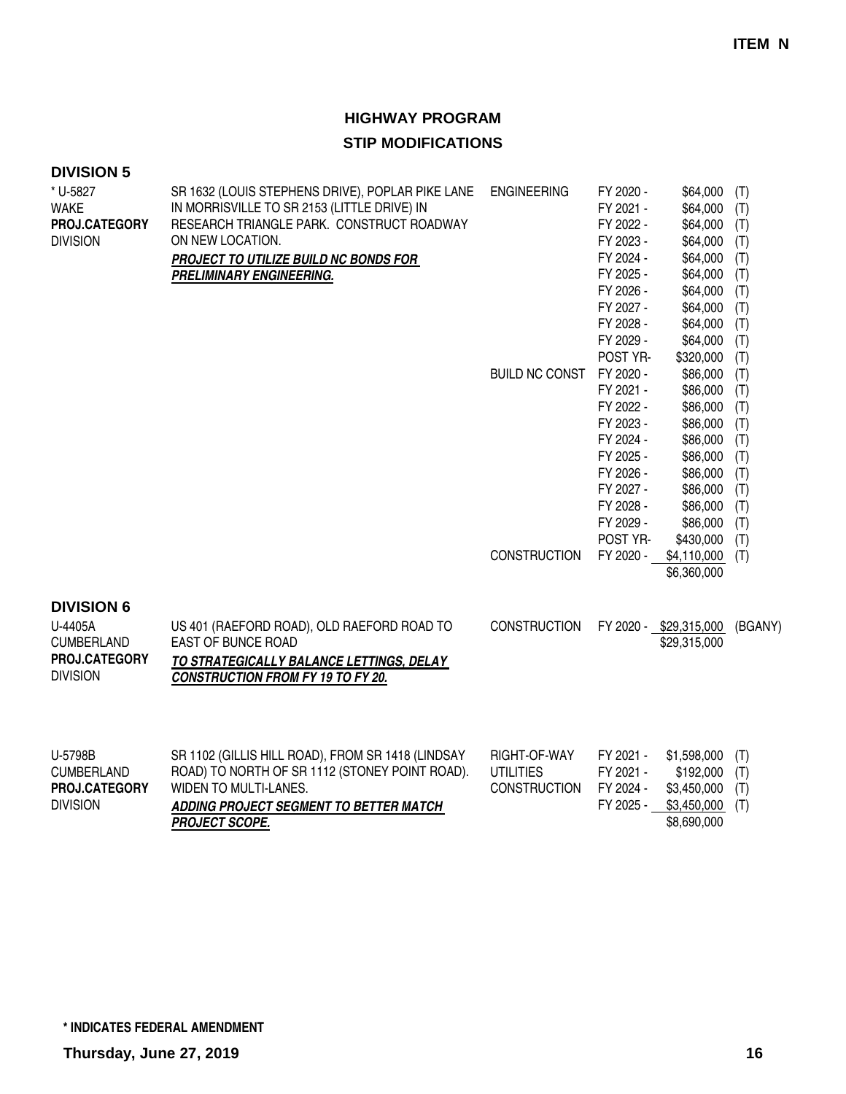# **HIGHWAY PROGRAM**

### **STIP MODIFICATIONS**

| * U-5827<br><b>WAKE</b><br>PROJ.CATEGORY<br><b>DIVISION</b>                           | SR 1632 (LOUIS STEPHENS DRIVE), POPLAR PIKE LANE<br>IN MORRISVILLE TO SR 2153 (LITTLE DRIVE) IN<br>RESEARCH TRIANGLE PARK. CONSTRUCT ROADWAY<br>ON NEW LOCATION.<br>PROJECT TO UTILIZE BUILD NC BONDS FOR<br><b>PRELIMINARY ENGINEERING.</b> | <b>ENGINEERING</b>                                      | FY 2020 -<br>FY 2021 -<br>FY 2022 -<br>FY 2023 -<br>FY 2024 -<br>FY 2025 -<br>FY 2026 -<br>FY 2027 -<br>FY 2028 -             | \$64,000<br>\$64,000<br>\$64,000<br>\$64,000<br>\$64,000<br>\$64,000<br>\$64,000<br>\$64,000<br>\$64,000              | (T)<br>(T)<br>(T)<br>(T)<br>(T)<br>(T)<br>(T)<br>(T)<br>(T)        |
|---------------------------------------------------------------------------------------|----------------------------------------------------------------------------------------------------------------------------------------------------------------------------------------------------------------------------------------------|---------------------------------------------------------|-------------------------------------------------------------------------------------------------------------------------------|-----------------------------------------------------------------------------------------------------------------------|--------------------------------------------------------------------|
|                                                                                       |                                                                                                                                                                                                                                              | <b>BUILD NC CONST</b>                                   | FY 2029 -<br>POST YR-<br>FY 2020 -<br>FY 2021 -<br>FY 2022 -<br>FY 2023 -<br>FY 2024 -<br>FY 2025 -<br>FY 2026 -<br>FY 2027 - | \$64,000<br>\$320,000<br>\$86,000<br>\$86,000<br>\$86,000<br>\$86,000<br>\$86,000<br>\$86,000<br>\$86,000<br>\$86,000 | (T)<br>(T)<br>(T)<br>(T)<br>(T)<br>(T)<br>(T)<br>(T)<br>(T)<br>(T) |
| <b>DIVISION 6</b><br>U-4405A<br><b>CUMBERLAND</b><br>PROJ.CATEGORY<br><b>DIVISION</b> | US 401 (RAEFORD ROAD), OLD RAEFORD ROAD TO<br>EAST OF BUNCE ROAD<br>TO STRATEGICALLY BALANCE LETTINGS, DELAY<br><b>CONSTRUCTION FROM FY 19 TO FY 20.</b>                                                                                     | <b>CONSTRUCTION</b><br><b>CONSTRUCTION</b>              | FY 2028 -<br>FY 2029 -<br>POST YR-<br>FY 2020 -                                                                               | \$86,000<br>\$86,000<br>\$430,000<br>\$4,110,000<br>\$6,360,000<br>FY 2020 - \$29,315,000<br>\$29,315,000             | (T)<br>(T)<br>(T)<br>(T)<br>(BGANY)                                |
| U-5798B<br><b>CUMBERLAND</b><br>PROJ.CATEGORY<br><b>DIVISION</b>                      | SR 1102 (GILLIS HILL ROAD), FROM SR 1418 (LINDSAY<br>ROAD) TO NORTH OF SR 1112 (STONEY POINT ROAD).<br>WIDEN TO MULTI-LANES.<br>ADDING PROJECT SEGMENT TO BETTER MATCH<br><b>PROJECT SCOPE.</b>                                              | RIGHT-OF-WAY<br><b>UTILITIES</b><br><b>CONSTRUCTION</b> | FY 2021 -<br>FY 2021 -<br>FY 2024 -<br>FY 2025 -                                                                              | \$1,598,000<br>\$192,000<br>\$3,450,000<br>\$3,450,000<br>\$8,690,000                                                 | (T)<br>(T)<br>(T)<br>(T)                                           |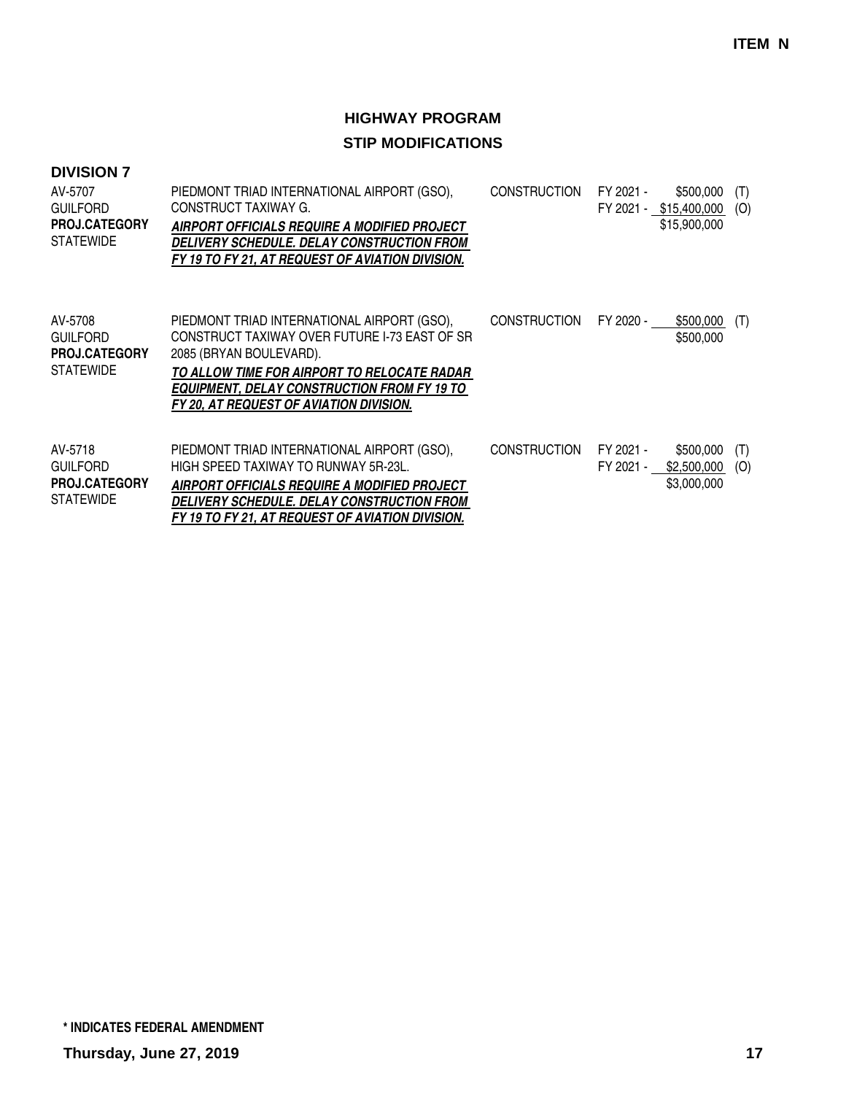| <b>DIVISION 7</b><br>AV-5707<br><b>GUILFORD</b><br>PROJ.CATEGORY<br><b>STATEWIDE</b> | PIEDMONT TRIAD INTERNATIONAL AIRPORT (GSO),<br>CONSTRUCT TAXIWAY G.<br>AIRPORT OFFICIALS REQUIRE A MODIFIED PROJECT<br>DELIVERY SCHEDULE. DELAY CONSTRUCTION FROM<br>FY 19 TO FY 21, AT REQUEST OF AVIATION DIVISION.                                                   | <b>CONSTRUCTION</b> | FY 2021 -              | \$500,000<br>FY 2021 - \$15,400,000<br>\$15,900,000 | (T)<br>(O) |
|--------------------------------------------------------------------------------------|-------------------------------------------------------------------------------------------------------------------------------------------------------------------------------------------------------------------------------------------------------------------------|---------------------|------------------------|-----------------------------------------------------|------------|
| AV-5708<br><b>GUILFORD</b><br><b>PROJ.CATEGORY</b><br><b>STATEWIDE</b>               | PIEDMONT TRIAD INTERNATIONAL AIRPORT (GSO),<br>CONSTRUCT TAXIWAY OVER FUTURE I-73 EAST OF SR<br>2085 (BRYAN BOULEVARD).<br>TO ALLOW TIME FOR AIRPORT TO RELOCATE RADAR<br><b>EQUIPMENT, DELAY CONSTRUCTION FROM FY 19 TO</b><br>FY 20, AT REQUEST OF AVIATION DIVISION. | <b>CONSTRUCTION</b> | FY 2020 -              | \$500,000<br>\$500,000                              | (T)        |
| AV-5718<br><b>GUILFORD</b><br><b>PROJ.CATEGORY</b><br><b>STATEWIDE</b>               | PIEDMONT TRIAD INTERNATIONAL AIRPORT (GSO),<br>HIGH SPEED TAXIWAY TO RUNWAY 5R-23L.<br>AIRPORT OFFICIALS REQUIRE A MODIFIED PROJECT<br>DELIVERY SCHEDULE. DELAY CONSTRUCTION FROM<br>FY 19 TO FY 21. AT REQUEST OF AVIATION DIVISION.                                   | <b>CONSTRUCTION</b> | FY 2021 -<br>FY 2021 - | \$500,000<br>\$2,500,000<br>\$3,000,000             | (T)<br>(O) |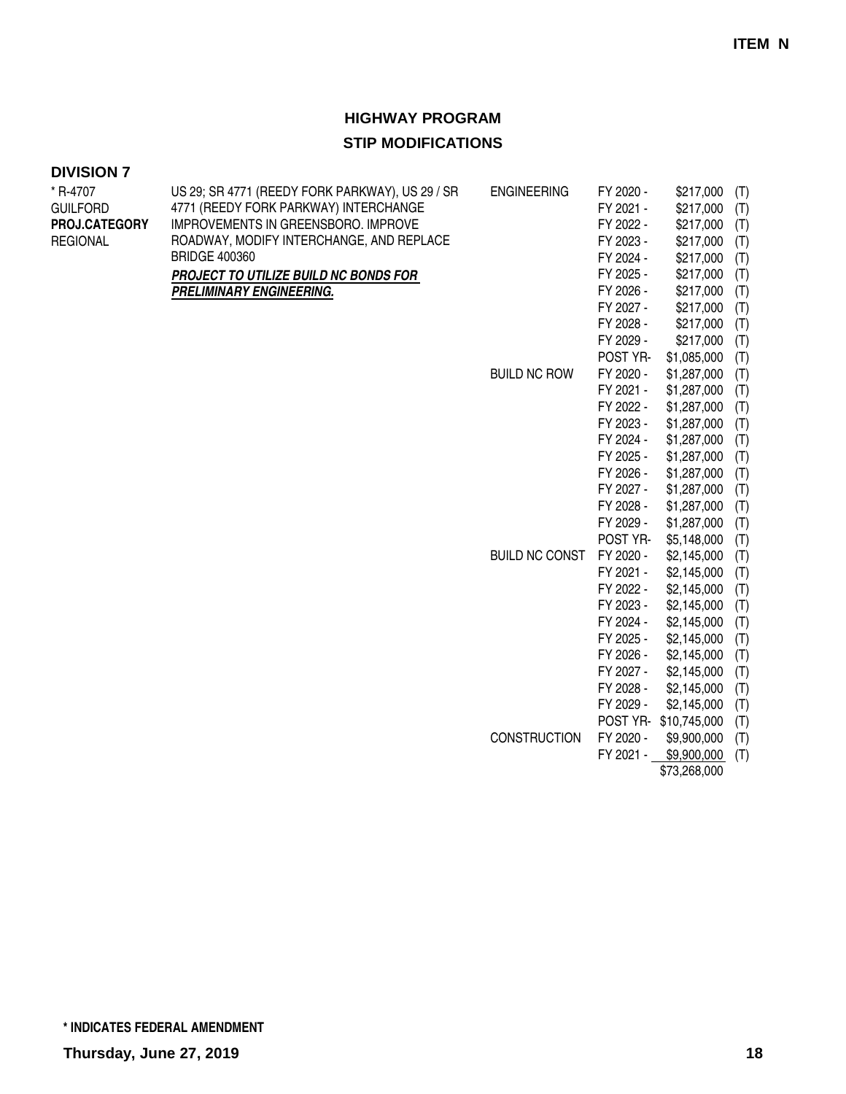# **HIGHWAY PROGRAM**

### **STIP MODIFICATIONS**

| * R-4707             | US 29; SR 4771 (REEDY FORK PARKWAY), US 29 / SR | <b>ENGINEERING</b>    | FY 2020 - | \$217,000    | (T) |
|----------------------|-------------------------------------------------|-----------------------|-----------|--------------|-----|
| <b>GUILFORD</b>      | 4771 (REEDY FORK PARKWAY) INTERCHANGE           |                       | FY 2021 - | \$217,000    | (T) |
| <b>PROJ.CATEGORY</b> | IMPROVEMENTS IN GREENSBORO. IMPROVE             |                       | FY 2022 - | \$217,000    | (T) |
| <b>REGIONAL</b>      | ROADWAY, MODIFY INTERCHANGE, AND REPLACE        |                       | FY 2023 - | \$217,000    | (T) |
|                      | <b>BRIDGE 400360</b>                            |                       | FY 2024 - | \$217,000    | (T) |
|                      | PROJECT TO UTILIZE BUILD NC BONDS FOR           |                       | FY 2025 - | \$217,000    | (T) |
|                      | PRELIMINARY ENGINEERING.                        |                       | FY 2026 - | \$217,000    | (T) |
|                      |                                                 |                       | FY 2027 - | \$217,000    | (T) |
|                      |                                                 |                       | FY 2028 - | \$217,000    | (T) |
|                      |                                                 |                       | FY 2029 - | \$217,000    | (T) |
|                      |                                                 |                       | POST YR-  | \$1,085,000  | (T) |
|                      |                                                 | <b>BUILD NC ROW</b>   | FY 2020 - | \$1,287,000  | (T) |
|                      |                                                 |                       | FY 2021 - | \$1,287,000  | (T) |
|                      |                                                 |                       | FY 2022 - | \$1,287,000  | (T) |
|                      |                                                 |                       | FY 2023 - | \$1,287,000  | (T) |
|                      |                                                 |                       | FY 2024 - | \$1,287,000  | (T) |
|                      |                                                 |                       | FY 2025 - | \$1,287,000  | (T) |
|                      |                                                 |                       | FY 2026 - | \$1,287,000  | (T) |
|                      |                                                 |                       | FY 2027 - | \$1,287,000  | (T) |
|                      |                                                 |                       | FY 2028 - | \$1,287,000  | (T) |
|                      |                                                 |                       | FY 2029 - | \$1,287,000  | (T) |
|                      |                                                 |                       | POST YR-  | \$5,148,000  | (T) |
|                      |                                                 | <b>BUILD NC CONST</b> | FY 2020 - | \$2,145,000  | (T) |
|                      |                                                 |                       | FY 2021 - | \$2,145,000  | (T) |
|                      |                                                 |                       | FY 2022 - | \$2,145,000  | (T) |
|                      |                                                 |                       | FY 2023 - | \$2,145,000  | (T) |
|                      |                                                 |                       | FY 2024 - | \$2,145,000  | (T) |
|                      |                                                 |                       | FY 2025 - | \$2,145,000  | (T) |
|                      |                                                 |                       | FY 2026 - | \$2,145,000  | (T) |
|                      |                                                 |                       | FY 2027 - | \$2,145,000  | (T) |
|                      |                                                 |                       | FY 2028 - | \$2,145,000  | (T) |
|                      |                                                 |                       | FY 2029 - | \$2,145,000  | (T) |
|                      |                                                 |                       | POST YR-  | \$10,745,000 | (T) |
|                      |                                                 | <b>CONSTRUCTION</b>   | FY 2020 - | \$9,900,000  | (T) |
|                      |                                                 |                       | FY 2021 - | \$9,900,000  | (T) |
|                      |                                                 |                       |           | \$73,268,000 |     |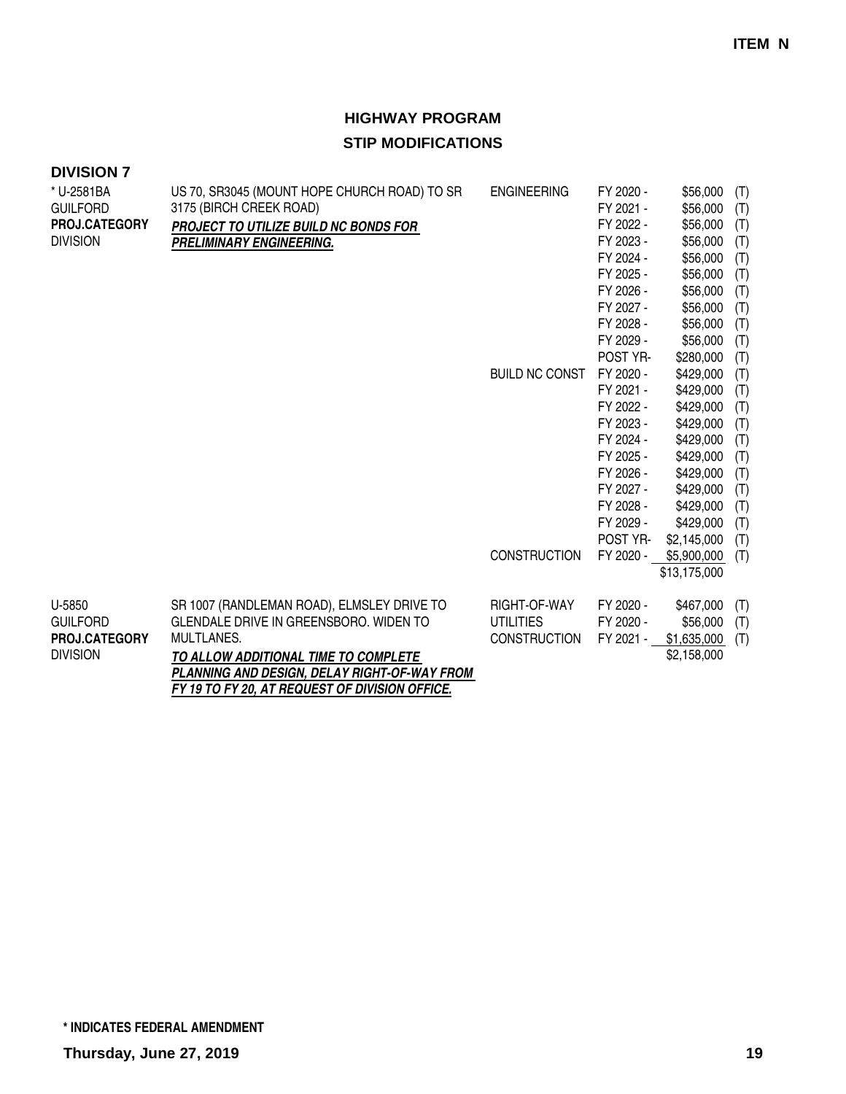| <b>DIVISION 7</b> |                                                |                       |           |              |     |
|-------------------|------------------------------------------------|-----------------------|-----------|--------------|-----|
| * U-2581BA        | US 70, SR3045 (MOUNT HOPE CHURCH ROAD) TO SR   | <b>ENGINEERING</b>    | FY 2020 - | \$56,000     | (T) |
| <b>GUILFORD</b>   | 3175 (BIRCH CREEK ROAD)                        |                       | FY 2021 - | \$56,000     | (T) |
| PROJ.CATEGORY     | PROJECT TO UTILIZE BUILD NC BONDS FOR          |                       | FY 2022 - | \$56,000     | (T) |
| <b>DIVISION</b>   | PRELIMINARY ENGINEERING.                       |                       | FY 2023 - | \$56,000     | (T) |
|                   |                                                |                       | FY 2024 - | \$56,000     | (T) |
|                   |                                                |                       | FY 2025 - | \$56,000     | (T) |
|                   |                                                |                       | FY 2026 - | \$56,000     | (T) |
|                   |                                                |                       | FY 2027 - | \$56,000     | (T) |
|                   |                                                |                       | FY 2028 - | \$56,000     | (T) |
|                   |                                                |                       | FY 2029 - | \$56,000     | (T) |
|                   |                                                |                       | POST YR-  | \$280,000    | (T) |
|                   |                                                | <b>BUILD NC CONST</b> | FY 2020 - | \$429,000    | (T) |
|                   |                                                |                       | FY 2021 - | \$429,000    | (T) |
|                   |                                                |                       | FY 2022 - | \$429,000    | (T) |
|                   |                                                |                       | FY 2023 - | \$429,000    | (T) |
|                   |                                                |                       | FY 2024 - | \$429,000    | (T) |
|                   |                                                |                       | FY 2025 - | \$429,000    | (T) |
|                   |                                                |                       | FY 2026 - | \$429,000    | (T) |
|                   |                                                |                       | FY 2027 - | \$429,000    | (T) |
|                   |                                                |                       | FY 2028 - | \$429,000    | (T) |
|                   |                                                |                       | FY 2029 - | \$429,000    | (T) |
|                   |                                                |                       | POST YR-  | \$2,145,000  | (T) |
|                   |                                                | <b>CONSTRUCTION</b>   | FY 2020 - | \$5,900,000  | (T) |
|                   |                                                |                       |           | \$13,175,000 |     |
| U-5850            | SR 1007 (RANDLEMAN ROAD), ELMSLEY DRIVE TO     | RIGHT-OF-WAY          | FY 2020 - | \$467,000    | (T) |
| <b>GUILFORD</b>   | GLENDALE DRIVE IN GREENSBORO. WIDEN TO         | <b>UTILITIES</b>      | FY 2020 - | \$56,000     | (T) |
| PROJ.CATEGORY     | MULTLANES.                                     | CONSTRUCTION          | FY 2021 - | \$1,635,000  | (T) |
| <b>DIVISION</b>   | TO ALLOW ADDITIONAL TIME TO COMPLETE           |                       |           | \$2,158,000  |     |
|                   | PLANNING AND DESIGN, DELAY RIGHT-OF-WAY FROM   |                       |           |              |     |
|                   | FY 19 TO FY 20, AT REQUEST OF DIVISION OFFICE. |                       |           |              |     |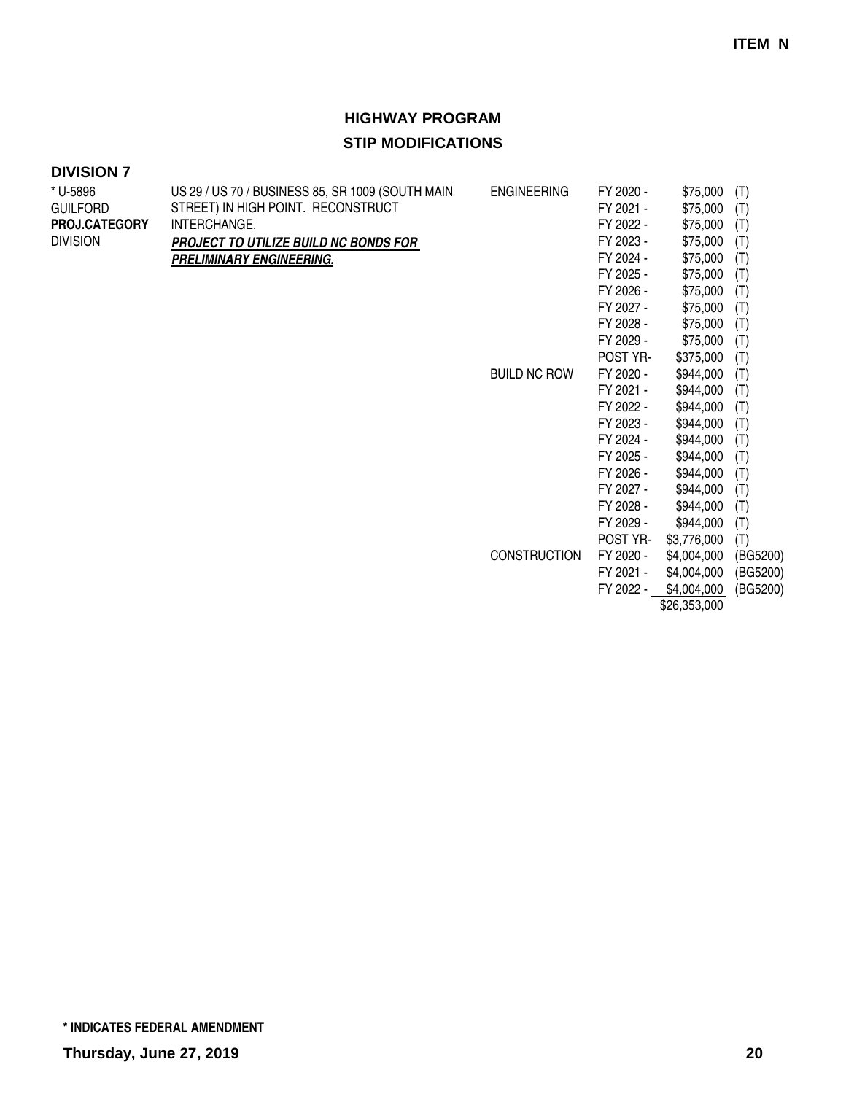# **HIGHWAY PROGRAM**

### **STIP MODIFICATIONS**

| * U-5896        | US 29 / US 70 / BUSINESS 85, SR 1009 (SOUTH MAIN | <b>ENGINEERING</b>  | FY 2020 - | \$75,000     | (T)      |
|-----------------|--------------------------------------------------|---------------------|-----------|--------------|----------|
| <b>GUILFORD</b> | STREET) IN HIGH POINT. RECONSTRUCT               |                     | FY 2021 - | \$75,000     | (T)      |
| PROJ.CATEGORY   | INTERCHANGE.                                     |                     | FY 2022 - | \$75,000     | (T)      |
| <b>DIVISION</b> | PROJECT TO UTILIZE BUILD NC BONDS FOR            |                     | FY 2023 - | \$75,000     | (T)      |
|                 | PRELIMINARY ENGINEERING.                         |                     | FY 2024 - | \$75,000     | (T)      |
|                 |                                                  |                     | FY 2025 - | \$75,000     | (T)      |
|                 |                                                  |                     | FY 2026 - | \$75,000     | (T)      |
|                 |                                                  |                     | FY 2027 - | \$75,000     | (T)      |
|                 |                                                  |                     | FY 2028 - | \$75,000     | (T)      |
|                 |                                                  |                     | FY 2029 - | \$75,000     | (T)      |
|                 |                                                  |                     | POST YR-  | \$375,000    | (T)      |
|                 |                                                  | <b>BUILD NC ROW</b> | FY 2020 - | \$944,000    | (T)      |
|                 |                                                  |                     | FY 2021 - | \$944,000    | (T)      |
|                 |                                                  |                     | FY 2022 - | \$944,000    | (T)      |
|                 |                                                  |                     | FY 2023 - | \$944,000    | (T)      |
|                 |                                                  |                     | FY 2024 - | \$944,000    | (T)      |
|                 |                                                  |                     | FY 2025 - | \$944,000    | (T)      |
|                 |                                                  |                     | FY 2026 - | \$944,000    | (T)      |
|                 |                                                  |                     | FY 2027 - | \$944,000    | (T)      |
|                 |                                                  |                     | FY 2028 - | \$944,000    | (T)      |
|                 |                                                  |                     | FY 2029 - | \$944,000    | (T)      |
|                 |                                                  |                     | POST YR-  | \$3,776,000  | (T)      |
|                 |                                                  | <b>CONSTRUCTION</b> | FY 2020 - | \$4,004,000  | (BG5200) |
|                 |                                                  |                     | FY 2021 - | \$4,004,000  | (BG5200) |
|                 |                                                  |                     | FY 2022 - | \$4,004,000  | (BG5200) |
|                 |                                                  |                     |           | \$26,353,000 |          |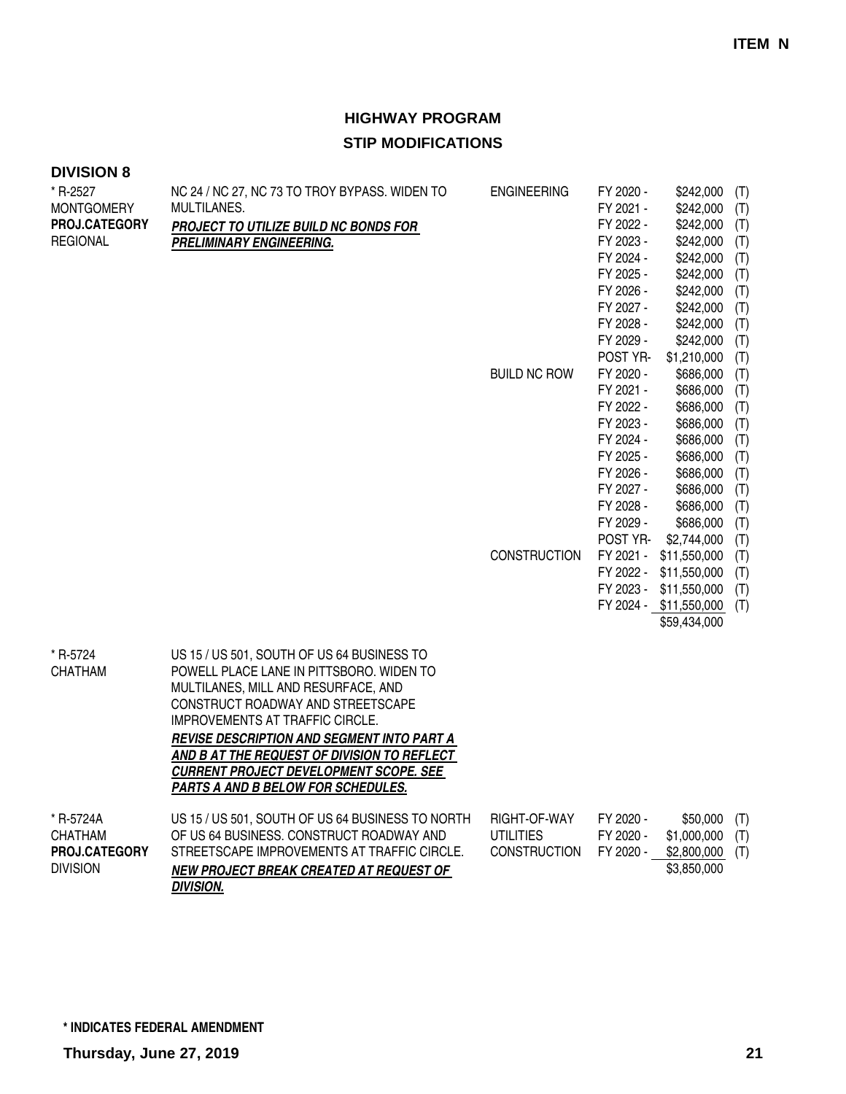| <b>DIVISION 8</b>                                                 |                                                                                                                                                                                                                                                                                                                                                                                                  |                                                         |                                                                                                                                                        |                                                                                                                                                                                        |                                                                                         |
|-------------------------------------------------------------------|--------------------------------------------------------------------------------------------------------------------------------------------------------------------------------------------------------------------------------------------------------------------------------------------------------------------------------------------------------------------------------------------------|---------------------------------------------------------|--------------------------------------------------------------------------------------------------------------------------------------------------------|----------------------------------------------------------------------------------------------------------------------------------------------------------------------------------------|-----------------------------------------------------------------------------------------|
| * R-2527<br><b>MONTGOMERY</b><br>PROJ.CATEGORY<br><b>REGIONAL</b> | NC 24 / NC 27, NC 73 TO TROY BYPASS. WIDEN TO<br>MULTILANES.<br>PROJECT TO UTILIZE BUILD NC BONDS FOR<br><b>PRELIMINARY ENGINEERING.</b>                                                                                                                                                                                                                                                         | <b>ENGINEERING</b>                                      | FY 2020 -<br>FY 2021 -<br>FY 2022 -<br>FY 2023 -<br>FY 2024 -<br>FY 2025 -<br>FY 2026 -<br>FY 2027 -<br>FY 2028 -<br>FY 2029 -                         | \$242,000<br>\$242,000<br>\$242,000<br>\$242,000<br>\$242,000<br>\$242,000<br>\$242,000<br>\$242,000<br>\$242,000<br>\$242,000                                                         | (T)<br>(T)<br>(T)<br>(T)<br>(T)<br>(T)<br>(T)<br>(T)<br>(T)<br>(T)                      |
|                                                                   |                                                                                                                                                                                                                                                                                                                                                                                                  | <b>BUILD NC ROW</b><br><b>CONSTRUCTION</b>              | POST YR-<br>FY 2020 -<br>FY 2021 -<br>FY 2022 -<br>FY 2023 -<br>FY 2024 -<br>FY 2025 -<br>FY 2026 -<br>FY 2027 -<br>FY 2028 -<br>FY 2029 -<br>POST YR- | \$1,210,000<br>\$686,000<br>\$686,000<br>\$686,000<br>\$686,000<br>\$686,000<br>\$686,000<br>\$686,000<br>\$686,000<br>\$686,000<br>\$686,000<br>\$2,744,000<br>FY 2021 - \$11,550,000 | (T)<br>(T)<br>(T)<br>(T)<br>(T)<br>(T)<br>(T)<br>(T)<br>(T)<br>(T)<br>(T)<br>(T)<br>(T) |
|                                                                   |                                                                                                                                                                                                                                                                                                                                                                                                  |                                                         |                                                                                                                                                        | FY 2022 - \$11,550,000<br>FY 2023 - \$11,550,000<br>FY 2024 - \$11,550,000<br>\$59,434,000                                                                                             | (T)<br>(T)<br>(T)                                                                       |
| * R-5724<br><b>CHATHAM</b>                                        | US 15 / US 501, SOUTH OF US 64 BUSINESS TO<br>POWELL PLACE LANE IN PITTSBORO. WIDEN TO<br>MULTILANES, MILL AND RESURFACE, AND<br>CONSTRUCT ROADWAY AND STREETSCAPE<br>IMPROVEMENTS AT TRAFFIC CIRCLE.<br><b>REVISE DESCRIPTION AND SEGMENT INTO PART A</b><br>AND B AT THE REQUEST OF DIVISION TO REFLECT<br><b>CURRENT PROJECT DEVELOPMENT SCOPE. SEE</b><br>PARTS A AND B BELOW FOR SCHEDULES. |                                                         |                                                                                                                                                        |                                                                                                                                                                                        |                                                                                         |
| * R-5724A<br><b>CHATHAM</b><br>PROJ.CATEGORY<br><b>DIVISION</b>   | US 15 / US 501, SOUTH OF US 64 BUSINESS TO NORTH<br>OF US 64 BUSINESS, CONSTRUCT ROADWAY AND<br>STREETSCAPE IMPROVEMENTS AT TRAFFIC CIRCLE.<br>NEW PROJECT BREAK CREATED AT REQUEST OF<br><b>DIVISION.</b>                                                                                                                                                                                       | RIGHT-OF-WAY<br><b>UTILITIES</b><br><b>CONSTRUCTION</b> | FY 2020 -<br>FY 2020 -<br>FY 2020 -                                                                                                                    | \$50,000<br>\$1,000,000<br>\$2,800,000<br>\$3,850,000                                                                                                                                  | (T)<br>(T)<br>(T)                                                                       |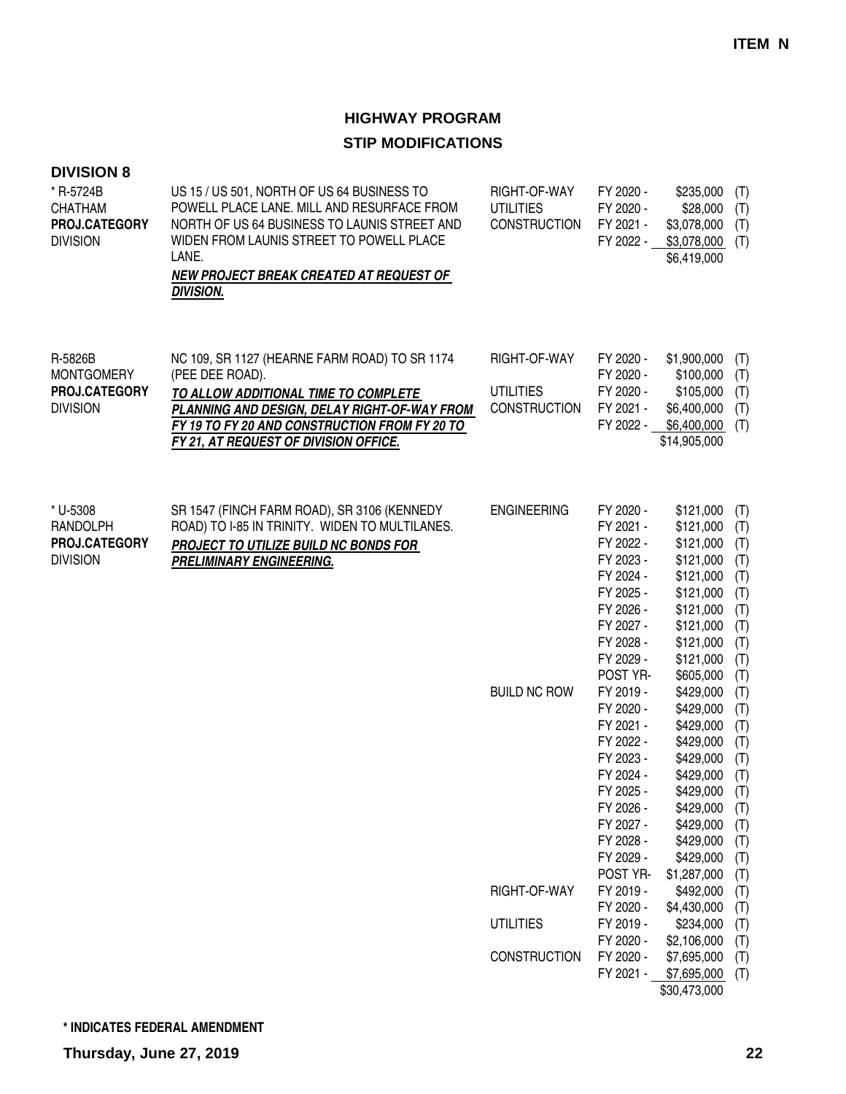| <b>DIVISION 8</b><br>* R-5724B<br><b>CHATHAM</b><br>PROJ.CATEGORY<br><b>DIVISION</b> | US 15 / US 501, NORTH OF US 64 BUSINESS TO<br>POWELL PLACE LANE. MILL AND RESURFACE FROM<br>NORTH OF US 64 BUSINESS TO LAUNIS STREET AND<br>WIDEN FROM LAUNIS STREET TO POWELL PLACE<br>LANE.<br>NEW PROJECT BREAK CREATED AT REQUEST OF<br><b>DIVISION.</b> | RIGHT-OF-WAY<br><b>UTILITIES</b><br><b>CONSTRUCTION</b> | FY 2020 -<br>FY 2020 -<br>FY 2021 -<br>FY 2022 -                                                                                                        | \$235,000<br>\$28,000<br>\$3,078,000<br>\$3,078,000<br>\$6,419,000                                                                                         | (T)<br>(T)<br>(T)<br>(T)                                                         |
|--------------------------------------------------------------------------------------|--------------------------------------------------------------------------------------------------------------------------------------------------------------------------------------------------------------------------------------------------------------|---------------------------------------------------------|---------------------------------------------------------------------------------------------------------------------------------------------------------|------------------------------------------------------------------------------------------------------------------------------------------------------------|----------------------------------------------------------------------------------|
| R-5826B<br><b>MONTGOMERY</b><br>PROJ.CATEGORY<br><b>DIVISION</b>                     | NC 109, SR 1127 (HEARNE FARM ROAD) TO SR 1174<br>(PEE DEE ROAD).<br>TO ALLOW ADDITIONAL TIME TO COMPLETE<br>PLANNING AND DESIGN, DELAY RIGHT-OF-WAY FROM<br>FY 19 TO FY 20 AND CONSTRUCTION FROM FY 20 TO<br>FY 21, AT REQUEST OF DIVISION OFFICE.           | RIGHT-OF-WAY<br><b>UTILITIES</b><br><b>CONSTRUCTION</b> | FY 2020 -<br>FY 2020 -<br>FY 2020 -<br>FY 2021 -<br>FY 2022 -                                                                                           | \$1,900,000<br>\$100,000<br>\$105,000<br>\$6,400,000<br>\$6,400,000<br>\$14,905,000                                                                        | (T)<br>(T)<br>(T)<br>(T)<br>(T)                                                  |
| * U-5308<br>RANDOLPH<br>PROJ.CATEGORY<br><b>DIVISION</b>                             | SR 1547 (FINCH FARM ROAD), SR 3106 (KENNEDY<br>ROAD) TO I-85 IN TRINITY. WIDEN TO MULTILANES.<br>PROJECT TO UTILIZE BUILD NC BONDS FOR<br>PRELIMINARY ENGINEERING.                                                                                           | <b>ENGINEERING</b>                                      | FY 2020 -<br>FY 2021 -<br>FY 2022 -<br>FY 2023 -<br>FY 2024 -<br>FY 2025 -<br>FY 2026 -<br>FY 2027 -<br>FY 2028 -<br>FY 2029 -<br>POST YR-              | \$121,000<br>\$121,000<br>\$121,000<br>\$121,000<br>\$121,000<br>\$121,000<br>\$121,000<br>\$121,000<br>\$121,000<br>\$121,000<br>\$605,000                | (T)<br>(T)<br>(T)<br>(T)<br>(T)<br>(T)<br>(T)<br>(T)<br>(T)<br>(T)<br>(T)        |
|                                                                                      |                                                                                                                                                                                                                                                              | <b>BUILD NC ROW</b>                                     | FY 2019 -<br>FY 2020 -<br>FY 2021 -<br>FY 2022 -<br>FY 2023 -<br>FY 2024 -<br>FY 2025 -<br>FY 2026 -<br>FY 2027 -<br>FY 2028 -<br>FY 2029 -<br>POST YR- | \$429,000<br>\$429,000<br>\$429,000<br>\$429,000<br>\$429,000<br>\$429,000<br>\$429,000<br>\$429,000<br>\$429,000<br>\$429,000<br>\$429,000<br>\$1,287,000 | (T)<br>(T)<br>(T)<br>(T)<br>(T)<br>(T)<br>(T)<br>(T)<br>(T)<br>(T)<br>(T)<br>(T) |
|                                                                                      |                                                                                                                                                                                                                                                              | RIGHT-OF-WAY                                            | FY 2019 -<br>FY 2020 -                                                                                                                                  | \$492,000<br>\$4,430,000                                                                                                                                   | (T)<br>(T)                                                                       |
|                                                                                      |                                                                                                                                                                                                                                                              | <b>UTILITIES</b>                                        | FY 2019 -<br>FY 2020 -                                                                                                                                  | \$234,000<br>\$2,106,000                                                                                                                                   | (T)<br>(T)                                                                       |
|                                                                                      |                                                                                                                                                                                                                                                              | <b>CONSTRUCTION</b>                                     | FY 2020 -<br>FY 2021 -                                                                                                                                  | \$7,695,000<br>\$7,695,000<br>\$30,473,000                                                                                                                 | (T)<br>(T)                                                                       |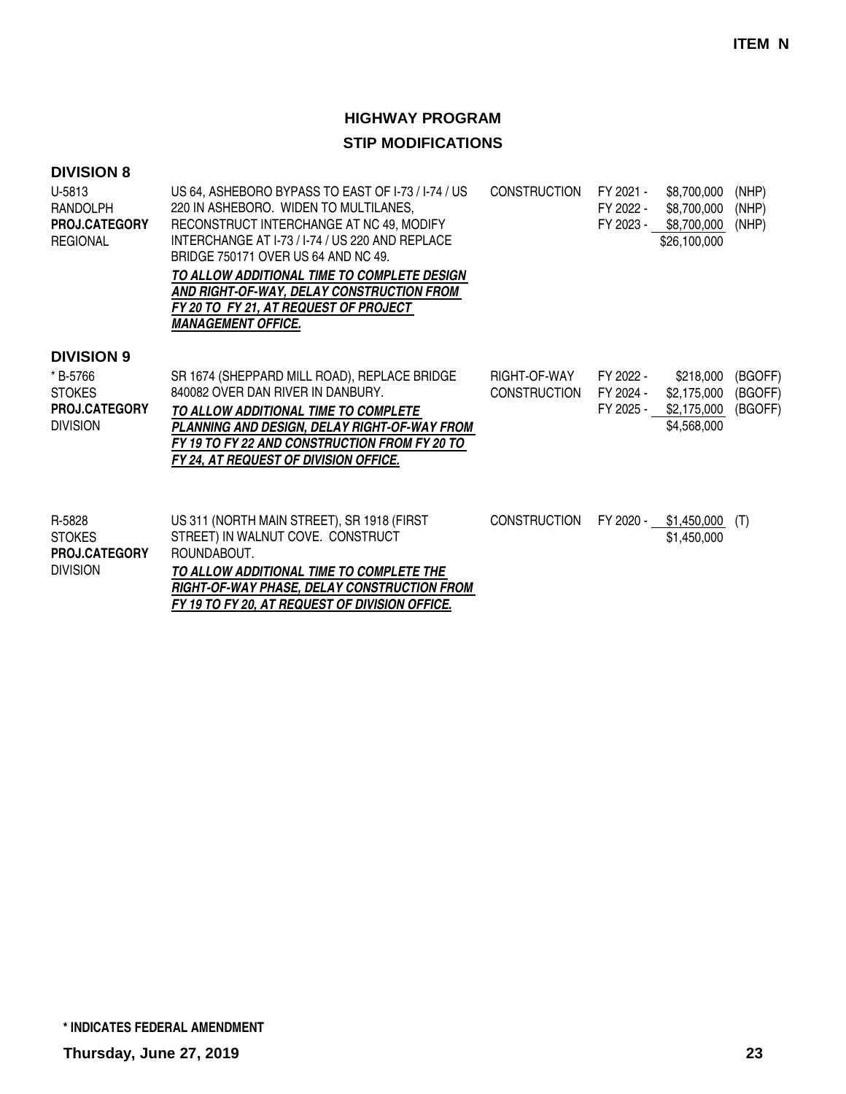| <b>DIVISION 8</b>                                                    |                                                                                                                                                                                                                                                                                                                                                                                                     |                                     |                                     |                                                           |                               |
|----------------------------------------------------------------------|-----------------------------------------------------------------------------------------------------------------------------------------------------------------------------------------------------------------------------------------------------------------------------------------------------------------------------------------------------------------------------------------------------|-------------------------------------|-------------------------------------|-----------------------------------------------------------|-------------------------------|
| U-5813<br><b>RANDOLPH</b><br><b>PROJ.CATEGORY</b><br><b>REGIONAL</b> | US 64, ASHEBORO BYPASS TO EAST OF 1-73 / 1-74 / US<br>220 IN ASHEBORO. WIDEN TO MULTILANES,<br>RECONSTRUCT INTERCHANGE AT NC 49, MODIFY<br>INTERCHANGE AT 1-73 / 1-74 / US 220 AND REPLACE<br>BRIDGE 750171 OVER US 64 AND NC 49.<br>TO ALLOW ADDITIONAL TIME TO COMPLETE DESIGN<br>AND RIGHT-OF-WAY, DELAY CONSTRUCTION FROM<br>FY 20 TO FY 21, AT REQUEST OF PROJECT<br><b>MANAGEMENT OFFICE.</b> | <b>CONSTRUCTION</b>                 | FY 2021 -<br>FY 2022 -<br>FY 2023 - | \$8,700,000<br>\$8,700,000<br>\$8,700,000<br>\$26,100,000 | (NHP)<br>(NHP)<br>(NHP)       |
| <b>DIVISION 9</b>                                                    |                                                                                                                                                                                                                                                                                                                                                                                                     |                                     |                                     |                                                           |                               |
| * B-5766<br><b>STOKES</b><br>PROJ.CATEGORY<br><b>DIVISION</b>        | SR 1674 (SHEPPARD MILL ROAD), REPLACE BRIDGE<br>840082 OVER DAN RIVER IN DANBURY.<br>TO ALLOW ADDITIONAL TIME TO COMPLETE<br>PLANNING AND DESIGN, DELAY RIGHT-OF-WAY FROM<br>FY 19 TO FY 22 AND CONSTRUCTION FROM FY 20 TO<br>FY 24, AT REQUEST OF DIVISION OFFICE.                                                                                                                                 | RIGHT-OF-WAY<br><b>CONSTRUCTION</b> | FY 2022 -<br>FY 2024 -<br>FY 2025 - | \$218,000<br>\$2,175,000<br>\$2,175,000<br>\$4,568,000    | (BGOFF)<br>(BGOFF)<br>(BGOFF) |
| R-5828<br><b>STOKES</b><br><b>PROJ.CATEGORY</b><br><b>DIVISION</b>   | US 311 (NORTH MAIN STREET), SR 1918 (FIRST<br>STREET) IN WALNUT COVE. CONSTRUCT<br>ROUNDABOUT.<br>TO ALLOW ADDITIONAL TIME TO COMPLETE THE<br>RIGHT-OF-WAY PHASE. DELAY CONSTRUCTION FROM                                                                                                                                                                                                           | <b>CONSTRUCTION</b>                 | FY 2020 -                           | \$1,450,000<br>\$1,450,000                                | (T)                           |

**FY 19 TO FY 20, AT REQUEST OF DIVISION OFFICE.**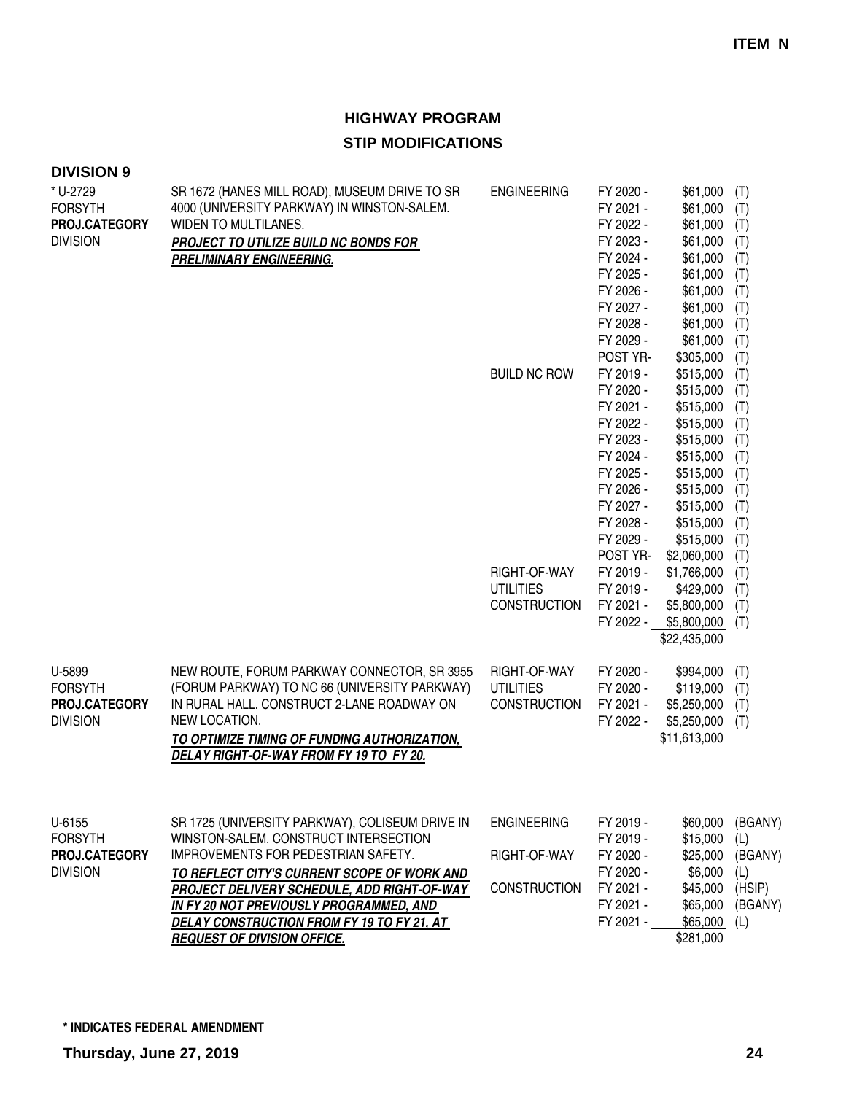| <b>DIVISION 9</b>                                              |                                                                                                                                                                                                                                                                                                                                                              |                                                                                                      |                                                                                                                                                                                                                                                                                                                                                           |                                                                                                                                                                                                                                                                                                                                                           |                                                                                                                                                                                    |
|----------------------------------------------------------------|--------------------------------------------------------------------------------------------------------------------------------------------------------------------------------------------------------------------------------------------------------------------------------------------------------------------------------------------------------------|------------------------------------------------------------------------------------------------------|-----------------------------------------------------------------------------------------------------------------------------------------------------------------------------------------------------------------------------------------------------------------------------------------------------------------------------------------------------------|-----------------------------------------------------------------------------------------------------------------------------------------------------------------------------------------------------------------------------------------------------------------------------------------------------------------------------------------------------------|------------------------------------------------------------------------------------------------------------------------------------------------------------------------------------|
| * U-2729<br><b>FORSYTH</b><br>PROJ.CATEGORY<br><b>DIVISION</b> | SR 1672 (HANES MILL ROAD), MUSEUM DRIVE TO SR<br>4000 (UNIVERSITY PARKWAY) IN WINSTON-SALEM.<br>WIDEN TO MULTILANES.<br>PROJECT TO UTILIZE BUILD NC BONDS FOR<br><b>PRELIMINARY ENGINEERING.</b>                                                                                                                                                             | <b>ENGINEERING</b><br><b>BUILD NC ROW</b><br>RIGHT-OF-WAY<br><b>UTILITIES</b><br><b>CONSTRUCTION</b> | FY 2020 -<br>FY 2021 -<br>FY 2022 -<br>FY 2023 -<br>FY 2024 -<br>FY 2025 -<br>FY 2026 -<br>FY 2027 -<br>FY 2028 -<br>FY 2029 -<br>POST YR-<br>FY 2019 -<br>FY 2020 -<br>FY 2021 -<br>FY 2022 -<br>FY 2023 -<br>FY 2024 -<br>FY 2025 -<br>FY 2026 -<br>FY 2027 -<br>FY 2028 -<br>FY 2029 -<br>POST YR-<br>FY 2019 -<br>FY 2019 -<br>FY 2021 -<br>FY 2022 - | \$61,000<br>\$61,000<br>\$61,000<br>\$61,000<br>\$61,000<br>\$61,000<br>\$61,000<br>\$61,000<br>\$61,000<br>\$61,000<br>\$305,000<br>\$515,000<br>\$515,000<br>\$515,000<br>\$515,000<br>\$515,000<br>\$515,000<br>\$515,000<br>\$515,000<br>\$515,000<br>\$515,000<br>\$515,000<br>\$2,060,000<br>\$1,766,000<br>\$429,000<br>\$5,800,000<br>\$5,800,000 | (T)<br>(T)<br>(T)<br>(T)<br>(T)<br>(T)<br>(T)<br>(T)<br>(T)<br>(T)<br>(T)<br>(T)<br>(T)<br>(T)<br>(T)<br>(T)<br>(T)<br>(T)<br>(T)<br>(T)<br>(T)<br>(T)<br>(T)<br>(T)<br>(T)<br>(T) |
| U-5899<br><b>FORSYTH</b><br>PROJ.CATEGORY<br><b>DIVISION</b>   | NEW ROUTE, FORUM PARKWAY CONNECTOR, SR 3955<br>(FORUM PARKWAY) TO NC 66 (UNIVERSITY PARKWAY)<br>IN RURAL HALL. CONSTRUCT 2-LANE ROADWAY ON<br>NEW LOCATION.<br>TO OPTIMIZE TIMING OF FUNDING AUTHORIZATION,<br>DELAY RIGHT-OF-WAY FROM FY 19 TO FY 20.                                                                                                       | RIGHT-OF-WAY<br><b>UTILITIES</b><br><b>CONSTRUCTION</b>                                              | FY 2020 -<br>FY 2020 -<br>FY 2021 -<br>FY 2022 -                                                                                                                                                                                                                                                                                                          | \$22,435,000<br>\$994,000<br>\$119,000<br>\$5,250,000<br>\$5,250,000<br>\$11,613,000                                                                                                                                                                                                                                                                      | (T)<br>(T)<br>(T)<br>(T)<br>(T)                                                                                                                                                    |
| U-6155<br><b>FORSYTH</b><br>PROJ.CATEGORY<br><b>DIVISION</b>   | SR 1725 (UNIVERSITY PARKWAY), COLISEUM DRIVE IN<br>WINSTON-SALEM. CONSTRUCT INTERSECTION<br>IMPROVEMENTS FOR PEDESTRIAN SAFETY.<br>TO REFLECT CITY'S CURRENT SCOPE OF WORK AND<br>PROJECT DELIVERY SCHEDULE, ADD RIGHT-OF-WAY<br>IN FY 20 NOT PREVIOUSLY PROGRAMMED, AND<br>DELAY CONSTRUCTION FROM FY 19 TO FY 21, AT<br><b>REQUEST OF DIVISION OFFICE.</b> | <b>ENGINEERING</b><br>RIGHT-OF-WAY<br><b>CONSTRUCTION</b>                                            | FY 2019 -<br>FY 2019 -<br>FY 2020 -<br>FY 2020 -<br>FY 2021 -<br>FY 2021 -<br>FY 2021 -                                                                                                                                                                                                                                                                   | \$60,000<br>\$15,000<br>\$25,000<br>\$6,000<br>\$45,000<br>\$65,000<br>\$65,000<br>\$281,000                                                                                                                                                                                                                                                              | (BGANY)<br>(L)<br>(BGANY)<br>(L)<br>(HSIP)<br>(BGANY)<br>(L)                                                                                                                       |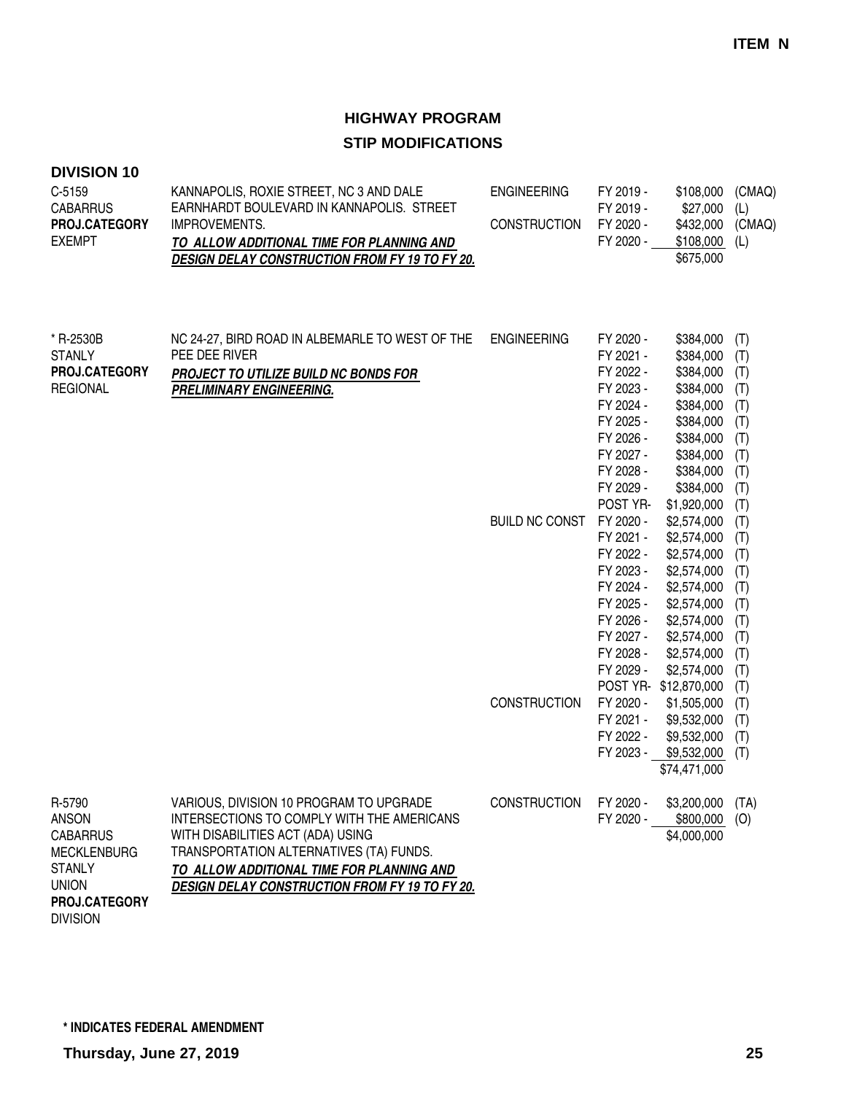#### **DIVISION 10**

| $C-5159$<br><b>CABARRUS</b><br>PROJ.CATEGORY<br><b>EXEMPT</b>                                                     | KANNAPOLIS, ROXIE STREET, NC 3 AND DALE<br>EARNHARDT BOULEVARD IN KANNAPOLIS. STREET<br>IMPROVEMENTS.<br>TO ALLOW ADDITIONAL TIME FOR PLANNING AND<br><b>DESIGN DELAY CONSTRUCTION FROM FY 19 TO FY 20.</b>                                                                 | <b>ENGINEERING</b><br><b>CONSTRUCTION</b>   | FY 2019 -<br>FY 2019 -<br>FY 2020 -<br>FY 2020 -                                                                                                                                                                         | \$108,000<br>\$27,000<br>\$432,000<br>\$108,000<br>\$675,000                                                                                                                                                                            | (CMAQ)<br>(L)<br>(CMAQ)<br>(L)                                                                                      |
|-------------------------------------------------------------------------------------------------------------------|-----------------------------------------------------------------------------------------------------------------------------------------------------------------------------------------------------------------------------------------------------------------------------|---------------------------------------------|--------------------------------------------------------------------------------------------------------------------------------------------------------------------------------------------------------------------------|-----------------------------------------------------------------------------------------------------------------------------------------------------------------------------------------------------------------------------------------|---------------------------------------------------------------------------------------------------------------------|
| * R-2530B<br><b>STANLY</b><br>PROJ.CATEGORY<br><b>REGIONAL</b>                                                    | NC 24-27, BIRD ROAD IN ALBEMARLE TO WEST OF THE<br>PEE DEE RIVER<br>PROJECT TO UTILIZE BUILD NC BONDS FOR<br><b>PRELIMINARY ENGINEERING.</b>                                                                                                                                | <b>ENGINEERING</b><br><b>BUILD NC CONST</b> | FY 2020 -<br>FY 2021 -<br>FY 2022 -<br>FY 2023 -<br>FY 2024 -<br>FY 2025 -<br>FY 2026 -<br>FY 2027 -<br>FY 2028 -<br>FY 2029 -<br>POST YR-<br>FY 2020 -<br>FY 2021 -<br>FY 2022 -<br>FY 2023 -<br>FY 2024 -<br>FY 2025 - | \$384,000<br>\$384,000<br>\$384,000<br>\$384,000<br>\$384,000<br>\$384,000<br>\$384,000<br>\$384,000<br>\$384,000<br>\$384,000<br>\$1,920,000<br>\$2,574,000<br>\$2,574,000<br>\$2,574,000<br>\$2,574,000<br>\$2,574,000<br>\$2,574,000 | (T)<br>(T)<br>(T)<br>(T)<br>(T)<br>(T)<br>(T)<br>(T)<br>(T)<br>(T)<br>(T)<br>(T)<br>(T)<br>(T)<br>(T)<br>(T)<br>(T) |
|                                                                                                                   |                                                                                                                                                                                                                                                                             | <b>CONSTRUCTION</b>                         | FY 2026 -<br>FY 2027 -<br>FY 2028 -<br>FY 2029 -<br>FY 2020 -<br>FY 2021 -<br>FY 2022 -<br>FY 2023 -                                                                                                                     | \$2,574,000<br>\$2,574,000<br>\$2,574,000<br>\$2,574,000<br>POST YR-\$12,870,000<br>\$1,505,000<br>\$9,532,000<br>\$9,532,000<br>\$9,532,000<br>\$74,471,000                                                                            | (T)<br>(T)<br>(T)<br>(T)<br>(T)<br>(T)<br>(T)<br>(T)<br>(T)                                                         |
| R-5790<br><b>ANSON</b><br><b>CABARRUS</b><br><b>MECKLENBURG</b><br><b>STANLY</b><br><b>UNION</b><br>PROJ.CATEGORY | VARIOUS, DIVISION 10 PROGRAM TO UPGRADE<br>INTERSECTIONS TO COMPLY WITH THE AMERICANS<br>WITH DISABILITIES ACT (ADA) USING<br>TRANSPORTATION ALTERNATIVES (TA) FUNDS.<br>TO ALLOW ADDITIONAL TIME FOR PLANNING AND<br><b>DESIGN DELAY CONSTRUCTION FROM FY 19 TO FY 20.</b> | CONSTRUCTION                                | FY 2020 -                                                                                                                                                                                                                | \$3,200,000 (TA)<br>FY 2020 - \$800,000 (O)<br>\$4,000,000                                                                                                                                                                              |                                                                                                                     |

DIVISION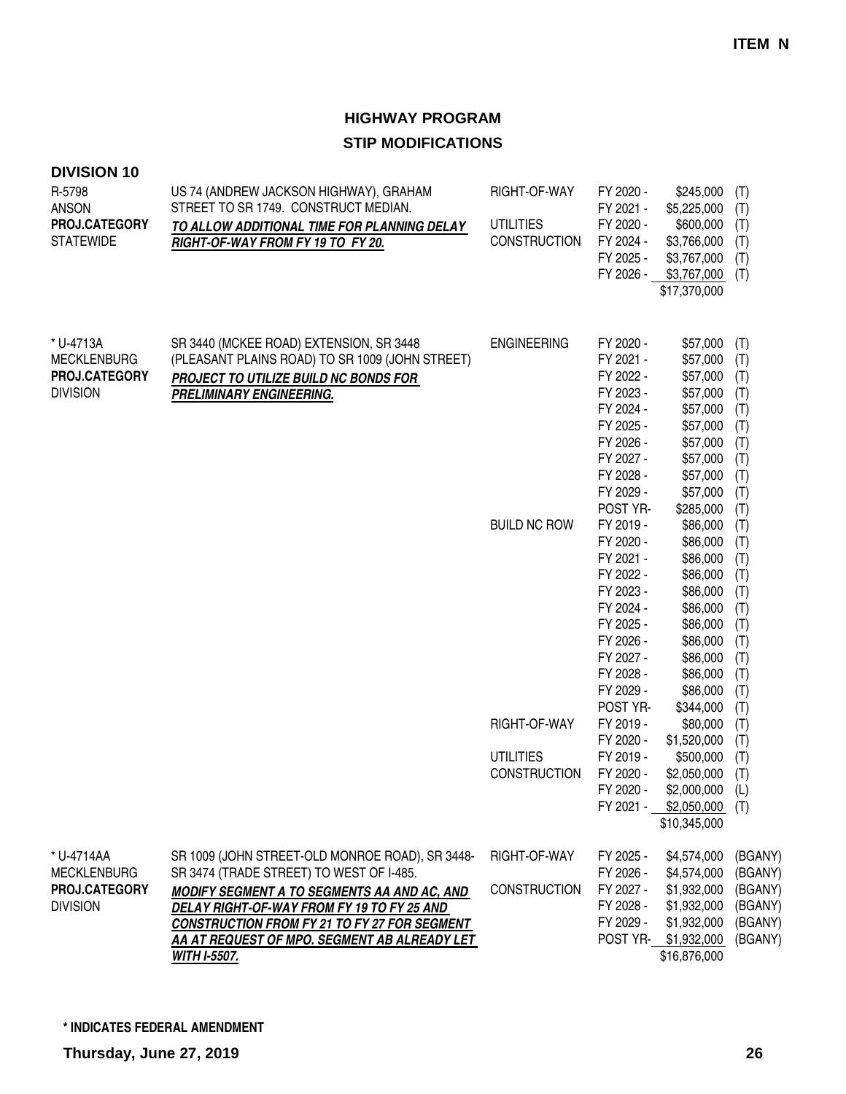| <b>DIVISION 10</b>                  |                                                                                                             |                     |                        |                            |                    |
|-------------------------------------|-------------------------------------------------------------------------------------------------------------|---------------------|------------------------|----------------------------|--------------------|
| R-5798                              | US 74 (ANDREW JACKSON HIGHWAY), GRAHAM<br>STREET TO SR 1749. CONSTRUCT MEDIAN.                              | RIGHT-OF-WAY        | FY 2020 -              | \$245,000                  | (T)                |
| <b>ANSON</b><br>PROJ.CATEGORY       |                                                                                                             | <b>UTILITIES</b>    | FY 2021 -<br>FY 2020 - | \$5,225,000<br>\$600,000   | (T)                |
| <b>STATEWIDE</b>                    | TO ALLOW ADDITIONAL TIME FOR PLANNING DELAY                                                                 | CONSTRUCTION        | FY 2024 -              | \$3,766,000                | (T)                |
|                                     | RIGHT-OF-WAY FROM FY 19 TO FY 20.                                                                           |                     | FY 2025 -              | \$3,767,000                | (T)                |
|                                     |                                                                                                             |                     | FY 2026 -              | \$3,767,000                | (T)                |
|                                     |                                                                                                             |                     |                        | \$17,370,000               | (T)                |
|                                     |                                                                                                             |                     |                        |                            |                    |
| * U-4713A                           | SR 3440 (MCKEE ROAD) EXTENSION, SR 3448                                                                     | <b>ENGINEERING</b>  | FY 2020 -              | \$57,000                   | (T)                |
| <b>MECKLENBURG</b>                  | (PLEASANT PLAINS ROAD) TO SR 1009 (JOHN STREET)                                                             |                     | FY 2021 -              | \$57,000                   | (T)                |
| PROJ.CATEGORY                       | PROJECT TO UTILIZE BUILD NC BONDS FOR                                                                       |                     | FY 2022 -              | \$57,000                   | (T)                |
| <b>DIVISION</b>                     | PRELIMINARY ENGINEERING.                                                                                    |                     | FY 2023 -              | \$57,000                   | (T)                |
|                                     |                                                                                                             |                     | FY 2024 -              | \$57,000                   | (T)                |
|                                     |                                                                                                             |                     | FY 2025 -              | \$57,000                   | (T)                |
|                                     |                                                                                                             |                     | FY 2026 -              | \$57,000                   | (T)                |
|                                     |                                                                                                             |                     | FY 2027 -              | \$57,000                   | (T)                |
|                                     |                                                                                                             |                     | FY 2028 -              | \$57,000                   | (T)                |
|                                     |                                                                                                             |                     | FY 2029 -              | \$57,000                   | (T)                |
|                                     |                                                                                                             |                     | POST YR-               | \$285,000                  | (T)                |
|                                     |                                                                                                             | <b>BUILD NC ROW</b> | FY 2019 -              | \$86,000                   | (T)                |
|                                     |                                                                                                             |                     | FY 2020 -              | \$86,000                   | (T)                |
|                                     |                                                                                                             |                     | FY 2021 -              | \$86,000                   | (T)                |
|                                     |                                                                                                             |                     | FY 2022 -              | \$86,000                   | (T)                |
|                                     |                                                                                                             |                     | FY 2023 -              | \$86,000                   | (T)                |
|                                     |                                                                                                             |                     | FY 2024 -              | \$86,000                   | (T)                |
|                                     |                                                                                                             |                     | FY 2025 -              | \$86,000                   | (T)                |
|                                     |                                                                                                             |                     | FY 2026 -              | \$86,000                   | (T)                |
|                                     |                                                                                                             |                     | FY 2027 -              | \$86,000                   | (T)                |
|                                     |                                                                                                             |                     | FY 2028 -              | \$86,000                   | (T)                |
|                                     |                                                                                                             |                     | FY 2029 -              | \$86,000                   | (T)                |
|                                     |                                                                                                             | RIGHT-OF-WAY        | POST YR-               | \$344,000                  | (T)                |
|                                     |                                                                                                             |                     | FY 2019 -              | \$80,000                   | (T)                |
|                                     |                                                                                                             |                     | FY 2020 -              | \$1,520,000                | (T)                |
|                                     |                                                                                                             | <b>UTILITIES</b>    | FY 2019 -              | \$500,000                  | (T)                |
|                                     |                                                                                                             | <b>CONSTRUCTION</b> | FY 2020 -<br>FY 2020 - | \$2,050,000<br>\$2,000,000 | (T)                |
|                                     |                                                                                                             |                     | FY 2021 -              | \$2,050,000                | (L)<br>(T)         |
|                                     |                                                                                                             |                     |                        | \$10,345,000               |                    |
|                                     |                                                                                                             |                     |                        |                            |                    |
| * U-4714AA                          | SR 1009 (JOHN STREET-OLD MONROE ROAD), SR 3448-                                                             | RIGHT-OF-WAY        | FY 2025 -<br>FY 2026 - | \$4,574,000                | (BGANY)            |
| <b>MECKLENBURG</b><br>PROJ.CATEGORY | SR 3474 (TRADE STREET) TO WEST OF I-485.                                                                    | CONSTRUCTION        |                        | \$4,574,000                | (BGANY)            |
| <b>DIVISION</b>                     | <b>MODIFY SEGMENT A TO SEGMENTS AA AND AC, AND</b>                                                          |                     | FY 2027 -<br>FY 2028 - | \$1,932,000<br>\$1,932,000 | (BGANY)<br>(BGANY) |
|                                     | DELAY RIGHT-OF-WAY FROM FY 19 TO FY 25 AND                                                                  |                     | FY 2029 -              | \$1,932,000                | (BGANY)            |
|                                     | <b>CONSTRUCTION FROM FY 21 TO FY 27 FOR SEGMENT</b><br>AA AT REQUE <u>ST OF MPO. SEGMENT AB ALREADY LET</u> |                     |                        | POST YR- \$1,932,000       | (BGANY)            |
|                                     | WITH I-5507.                                                                                                |                     |                        | \$16,876,000               |                    |
|                                     |                                                                                                             |                     |                        |                            |                    |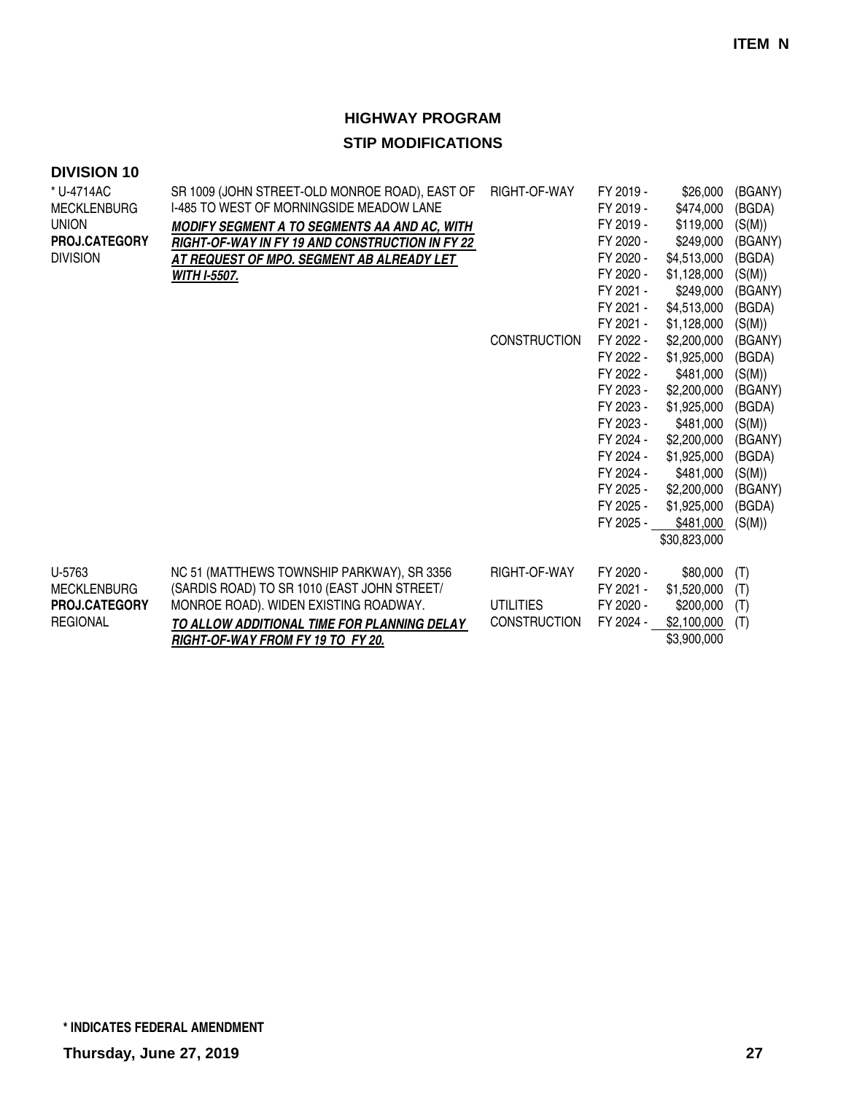| SR 1009 (JOHN STREET-OLD MONROE ROAD), EAST OF<br>I-485 TO WEST OF MORNINGSIDE MEADOW LANE<br>MODIFY SEGMENT A TO SEGMENTS AA AND AC, WITH<br>RIGHT-OF-WAY IN FY 19 AND CONSTRUCTION IN FY 22<br>AT REQUEST OF MPO. SEGMENT AB ALREADY LET<br><b>WITH I-5507.</b> | RIGHT-OF-WAY<br><b>CONSTRUCTION</b>                     | FY 2019 -<br>FY 2019 -<br>FY 2019 -<br>FY 2020 -<br>FY 2020 -<br>FY 2020 -<br>FY 2021 -<br>FY 2021 -<br>FY 2021 -<br>FY 2022 -<br>FY 2022 -<br>FY 2022 -<br>FY 2023 -<br>FY 2023 -<br>FY 2023 -<br>FY 2024 -<br>FY 2024 -<br>FY 2024 -<br>FY 2025 -<br>FY 2025 -<br>FY 2025 - | \$26,000<br>\$474,000<br>\$119,000<br>\$249,000<br>\$4,513,000<br>\$1,128,000<br>\$249,000<br>\$4,513,000<br>\$1,128,000<br>\$2,200,000<br>\$1,925,000<br>\$481,000<br>\$2,200,000<br>\$1,925,000<br>\$481,000<br>\$2,200,000<br>\$1,925,000<br>\$481,000<br>\$2,200,000<br>\$1,925,000<br>\$481,000 | (BGANY)<br>(BGDA)<br>(S(M))<br>(BGANY)<br>(BGDA)<br>(S(M))<br>(BGANY)<br>(BGDA)<br>(S(M))<br>(BGANY)<br>(BGDA)<br>(S(M))<br>(BGANY)<br>(BGDA)<br>(S(M))<br>(BGANY)<br>(BGDA)<br>(S(M))<br>(BGANY)<br>(BGDA)<br>(S(M)) |
|-------------------------------------------------------------------------------------------------------------------------------------------------------------------------------------------------------------------------------------------------------------------|---------------------------------------------------------|-------------------------------------------------------------------------------------------------------------------------------------------------------------------------------------------------------------------------------------------------------------------------------|------------------------------------------------------------------------------------------------------------------------------------------------------------------------------------------------------------------------------------------------------------------------------------------------------|-----------------------------------------------------------------------------------------------------------------------------------------------------------------------------------------------------------------------|
| NC 51 (MATTHEWS TOWNSHIP PARKWAY), SR 3356<br>(SARDIS ROAD) TO SR 1010 (EAST JOHN STREET/<br>MONROE ROAD). WIDEN EXISTING ROADWAY.<br>TO ALLOW ADDITIONAL TIME FOR PLANNING DELAY<br>RIGHT-OF-WAY FROM FY 19 TO FY 20.                                            | RIGHT-OF-WAY<br><b>UTILITIES</b><br><b>CONSTRUCTION</b> | FY 2020 -<br>FY 2021 -<br>FY 2020 -<br>FY 2024 -                                                                                                                                                                                                                              | \$80,000<br>\$1,520,000<br>\$200,000<br>\$2,100,000<br>\$3,900,000                                                                                                                                                                                                                                   | (T)<br>(T)<br>(T)<br>(T)                                                                                                                                                                                              |
|                                                                                                                                                                                                                                                                   |                                                         |                                                                                                                                                                                                                                                                               |                                                                                                                                                                                                                                                                                                      | \$30,823,000                                                                                                                                                                                                          |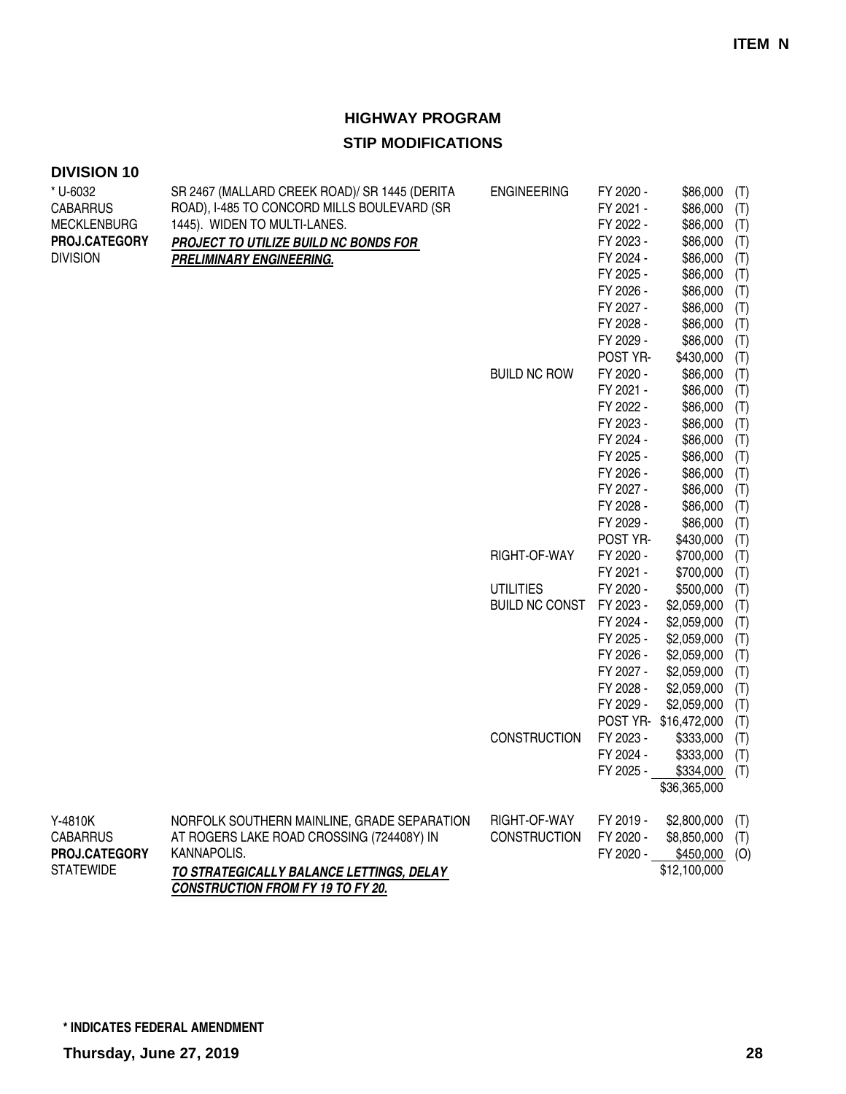| <b>DIVISION 10</b>          |                                                                                              |                       |                        |                       |            |
|-----------------------------|----------------------------------------------------------------------------------------------|-----------------------|------------------------|-----------------------|------------|
| * U-6032<br><b>CABARRUS</b> | SR 2467 (MALLARD CREEK ROAD)/ SR 1445 (DERITA<br>ROAD), I-485 TO CONCORD MILLS BOULEVARD (SR | <b>ENGINEERING</b>    | FY 2020 -<br>FY 2021 - | \$86,000<br>\$86,000  | (T)<br>(T) |
| <b>MECKLENBURG</b>          | 1445). WIDEN TO MULTI-LANES.                                                                 |                       | FY 2022 -              | \$86,000              | (T)        |
| PROJ.CATEGORY               | PROJECT TO UTILIZE BUILD NC BONDS FOR                                                        |                       | FY 2023 -              | \$86,000              | (T)        |
| <b>DIVISION</b>             | <b>PRELIMINARY ENGINEERING.</b>                                                              |                       | FY 2024 -              | \$86,000              | (T)        |
|                             |                                                                                              |                       | FY 2025 -              | \$86,000              | (T)        |
|                             |                                                                                              |                       | FY 2026 -              | \$86,000              | (T)        |
|                             |                                                                                              |                       | FY 2027 -              | \$86,000              | (T)        |
|                             |                                                                                              |                       | FY 2028 -              | \$86,000              | (T)        |
|                             |                                                                                              |                       | FY 2029 -              | \$86,000              | (T)        |
|                             |                                                                                              |                       | POST YR-               | \$430,000             | (T)        |
|                             |                                                                                              | <b>BUILD NC ROW</b>   | FY 2020 -              | \$86,000              | (T)        |
|                             |                                                                                              |                       | FY 2021 -              | \$86,000              | (T)        |
|                             |                                                                                              |                       | FY 2022 -              | \$86,000              | (T)        |
|                             |                                                                                              |                       | FY 2023 -              | \$86,000              | (T)        |
|                             |                                                                                              |                       | FY 2024 -              | \$86,000              | (T)        |
|                             |                                                                                              |                       | FY 2025 -              | \$86,000              | (T)        |
|                             |                                                                                              |                       | FY 2026 -              | \$86,000              | (T)        |
|                             |                                                                                              |                       | FY 2027 -              | \$86,000              | (T)        |
|                             |                                                                                              |                       | FY 2028 -              | \$86,000              | (T)        |
|                             |                                                                                              |                       | FY 2029 -              | \$86,000              | (T)        |
|                             |                                                                                              |                       | POST YR-               | \$430,000             | (T)        |
|                             |                                                                                              | RIGHT-OF-WAY          | FY 2020 -              | \$700,000             | (T)        |
|                             |                                                                                              |                       | FY 2021 -              | \$700,000             | (T)        |
|                             |                                                                                              | <b>UTILITIES</b>      | FY 2020 -              | \$500,000             | (T)        |
|                             |                                                                                              | <b>BUILD NC CONST</b> | FY 2023 -              | \$2,059,000           | (T)        |
|                             |                                                                                              |                       | FY 2024 -              | \$2,059,000           | (T)        |
|                             |                                                                                              |                       | FY 2025 -              | \$2,059,000           | (T)        |
|                             |                                                                                              |                       | FY 2026 -              | \$2,059,000           | (T)        |
|                             |                                                                                              |                       | FY 2027 -              | \$2,059,000           | (T)        |
|                             |                                                                                              |                       | FY 2028 -              | \$2,059,000           | (T)        |
|                             |                                                                                              |                       | FY 2029 -              | \$2,059,000           | (T)        |
|                             |                                                                                              |                       |                        | POST YR- \$16,472,000 | (T)        |
|                             |                                                                                              | <b>CONSTRUCTION</b>   | FY 2023 -              | \$333,000             | (T)        |
|                             |                                                                                              |                       | FY 2024 -              | \$333,000             | (T)        |
|                             |                                                                                              |                       | FY 2025 -              | \$334,000             | (T)        |
|                             |                                                                                              |                       |                        | \$36,365,000          |            |
| Y-4810K                     | NORFOLK SOUTHERN MAINLINE, GRADE SEPARATION                                                  | RIGHT-OF-WAY          | FY 2019 -              | \$2,800,000           | (T)        |
| <b>CABARRUS</b>             | AT ROGERS LAKE ROAD CROSSING (724408Y) IN                                                    | <b>CONSTRUCTION</b>   | FY 2020 -              | \$8,850,000           | (T)        |
| PROJ.CATEGORY               | KANNAPOLIS.                                                                                  |                       | FY 2020 -              | $$450,000$ (O)        |            |
| <b>STATEWIDE</b>            | <b>TO STRATEGICALLY BALANCE LETTINGS, DELAY</b>                                              |                       |                        | \$12,100,000          |            |
|                             | <b>CONSTRUCTION FROM FY 19 TO FY 20.</b>                                                     |                       |                        |                       |            |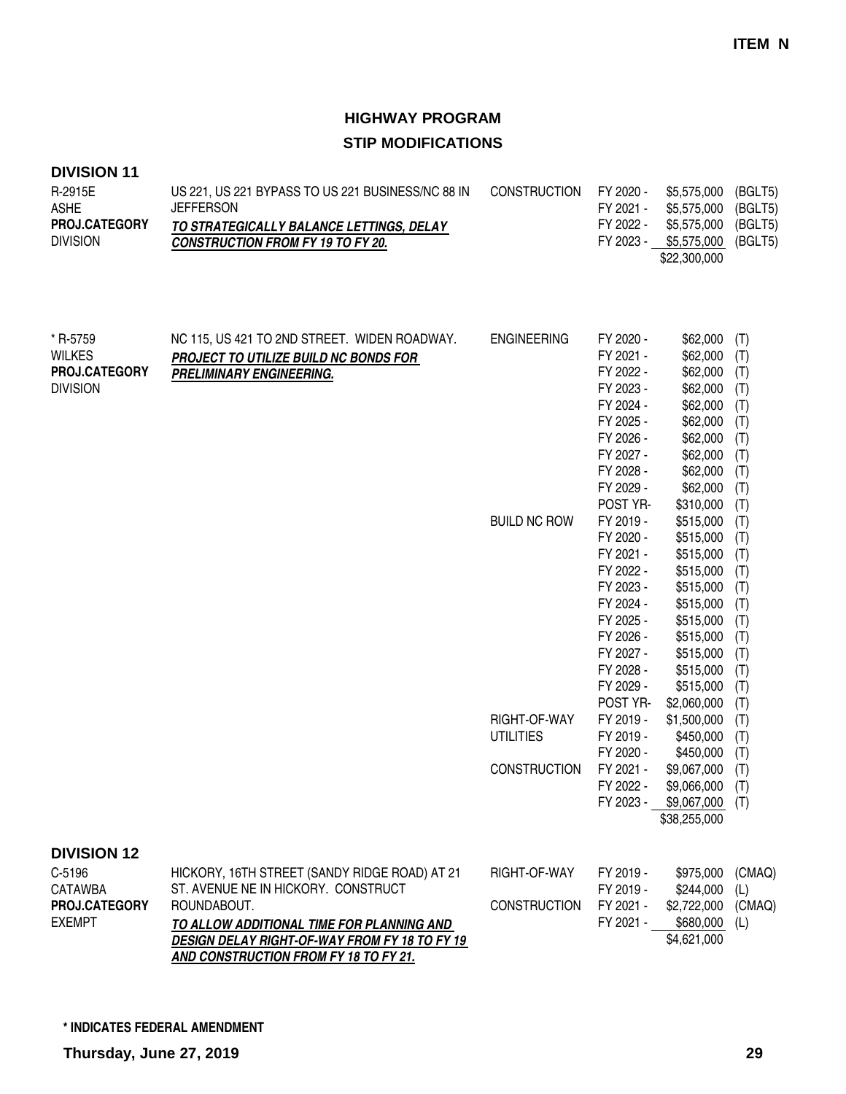| R-2915E              | US 221, US 221 BYPASS TO US 221 BUSINESS/NC 88 IN | CONSTRUCTION FY 2020 - |           | \$5,575,000 (BGLT5) |  |
|----------------------|---------------------------------------------------|------------------------|-----------|---------------------|--|
| <b>ASHE</b>          | <b>JEFFERSON</b>                                  |                        | FY 2021 - | \$5,575,000 (BGLT5) |  |
| <b>PROJ.CATEGORY</b> | TO STRATEGICALLY BALANCE LETTINGS, DELAY          |                        | FY 2022 - | \$5,575,000 (BGLT5) |  |
| <b>DIVISION</b>      | <b>CONSTRUCTION FROM FY 19 TO FY 20.</b>          |                        | FY 2023 - | \$5,575,000 (BGLT5) |  |
|                      |                                                   |                        |           | \$22,300,000        |  |

| * R-5759           | NC 115, US 421 TO 2ND STREET. WIDEN ROADWAY.                                               | <b>ENGINEERING</b>  | FY 2020 - | \$62,000     | (T)           |
|--------------------|--------------------------------------------------------------------------------------------|---------------------|-----------|--------------|---------------|
| <b>WILKES</b>      | PROJECT TO UTILIZE BUILD NC BONDS FOR                                                      |                     | FY 2021 - | \$62,000     | (T)           |
| PROJ.CATEGORY      | <b>PRELIMINARY ENGINEERING.</b>                                                            |                     | FY 2022 - | \$62,000     | (T)           |
| <b>DIVISION</b>    |                                                                                            |                     | FY 2023 - | \$62,000     | (T)           |
|                    |                                                                                            |                     | FY 2024 - | \$62,000     | (T)           |
|                    |                                                                                            |                     | FY 2025 - | \$62,000     | (T)           |
|                    |                                                                                            |                     | FY 2026 - | \$62,000     | (T)           |
|                    |                                                                                            |                     | FY 2027 - | \$62,000     | (T)           |
|                    |                                                                                            |                     | FY 2028 - | \$62,000     | (T)           |
|                    |                                                                                            |                     | FY 2029 - | \$62,000     | (T)           |
|                    |                                                                                            |                     | POST YR-  | \$310,000    | (T)           |
|                    |                                                                                            | <b>BUILD NC ROW</b> | FY 2019 - | \$515,000    | (T)           |
|                    |                                                                                            |                     | FY 2020 - | \$515,000    | (T)           |
|                    |                                                                                            |                     | FY 2021 - | \$515,000    | (T)           |
|                    |                                                                                            |                     | FY 2022 - | \$515,000    | (T)           |
|                    |                                                                                            |                     | FY 2023 - | \$515,000    | (T)           |
|                    |                                                                                            |                     | FY 2024 - | \$515,000    | (T)           |
|                    |                                                                                            |                     | FY 2025 - | \$515,000    | (T)           |
|                    |                                                                                            |                     | FY 2026 - | \$515,000    | (T)           |
|                    |                                                                                            |                     | FY 2027 - | \$515,000    | (T)           |
|                    |                                                                                            |                     | FY 2028 - | \$515,000    | (T)           |
|                    |                                                                                            |                     | FY 2029 - | \$515,000    | (T)           |
|                    |                                                                                            |                     | POST YR-  | \$2,060,000  | (T)           |
|                    |                                                                                            | RIGHT-OF-WAY        | FY 2019 - | \$1,500,000  | (T)           |
|                    |                                                                                            | <b>UTILITIES</b>    | FY 2019 - | \$450,000    | (T)           |
|                    |                                                                                            |                     | FY 2020 - | \$450,000    | (T)           |
|                    |                                                                                            | <b>CONSTRUCTION</b> | FY 2021 - | \$9,067,000  | (T)           |
|                    |                                                                                            |                     | FY 2022 - | \$9,066,000  | (T)           |
|                    |                                                                                            |                     | FY 2023 - | \$9,067,000  | (T)           |
|                    |                                                                                            |                     |           | \$38,255,000 |               |
| <b>DIVISION 12</b> |                                                                                            |                     |           |              |               |
| C-5196             |                                                                                            | RIGHT-OF-WAY        | FY 2019 - | \$975,000    |               |
| <b>CATAWBA</b>     | HICKORY, 16TH STREET (SANDY RIDGE ROAD) AT 21<br>ST. AVENUE NE IN HICKORY. CONSTRUCT       |                     | FY 2019 - | \$244,000    | (CMAQ)<br>(L) |
| PROJ.CATEGORY      | ROUNDABOUT.                                                                                | <b>CONSTRUCTION</b> | FY 2021 - | \$2,722,000  | (CMAQ)        |
| <b>EXEMPT</b>      |                                                                                            |                     |           | \$680,000    | (L)           |
|                    |                                                                                            |                     |           |              |               |
|                    | TO ALLOW ADDITIONAL TIME FOR PLANNING AND<br>DESIGN DELAY RIGHT-OF-WAY FROM FY 18 TO FY 19 |                     | FY 2021 - | \$4,621,000  |               |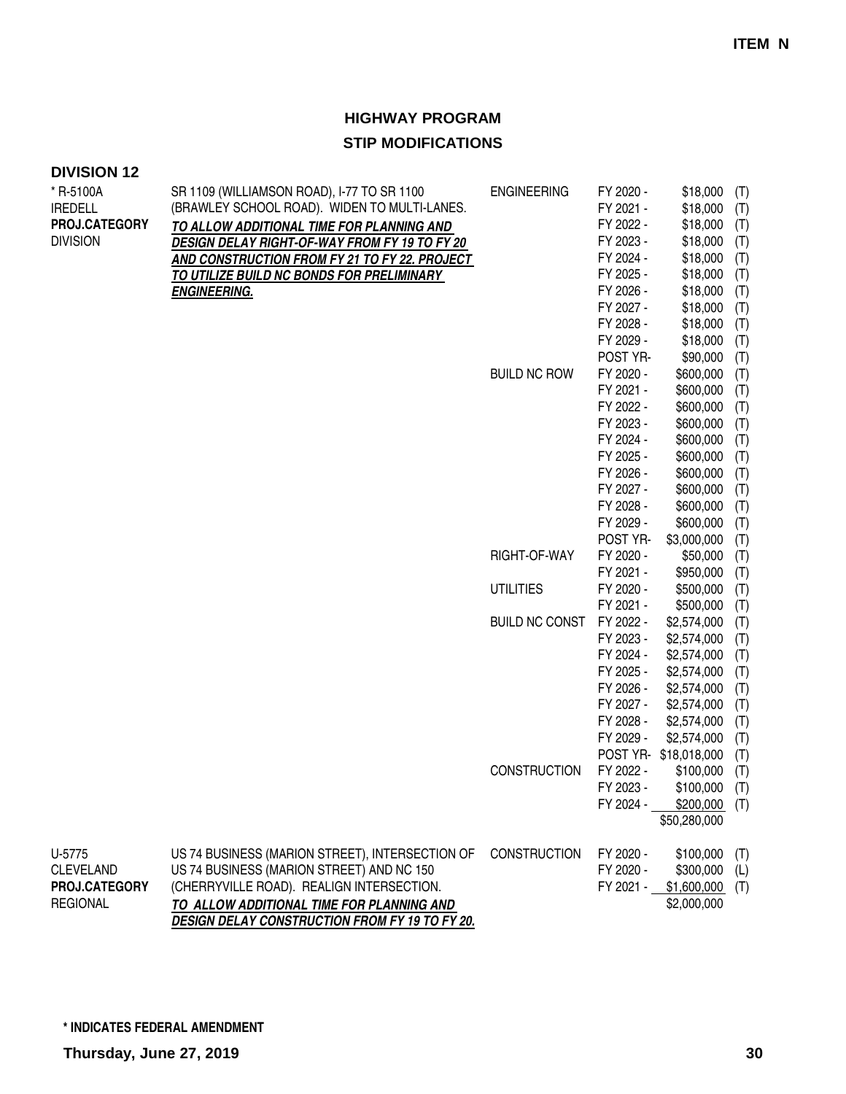| <b>DIVISION 12</b>          |                                                                                            |                       |                        |                       |            |
|-----------------------------|--------------------------------------------------------------------------------------------|-----------------------|------------------------|-----------------------|------------|
| * R-5100A<br><b>IREDELL</b> | SR 1109 (WILLIAMSON ROAD), I-77 TO SR 1100<br>(BRAWLEY SCHOOL ROAD). WIDEN TO MULTI-LANES. | <b>ENGINEERING</b>    | FY 2020 -<br>FY 2021 - | \$18,000<br>\$18,000  | (T)<br>(T) |
| PROJ.CATEGORY               |                                                                                            |                       | FY 2022 -              | \$18,000              | (T)        |
| <b>DIVISION</b>             | TO ALLOW ADDITIONAL TIME FOR PLANNING AND<br>DESIGN DELAY RIGHT-OF-WAY FROM FY 19 TO FY 20 |                       | FY 2023 -              | \$18,000              | (T)        |
|                             | AND CONSTRUCTION FROM FY 21 TO FY 22. PROJECT                                              |                       | FY 2024 -              | \$18,000              | (T)        |
|                             | TO UTILIZE BUILD NC BONDS FOR PRELIMINARY                                                  |                       | FY 2025 -              | \$18,000              | (T)        |
|                             | <b>ENGINEERING.</b>                                                                        |                       | FY 2026 -              | \$18,000              | (T)        |
|                             |                                                                                            |                       | FY 2027 -              | \$18,000              | (T)        |
|                             |                                                                                            |                       | FY 2028 -              | \$18,000              | (T)        |
|                             |                                                                                            |                       | FY 2029 -              | \$18,000              | (T)        |
|                             |                                                                                            |                       | POST YR-               | \$90,000              | (T)        |
|                             |                                                                                            | <b>BUILD NC ROW</b>   | FY 2020 -              | \$600,000             | (T)        |
|                             |                                                                                            |                       | FY 2021 -              | \$600,000             | (T)        |
|                             |                                                                                            |                       | FY 2022 -              | \$600,000             | (T)        |
|                             |                                                                                            |                       | FY 2023 -              | \$600,000             | (T)        |
|                             |                                                                                            |                       | FY 2024 -              | \$600,000             | (T)        |
|                             |                                                                                            |                       | FY 2025 -              | \$600,000             | (T)        |
|                             |                                                                                            |                       | FY 2026 -              | \$600,000             | (T)        |
|                             |                                                                                            |                       | FY 2027 -              | \$600,000             | (T)        |
|                             |                                                                                            |                       | FY 2028 -              | \$600,000             | (T)        |
|                             |                                                                                            |                       | FY 2029 -              | \$600,000             | (T)        |
|                             |                                                                                            |                       | POST YR-               | \$3,000,000           | (T)        |
|                             |                                                                                            | RIGHT-OF-WAY          | FY 2020 -              | \$50,000              | (T)        |
|                             |                                                                                            |                       | FY 2021 -              | \$950,000             | (T)        |
|                             |                                                                                            | <b>UTILITIES</b>      | FY 2020 -              | \$500,000             | (T)        |
|                             |                                                                                            |                       | FY 2021 -              | \$500,000             | (T)        |
|                             |                                                                                            | <b>BUILD NC CONST</b> | FY 2022 -              | \$2,574,000           | (T)        |
|                             |                                                                                            |                       | FY 2023 -              | \$2,574,000           | (T)        |
|                             |                                                                                            |                       | FY 2024 -              | \$2,574,000           | (T)        |
|                             |                                                                                            |                       | FY 2025 -              | \$2,574,000           | (T)        |
|                             |                                                                                            |                       | FY 2026 -              | \$2,574,000           | (T)        |
|                             |                                                                                            |                       | FY 2027 -              | \$2,574,000           | (T)        |
|                             |                                                                                            |                       | FY 2028 -              | \$2,574,000           | (T)        |
|                             |                                                                                            |                       | FY 2029 -              | \$2,574,000           | (T)        |
|                             |                                                                                            |                       |                        | POST YR- \$18,018,000 | (T)        |
|                             |                                                                                            | <b>CONSTRUCTION</b>   | FY 2022 -              | \$100,000             | (T)        |
|                             |                                                                                            |                       | FY 2023 -              | \$100,000             | (T)        |
|                             |                                                                                            |                       | FY 2024 -              | \$200,000             | (T)        |
|                             |                                                                                            |                       |                        | \$50,280,000          |            |
| U-5775                      | US 74 BUSINESS (MARION STREET), INTERSECTION OF                                            | <b>CONSTRUCTION</b>   | FY 2020 -              | \$100,000             | (T)        |
| <b>CLEVELAND</b>            | US 74 BUSINESS (MARION STREET) AND NC 150                                                  |                       | FY 2020 -              | \$300,000             | (L)        |
| PROJ.CATEGORY               | (CHERRYVILLE ROAD). REALIGN INTERSECTION.                                                  |                       | FY 2021 -              | $$1,600,000$ (T)      |            |
| <b>REGIONAL</b>             | TO ALLOW ADDITIONAL TIME FOR PLANNING AND                                                  |                       |                        | \$2,000,000           |            |
|                             | DESIGN DELAY CONSTRUCTION FROM FY 19 TO FY 20.                                             |                       |                        |                       |            |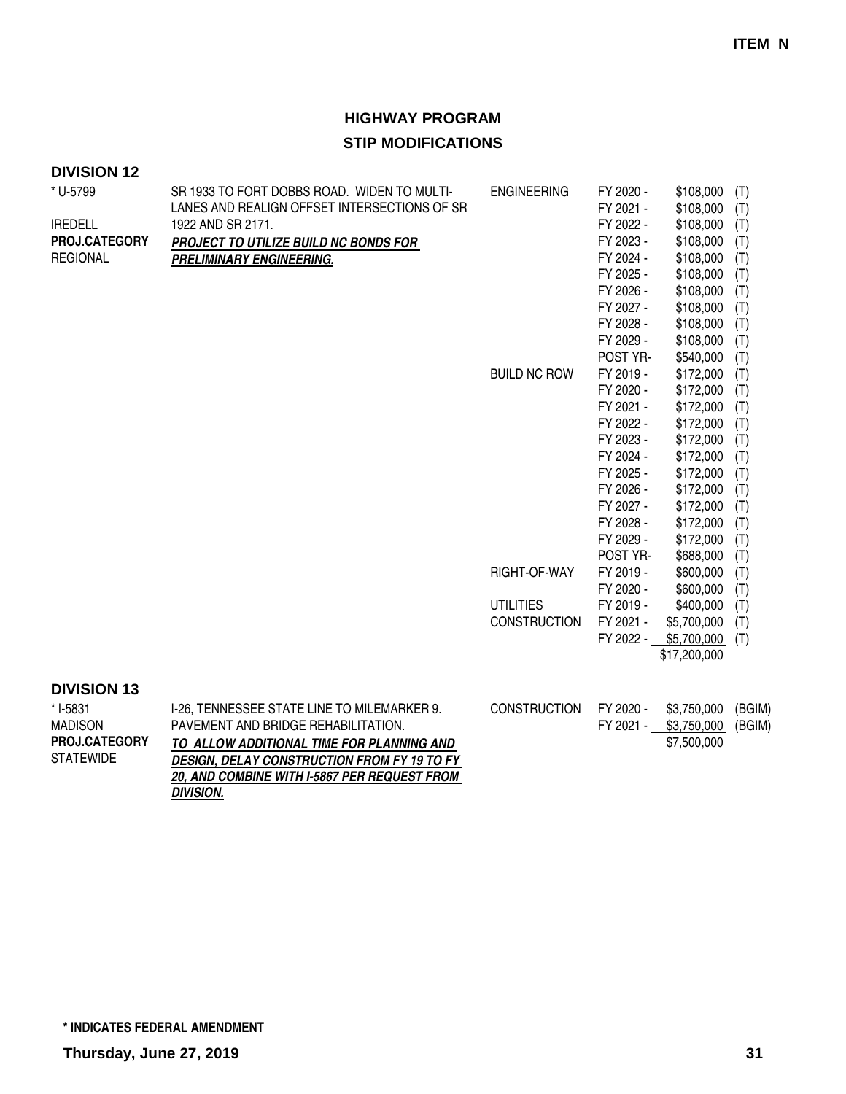| * U-5799           | SR 1933 TO FORT DOBBS ROAD. WIDEN TO MULTI-         | <b>ENGINEERING</b>  | FY 2020 - | \$108,000    | (T)    |
|--------------------|-----------------------------------------------------|---------------------|-----------|--------------|--------|
|                    | LANES AND REALIGN OFFSET INTERSECTIONS OF SR        |                     | FY 2021 - | \$108,000    | (T)    |
| <b>IREDELL</b>     | 1922 AND SR 2171.                                   |                     | FY 2022 - | \$108,000    | (T)    |
| PROJ.CATEGORY      | PROJECT TO UTILIZE BUILD NC BONDS FOR               |                     | FY 2023 - | \$108,000    | (T)    |
| <b>REGIONAL</b>    | PRELIMINARY ENGINEERING.                            |                     | FY 2024 - | \$108,000    | (T)    |
|                    |                                                     |                     | FY 2025 - | \$108,000    | (T)    |
|                    |                                                     |                     | FY 2026 - | \$108,000    | (T)    |
|                    |                                                     |                     | FY 2027 - | \$108,000    | (T)    |
|                    |                                                     |                     | FY 2028 - | \$108,000    | (T)    |
|                    |                                                     |                     | FY 2029 - | \$108,000    | (T)    |
|                    |                                                     |                     | POST YR-  | \$540,000    | (T)    |
|                    |                                                     | <b>BUILD NC ROW</b> | FY 2019 - | \$172,000    | (T)    |
|                    |                                                     |                     | FY 2020 - | \$172,000    | (T)    |
|                    |                                                     |                     | FY 2021 - | \$172,000    | (T)    |
|                    |                                                     |                     | FY 2022 - | \$172,000    | (T)    |
|                    |                                                     |                     | FY 2023 - | \$172,000    | (T)    |
|                    |                                                     |                     | FY 2024 - | \$172,000    | (T)    |
|                    |                                                     |                     | FY 2025 - | \$172,000    | (T)    |
|                    |                                                     |                     | FY 2026 - | \$172,000    | (T)    |
|                    |                                                     |                     | FY 2027 - | \$172,000    | (T)    |
|                    |                                                     |                     | FY 2028 - | \$172,000    | (T)    |
|                    |                                                     |                     | FY 2029 - | \$172,000    | (T)    |
|                    |                                                     |                     | POST YR-  | \$688,000    | (T)    |
|                    |                                                     | RIGHT-OF-WAY        | FY 2019 - | \$600,000    | (T)    |
|                    |                                                     |                     | FY 2020 - | \$600,000    | (T)    |
|                    |                                                     | <b>UTILITIES</b>    | FY 2019 - | \$400,000    | (T)    |
|                    |                                                     | <b>CONSTRUCTION</b> | FY 2021 - | \$5,700,000  | (T)    |
|                    |                                                     |                     | FY 2022 - | \$5,700,000  | (T)    |
|                    |                                                     |                     |           | \$17,200,000 |        |
|                    |                                                     |                     |           |              |        |
| <b>DIVISION 13</b> |                                                     |                     |           |              |        |
| * I-5831           | I-26, TENNESSEE STATE LINE TO MILEMARKER 9.         | <b>CONSTRUCTION</b> | FY 2020 - | \$3,750,000  | (BGIM) |
| <b>MADISON</b>     | PAVEMENT AND BRIDGE REHABILITATION.                 |                     | FY 2021 - | \$3,750,000  | (BGIM) |
| PROJ.CATEGORY      | TO ALLOW ADDITIONAL TIME FOR PLANNING AND           |                     |           | \$7,500,000  |        |
| <b>STATEWIDE</b>   | DESIGN, DELAY CONSTRUCTION FROM FY 19 TO FY         |                     |           |              |        |
|                    | <b>20, AND COMBINE WITH I-5867 PER REQUEST FROM</b> |                     |           |              |        |
|                    | <b>DIVISION.</b>                                    |                     |           |              |        |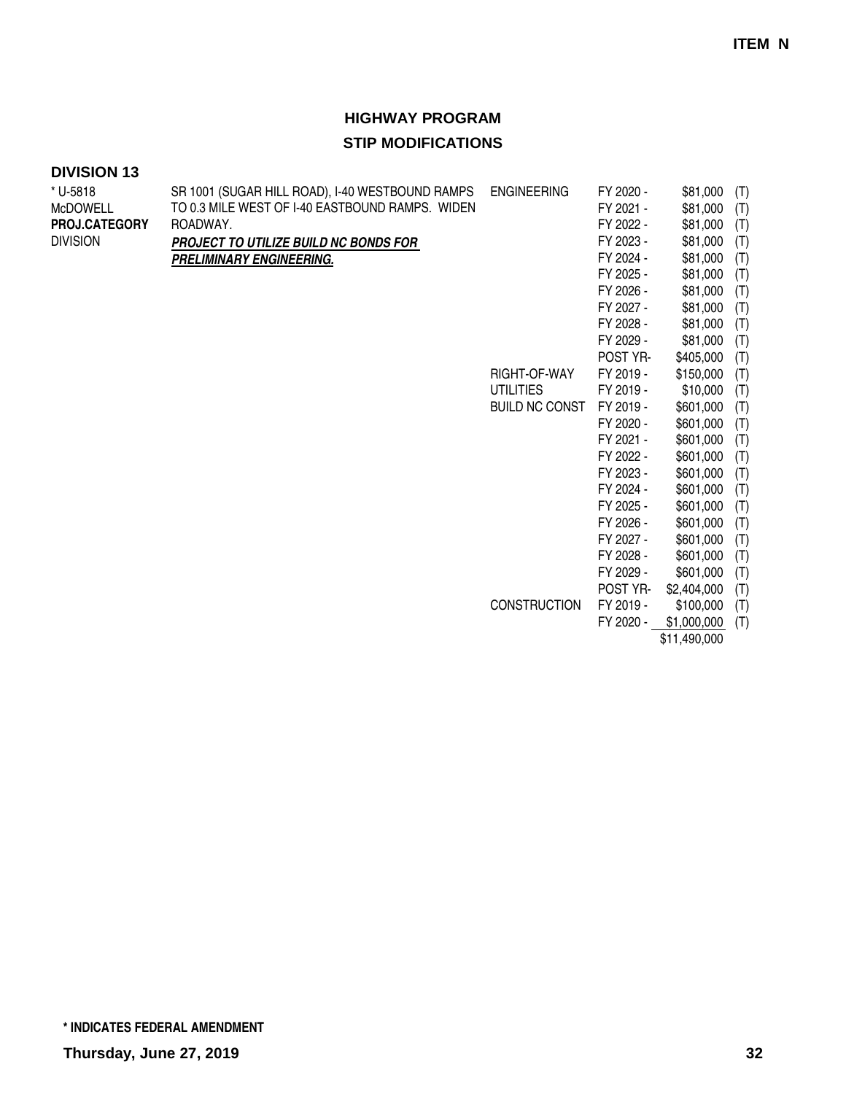#### **DIVISION 13**

| * U-5818        | SR 1001 (SUGAR HILL ROAD), I-40 WESTBOUND RAMPS | <b>ENGINEERING</b>    | FY 2020 - | \$81,000    | (T) |
|-----------------|-------------------------------------------------|-----------------------|-----------|-------------|-----|
| <b>McDOWELL</b> | TO 0.3 MILE WEST OF 1-40 EASTBOUND RAMPS. WIDEN |                       | FY 2021 - | \$81,000    | (T) |
| PROJ.CATEGORY   | ROADWAY.                                        |                       | FY 2022 - | \$81,000    | (T) |
| <b>DIVISION</b> | PROJECT TO UTILIZE BUILD NC BONDS FOR           |                       | FY 2023 - | \$81,000    | (T) |
|                 | PRELIMINARY ENGINEERING.                        |                       | FY 2024 - | \$81,000    | (T) |
|                 |                                                 |                       | FY 2025 - | \$81,000    | (T) |
|                 |                                                 |                       | FY 2026 - | \$81,000    | (T) |
|                 |                                                 |                       | FY 2027 - | \$81,000    | (T) |
|                 |                                                 |                       | FY 2028 - | \$81,000    | (T) |
|                 |                                                 |                       | FY 2029 - | \$81,000    | (T) |
|                 |                                                 |                       | POST YR-  | \$405,000   | (T) |
|                 |                                                 | RIGHT-OF-WAY          | FY 2019 - | \$150,000   | (T) |
|                 |                                                 | <b>UTILITIES</b>      | FY 2019 - | \$10,000    | (T) |
|                 |                                                 | <b>BUILD NC CONST</b> | FY 2019 - | \$601,000   | (T) |
|                 |                                                 |                       | FY 2020 - | \$601,000   | (T) |
|                 |                                                 |                       | FY 2021 - | \$601,000   | (T) |
|                 |                                                 |                       | FY 2022 - | \$601,000   | (T) |
|                 |                                                 |                       | FY 2023 - | \$601,000   | (T) |
|                 |                                                 |                       | FY 2024 - | \$601,000   | (T) |
|                 |                                                 |                       | FY 2025 - | \$601,000   | (T) |
|                 |                                                 |                       | FY 2026 - | \$601,000   | (T) |
|                 |                                                 |                       | FY 2027 - | \$601,000   | (T) |
|                 |                                                 |                       | FY 2028 - | \$601,000   | (T) |
|                 |                                                 |                       | FY 2029 - | \$601,000   | (T) |
|                 |                                                 |                       | POST YR-  | \$2,404,000 | (T) |
|                 |                                                 | <b>CONSTRUCTION</b>   | FY 2019 - | \$100,000   | (T) |
|                 |                                                 |                       | FY 2020 - | \$1,000,000 | (T) |
|                 |                                                 |                       |           |             |     |

\$11,490,000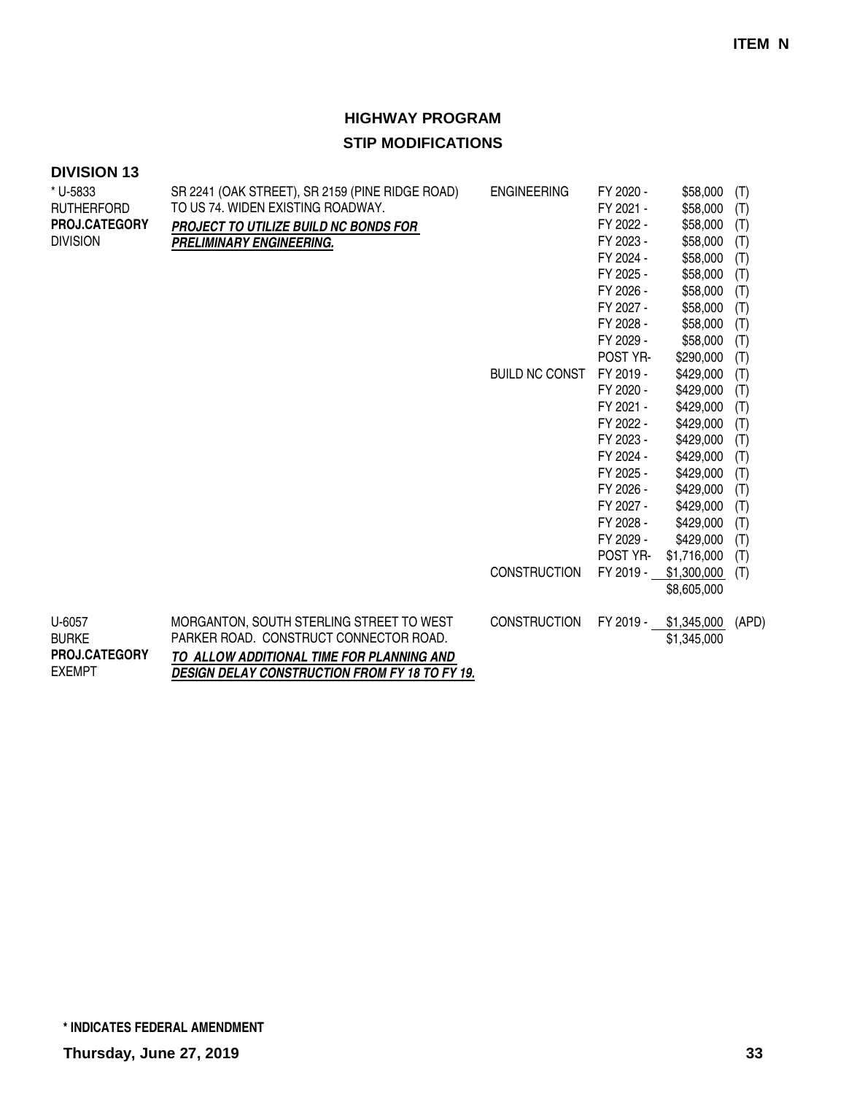| <b>DIVISION 13</b> |                                                       |                       |           |             |       |
|--------------------|-------------------------------------------------------|-----------------------|-----------|-------------|-------|
| * U-5833           | SR 2241 (OAK STREET), SR 2159 (PINE RIDGE ROAD)       | <b>ENGINEERING</b>    | FY 2020 - | \$58,000    | (T)   |
| <b>RUTHERFORD</b>  | TO US 74. WIDEN EXISTING ROADWAY.                     |                       | FY 2021 - | \$58,000    | (T)   |
| PROJ.CATEGORY      | PROJECT TO UTILIZE BUILD NC BONDS FOR                 |                       | FY 2022 - | \$58,000    | (T)   |
| <b>DIVISION</b>    | <b>PRELIMINARY ENGINEERING.</b>                       |                       | FY 2023 - | \$58,000    | (T)   |
|                    |                                                       |                       | FY 2024 - | \$58,000    | (T)   |
|                    |                                                       |                       | FY 2025 - | \$58,000    | (T)   |
|                    |                                                       |                       | FY 2026 - | \$58,000    | (T)   |
|                    |                                                       |                       | FY 2027 - | \$58,000    | (T)   |
|                    |                                                       |                       | FY 2028 - | \$58,000    | (T)   |
|                    |                                                       |                       | FY 2029 - | \$58,000    | (T)   |
|                    |                                                       |                       | POST YR-  | \$290,000   | (T)   |
|                    |                                                       | <b>BUILD NC CONST</b> | FY 2019 - | \$429,000   | (T)   |
|                    |                                                       |                       | FY 2020 - | \$429,000   | (T)   |
|                    |                                                       |                       | FY 2021 - | \$429,000   | (T)   |
|                    |                                                       |                       | FY 2022 - | \$429,000   | (T)   |
|                    |                                                       |                       | FY 2023 - | \$429,000   | (T)   |
|                    |                                                       |                       | FY 2024 - | \$429,000   | (T)   |
|                    |                                                       |                       | FY 2025 - | \$429,000   | (T)   |
|                    |                                                       |                       | FY 2026 - | \$429,000   | (T)   |
|                    |                                                       |                       | FY 2027 - | \$429,000   | (T)   |
|                    |                                                       |                       | FY 2028 - | \$429,000   | (T)   |
|                    |                                                       |                       | FY 2029 - | \$429,000   | (T)   |
|                    |                                                       |                       | POST YR-  | \$1,716,000 | (T)   |
|                    |                                                       | <b>CONSTRUCTION</b>   | FY 2019 - | \$1,300,000 | (T)   |
|                    |                                                       |                       |           | \$8,605,000 |       |
| U-6057             | MORGANTON, SOUTH STERLING STREET TO WEST              | <b>CONSTRUCTION</b>   | FY 2019 - | \$1,345,000 | (APD) |
| <b>BURKE</b>       | PARKER ROAD. CONSTRUCT CONNECTOR ROAD.                |                       |           | \$1,345,000 |       |
| PROJ.CATEGORY      | TO ALLOW ADDITIONAL TIME FOR PLANNING AND             |                       |           |             |       |
| <b>EXEMPT</b>      | <b>DESIGN DELAY CONSTRUCTION FROM FY 18 TO FY 19.</b> |                       |           |             |       |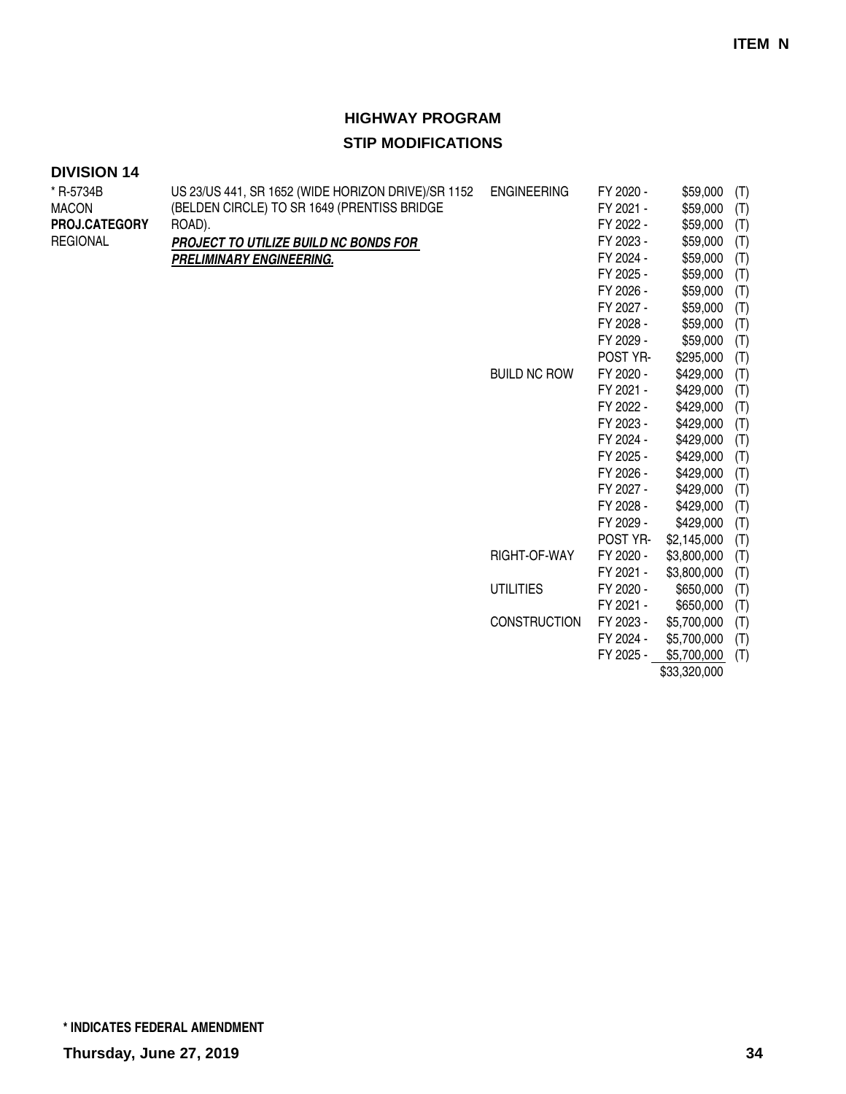| <b>DIVISION 14</b> |                                                    |                     |           |             |     |
|--------------------|----------------------------------------------------|---------------------|-----------|-------------|-----|
| * R-5734B          | US 23/US 441, SR 1652 (WIDE HORIZON DRIVE)/SR 1152 | <b>ENGINEERING</b>  | FY 2020 - | \$59,000    | (T) |
| <b>MACON</b>       | (BELDEN CIRCLE) TO SR 1649 (PRENTISS BRIDGE        |                     | FY 2021 - | \$59,000    | (T) |
| PROJ.CATEGORY      | ROAD).                                             |                     | FY 2022 - | \$59,000    | (T) |
| <b>REGIONAL</b>    | PROJECT TO UTILIZE BUILD NC BONDS FOR              |                     | FY 2023 - | \$59,000    | (T) |
|                    | PRELIMINARY ENGINEERING.                           |                     | FY 2024 - | \$59,000    | (T) |
|                    |                                                    |                     | FY 2025 - | \$59,000    | (T) |
|                    |                                                    |                     | FY 2026 - | \$59,000    | (T) |
|                    |                                                    |                     | FY 2027 - | \$59,000    | (T) |
|                    |                                                    |                     | FY 2028 - | \$59,000    | (T) |
|                    |                                                    |                     | FY 2029 - | \$59,000    | (T) |
|                    |                                                    |                     | POST YR-  | \$295,000   | (T) |
|                    |                                                    | <b>BUILD NC ROW</b> | FY 2020 - | \$429,000   | (T) |
|                    |                                                    |                     | FY 2021 - | \$429,000   | (T) |
|                    |                                                    |                     | FY 2022 - | \$429,000   | (T) |
|                    |                                                    |                     | FY 2023 - | \$429,000   | (T) |
|                    |                                                    |                     | FY 2024 - | \$429,000   | (T) |
|                    |                                                    |                     | FY 2025 - | \$429,000   | (T) |
|                    |                                                    |                     | FY 2026 - | \$429,000   | (T) |
|                    |                                                    |                     | FY 2027 - | \$429,000   | (T) |
|                    |                                                    |                     | FY 2028 - | \$429,000   | (T) |
|                    |                                                    |                     | FY 2029 - | \$429,000   | (T) |
|                    |                                                    |                     | POST YR-  | \$2,145,000 | (T) |
|                    |                                                    | RIGHT-OF-WAY        | FY 2020 - | \$3,800,000 | (T) |
|                    |                                                    |                     | FY 2021 - | \$3,800,000 | (T) |
|                    |                                                    | <b>UTILITIES</b>    | FY 2020 - | \$650,000   | (T) |
|                    |                                                    |                     | FY 2021 - | \$650,000   | (T) |
|                    |                                                    | <b>CONSTRUCTION</b> | FY 2023 - | \$5,700,000 | (T) |
|                    |                                                    |                     | FY 2024 - | \$5,700,000 | (T) |
|                    |                                                    |                     | FY 2025 - | \$5,700,000 | (T) |

\$33,320,000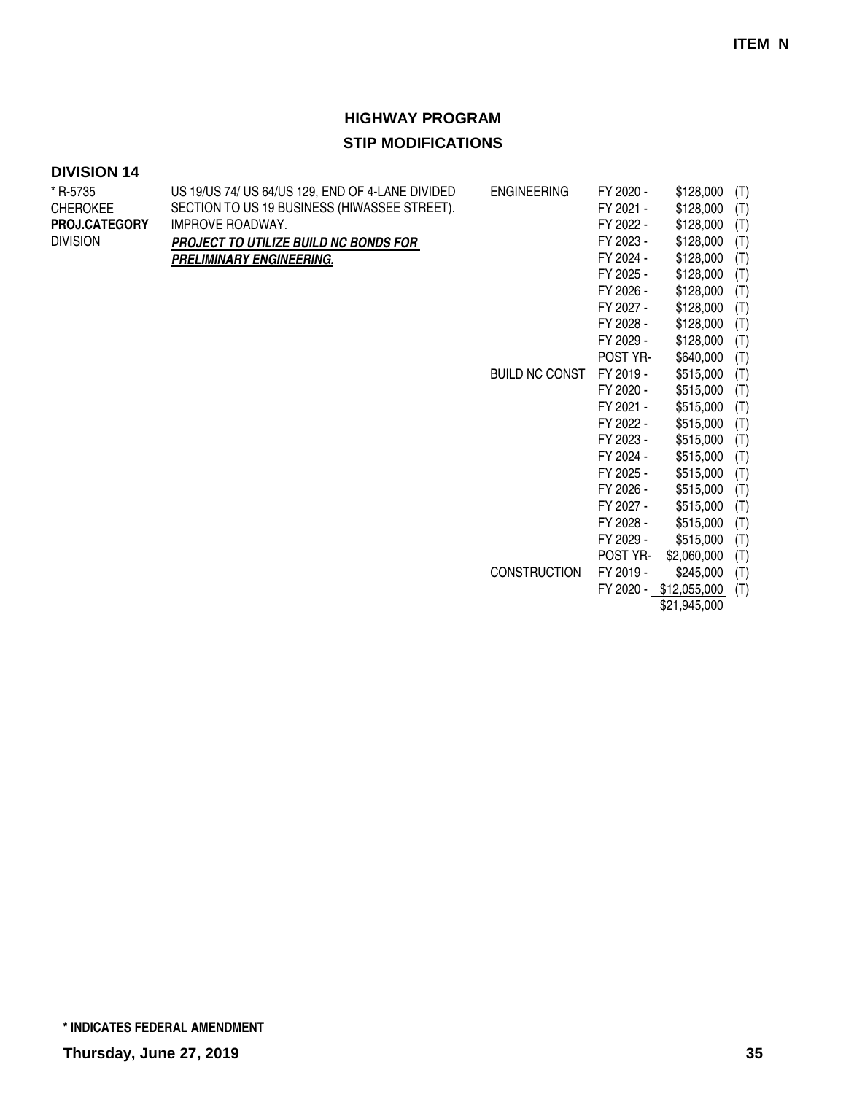#### **DIVISION 14**

| * R-5735        | US 19/US 74/ US 64/US 129, END OF 4-LANE DIVIDED | <b>ENGINEERING</b>    | FY 2020 - | \$128,000              | (T) |
|-----------------|--------------------------------------------------|-----------------------|-----------|------------------------|-----|
| <b>CHEROKEE</b> | SECTION TO US 19 BUSINESS (HIWASSEE STREET).     |                       | FY 2021 - | \$128,000              | (T) |
| PROJ.CATEGORY   | IMPROVE ROADWAY.                                 |                       | FY 2022 - | \$128,000              | (T) |
| <b>DIVISION</b> | <b>PROJECT TO UTILIZE BUILD NC BONDS FOR</b>     |                       | FY 2023 - | \$128,000              | (T) |
|                 | PRELIMINARY ENGINEERING.                         |                       | FY 2024 - | \$128,000              | (T) |
|                 |                                                  |                       | FY 2025 - | \$128,000              | (T) |
|                 |                                                  |                       | FY 2026 - | \$128,000              | (T) |
|                 |                                                  |                       | FY 2027 - | \$128,000              | (T) |
|                 |                                                  |                       | FY 2028 - | \$128,000              | (T) |
|                 |                                                  |                       | FY 2029 - | \$128,000              | (T) |
|                 |                                                  |                       | POST YR-  | \$640,000              | (T) |
|                 |                                                  | <b>BUILD NC CONST</b> | FY 2019 - | \$515,000              | (T) |
|                 |                                                  |                       | FY 2020 - | \$515,000              | (T) |
|                 |                                                  |                       | FY 2021 - | \$515,000              | (T) |
|                 |                                                  |                       | FY 2022 - | \$515,000              | (T) |
|                 |                                                  |                       | FY 2023 - | \$515,000              | (T) |
|                 |                                                  |                       | FY 2024 - | \$515,000              | (T) |
|                 |                                                  |                       | FY 2025 - | \$515,000              | (T) |
|                 |                                                  |                       | FY 2026 - | \$515,000              | (T) |
|                 |                                                  |                       | FY 2027 - | \$515,000              | (T) |
|                 |                                                  |                       | FY 2028 - | \$515,000              | (T) |
|                 |                                                  |                       | FY 2029 - | \$515,000              | (T) |
|                 |                                                  |                       | POST YR-  | \$2,060,000            | (T) |
|                 |                                                  | <b>CONSTRUCTION</b>   | FY 2019 - | \$245,000              | (T) |
|                 |                                                  |                       |           | FY 2020 - \$12,055,000 | (T) |
|                 |                                                  |                       |           |                        |     |

\$21,945,000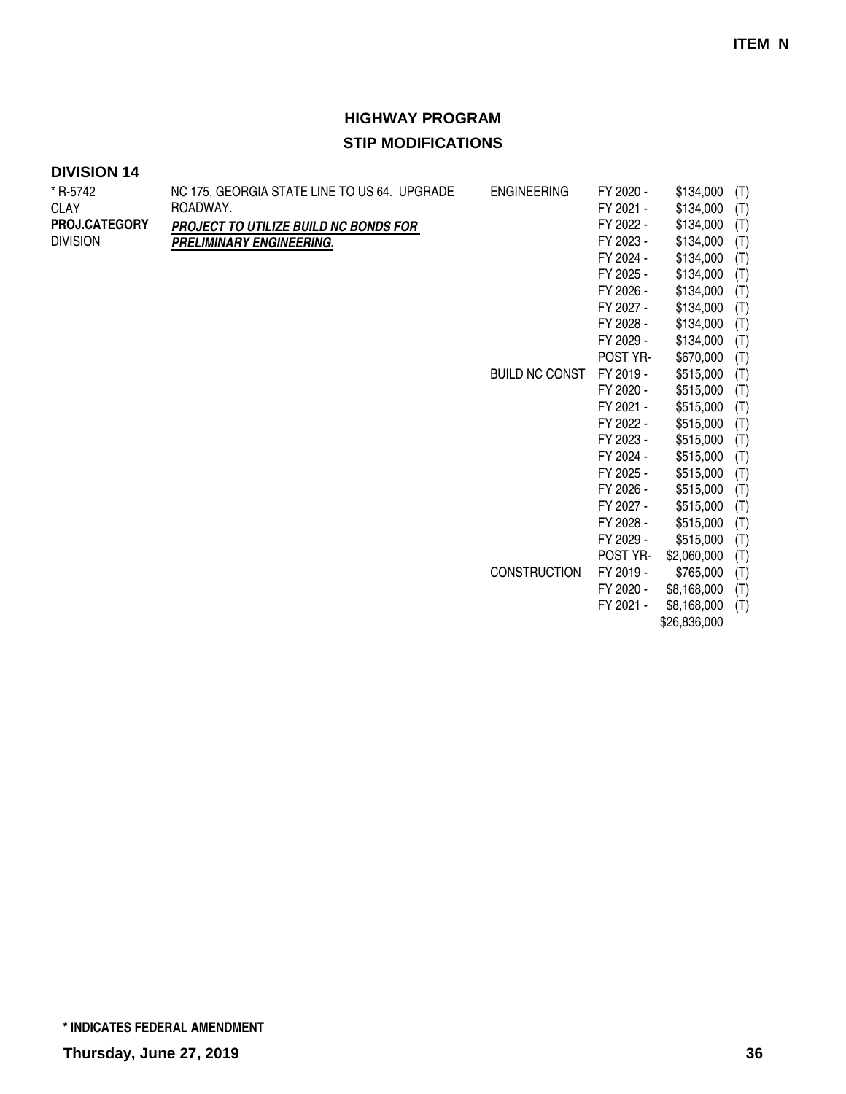| * R-5742        | NC 175, GEORGIA STATE LINE TO US 64. UPGRADE | <b>ENGINEERING</b>    | FY 2020 - | \$134,000    | (T) |
|-----------------|----------------------------------------------|-----------------------|-----------|--------------|-----|
| <b>CLAY</b>     | ROADWAY.                                     |                       | FY 2021 - | \$134,000    | (T) |
| PROJ.CATEGORY   | PROJECT TO UTILIZE BUILD NC BONDS FOR        |                       | FY 2022 - | \$134,000    | (T) |
| <b>DIVISION</b> | PRELIMINARY ENGINEERING.                     |                       | FY 2023 - | \$134,000    | (T) |
|                 |                                              |                       | FY 2024 - | \$134,000    | (T) |
|                 |                                              |                       | FY 2025 - | \$134,000    | (T) |
|                 |                                              |                       | FY 2026 - | \$134,000    | (T) |
|                 |                                              |                       | FY 2027 - | \$134,000    | (T) |
|                 |                                              |                       | FY 2028 - | \$134,000    | (T) |
|                 |                                              |                       | FY 2029 - | \$134,000    | (T) |
|                 |                                              |                       | POST YR-  | \$670,000    | (T) |
|                 |                                              | <b>BUILD NC CONST</b> | FY 2019 - | \$515,000    | (T) |
|                 |                                              |                       | FY 2020 - | \$515,000    | (T) |
|                 |                                              |                       | FY 2021 - | \$515,000    | (T) |
|                 |                                              |                       | FY 2022 - | \$515,000    | (T) |
|                 |                                              |                       | FY 2023 - | \$515,000    | (T) |
|                 |                                              |                       | FY 2024 - | \$515,000    | (T) |
|                 |                                              |                       | FY 2025 - | \$515,000    | (T) |
|                 |                                              |                       | FY 2026 - | \$515,000    | (T) |
|                 |                                              |                       | FY 2027 - | \$515,000    | (T) |
|                 |                                              |                       | FY 2028 - | \$515,000    | (T) |
|                 |                                              |                       | FY 2029 - | \$515,000    | (T) |
|                 |                                              |                       | POST YR-  | \$2,060,000  | (T) |
|                 |                                              | <b>CONSTRUCTION</b>   | FY 2019 - | \$765,000    | (T) |
|                 |                                              |                       | FY 2020 - | \$8,168,000  | (T) |
|                 |                                              |                       | FY 2021 - | \$8,168,000  | (T) |
|                 |                                              |                       |           | \$26,836,000 |     |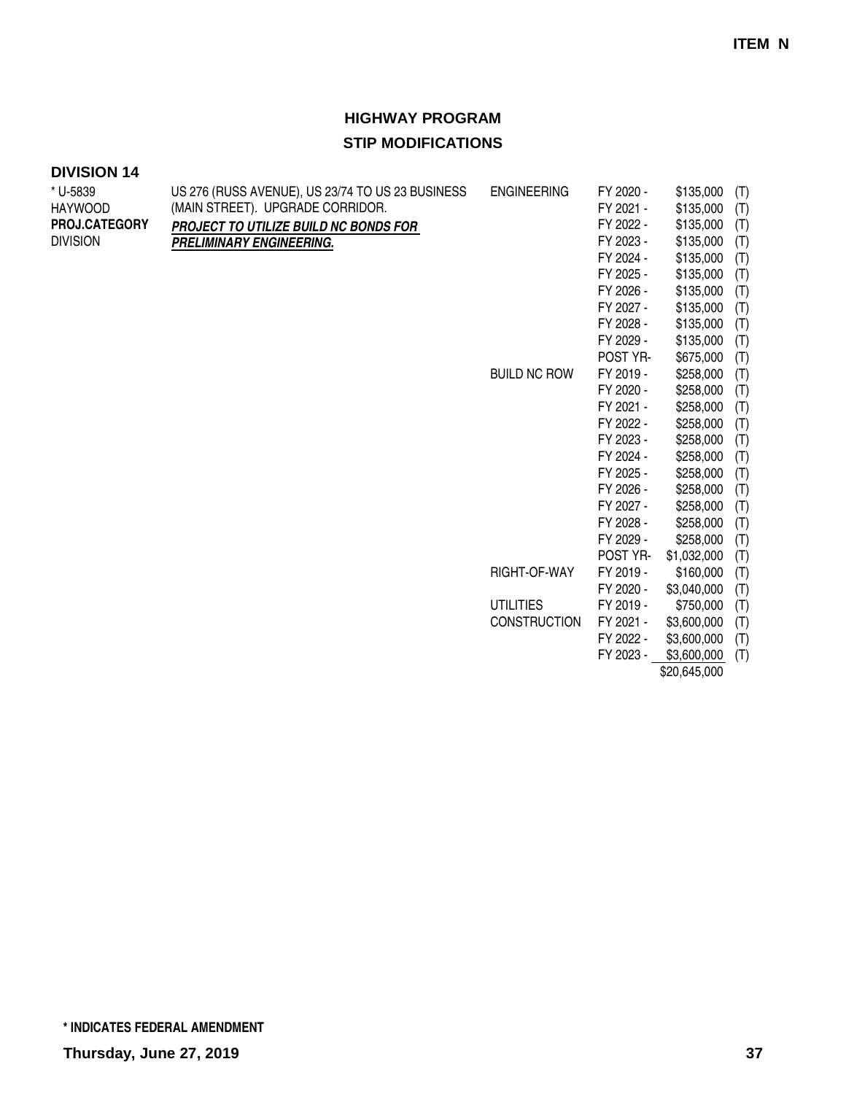### **DIVISION 14**

| * U-5839        | US 276 (RUSS AVENUE), US 23/74 TO US 23 BUSINESS | <b>ENGINEERING</b>  | FY 2020 - | \$135,000    | (T) |
|-----------------|--------------------------------------------------|---------------------|-----------|--------------|-----|
| <b>HAYWOOD</b>  | (MAIN STREET). UPGRADE CORRIDOR.                 |                     | FY 2021 - | \$135,000    | (T) |
| PROJ.CATEGORY   | PROJECT TO UTILIZE BUILD NC BONDS FOR            |                     | FY 2022 - | \$135,000    | (T) |
| <b>DIVISION</b> | PRELIMINARY ENGINEERING.                         |                     | FY 2023 - | \$135,000    | (T) |
|                 |                                                  |                     | FY 2024 - | \$135,000    | (T) |
|                 |                                                  |                     | FY 2025 - | \$135,000    | (T) |
|                 |                                                  |                     | FY 2026 - | \$135,000    | (T) |
|                 |                                                  |                     | FY 2027 - | \$135,000    | (T) |
|                 |                                                  |                     | FY 2028 - | \$135,000    | (T) |
|                 |                                                  |                     | FY 2029 - | \$135,000    | (T) |
|                 |                                                  |                     | POST YR-  | \$675,000    | (T) |
|                 |                                                  | <b>BUILD NC ROW</b> | FY 2019 - | \$258,000    | (T) |
|                 |                                                  |                     | FY 2020 - | \$258,000    | (T) |
|                 |                                                  |                     | FY 2021 - | \$258,000    | (T) |
|                 |                                                  |                     | FY 2022 - | \$258,000    | (T) |
|                 |                                                  |                     | FY 2023 - | \$258,000    | (T) |
|                 |                                                  |                     | FY 2024 - | \$258,000    | (T) |
|                 |                                                  |                     | FY 2025 - | \$258,000    | (T) |
|                 |                                                  |                     | FY 2026 - | \$258,000    | (T) |
|                 |                                                  |                     | FY 2027 - | \$258,000    | (T) |
|                 |                                                  |                     | FY 2028 - | \$258,000    | (T) |
|                 |                                                  |                     | FY 2029 - | \$258,000    | (T) |
|                 |                                                  |                     | POST YR-  | \$1,032,000  | (T) |
|                 |                                                  | RIGHT-OF-WAY        | FY 2019 - | \$160,000    | (T) |
|                 |                                                  |                     | FY 2020 - | \$3,040,000  | (T) |
|                 |                                                  | <b>UTILITIES</b>    | FY 2019 - | \$750,000    | (T) |
|                 |                                                  | <b>CONSTRUCTION</b> | FY 2021 - | \$3,600,000  | (T) |
|                 |                                                  |                     | FY 2022 - | \$3,600,000  | (T) |
|                 |                                                  |                     | FY 2023 - | \$3,600,000  | (T) |
|                 |                                                  |                     |           | \$20,645,000 |     |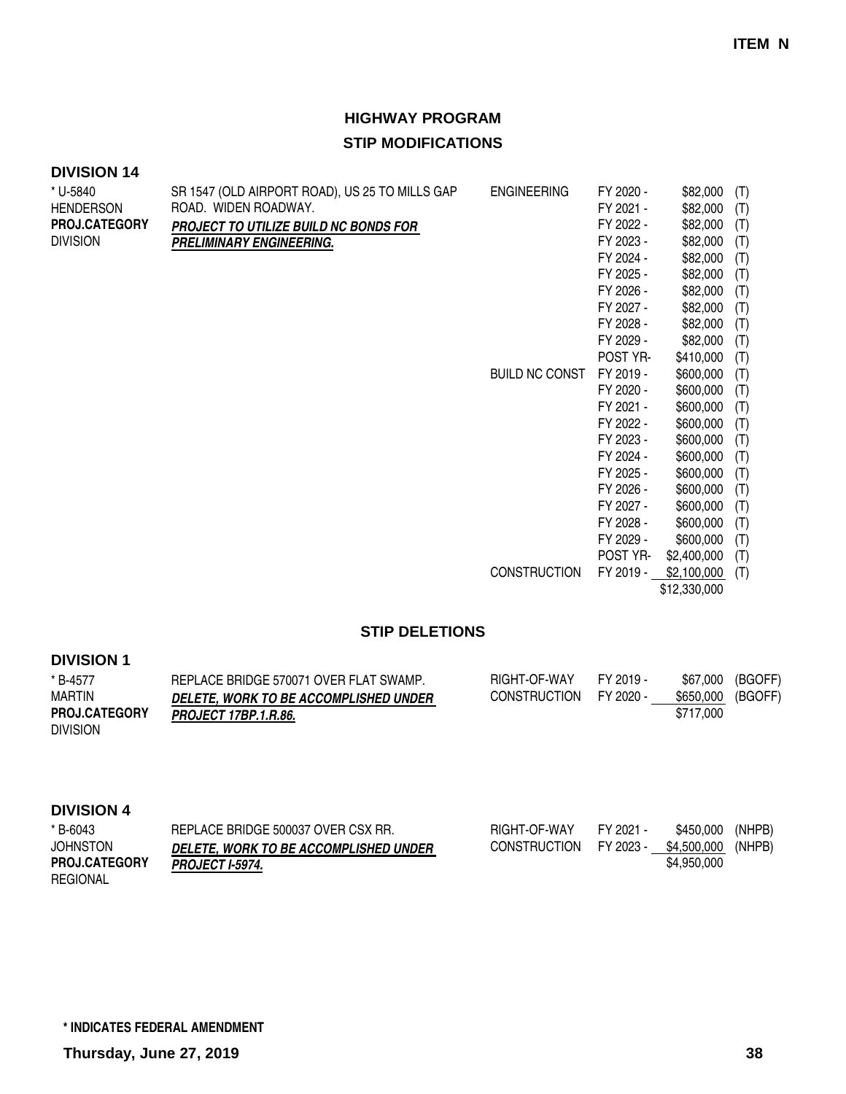| * U-5840             | SR 1547 (OLD AIRPORT ROAD), US 25 TO MILLS GAP | <b>ENGINEERING</b>    | FY 2020 - | \$82,000    | (T) |
|----------------------|------------------------------------------------|-----------------------|-----------|-------------|-----|
| <b>HENDERSON</b>     | ROAD. WIDEN ROADWAY.                           |                       | FY 2021 - | \$82,000    | (T) |
| <b>PROJ.CATEGORY</b> | <b>PROJECT TO UTILIZE BUILD NC BONDS FOR</b>   |                       | FY 2022 - | \$82,000    | (T) |
| <b>DIVISION</b>      | PRELIMINARY ENGINEERING.                       |                       | FY 2023 - | \$82,000    | (T) |
|                      |                                                |                       | FY 2024 - | \$82,000    | (T) |
|                      |                                                |                       | FY 2025 - | \$82,000    | (T) |
|                      |                                                |                       | FY 2026 - | \$82,000    | (T) |
|                      |                                                |                       | FY 2027 - | \$82,000    | (T) |
|                      |                                                |                       | FY 2028 - | \$82,000    | (T) |
|                      |                                                |                       | FY 2029 - | \$82,000    | (T) |
|                      |                                                |                       | POST YR-  | \$410,000   | (T) |
|                      |                                                | <b>BUILD NC CONST</b> | FY 2019 - | \$600,000   | (T) |
|                      |                                                |                       | FY 2020 - | \$600,000   | (T) |
|                      |                                                |                       | FY 2021 - | \$600,000   | (T) |
|                      |                                                |                       | FY 2022 - | \$600,000   | (T) |
|                      |                                                |                       | FY 2023 - | \$600,000   | (T) |
|                      |                                                |                       | FY 2024 - | \$600,000   | (T) |
|                      |                                                |                       | FY 2025 - | \$600,000   | (T) |
|                      |                                                |                       | FY 2026 - | \$600,000   | (T) |
|                      |                                                |                       | FY 2027 - | \$600,000   | (T) |
|                      |                                                |                       | FY 2028 - | \$600,000   | (T) |
|                      |                                                |                       | FY 2029 - | \$600,000   | (T) |
|                      |                                                |                       | POST YR-  | \$2,400,000 | (T) |
|                      |                                                | <b>CONSTRUCTION</b>   | FY 2019 - | \$2,100,000 | (T) |

\$12,330,000

#### **STIP DELETIONS**

#### **DIVISION 1**

| * B-4577             | REPLACE BRIDGE 570071 OVER FLAT SWAMP.       | RIGHT-OF-WAY | FY 2019 - | \$67,000          | (BGOFF) |
|----------------------|----------------------------------------------|--------------|-----------|-------------------|---------|
| <b>MARTIN</b>        | <b>DELETE. WORK TO BE ACCOMPLISHED UNDER</b> | CONSTRUCTION | FY 2020 - | \$650,000 (BGOFF) |         |
| <b>PROJ.CATEGORY</b> | <b>PROJECT 17BP.1.R.86.</b>                  |              |           | \$717.000         |         |
| <b>DIVISION</b>      |                                              |              |           |                   |         |

| * B-6043             | REPLACE BRIDGE 500037 OVER CSX RR.           | RIGHT-OF-WAY        | FY 2021 - | \$450.000   | (NHPB) |
|----------------------|----------------------------------------------|---------------------|-----------|-------------|--------|
| <b>JOHNSTON</b>      | <b>DELETE. WORK TO BE ACCOMPLISHED UNDER</b> | <b>CONSTRUCTION</b> | FY 2023 - | \$4.500.000 | (NHPB) |
| <b>PROJ.CATEGORY</b> | <b>PROJECT I-5974.</b>                       |                     |           | \$4,950,000 |        |
| REGIONAL             |                                              |                     |           |             |        |